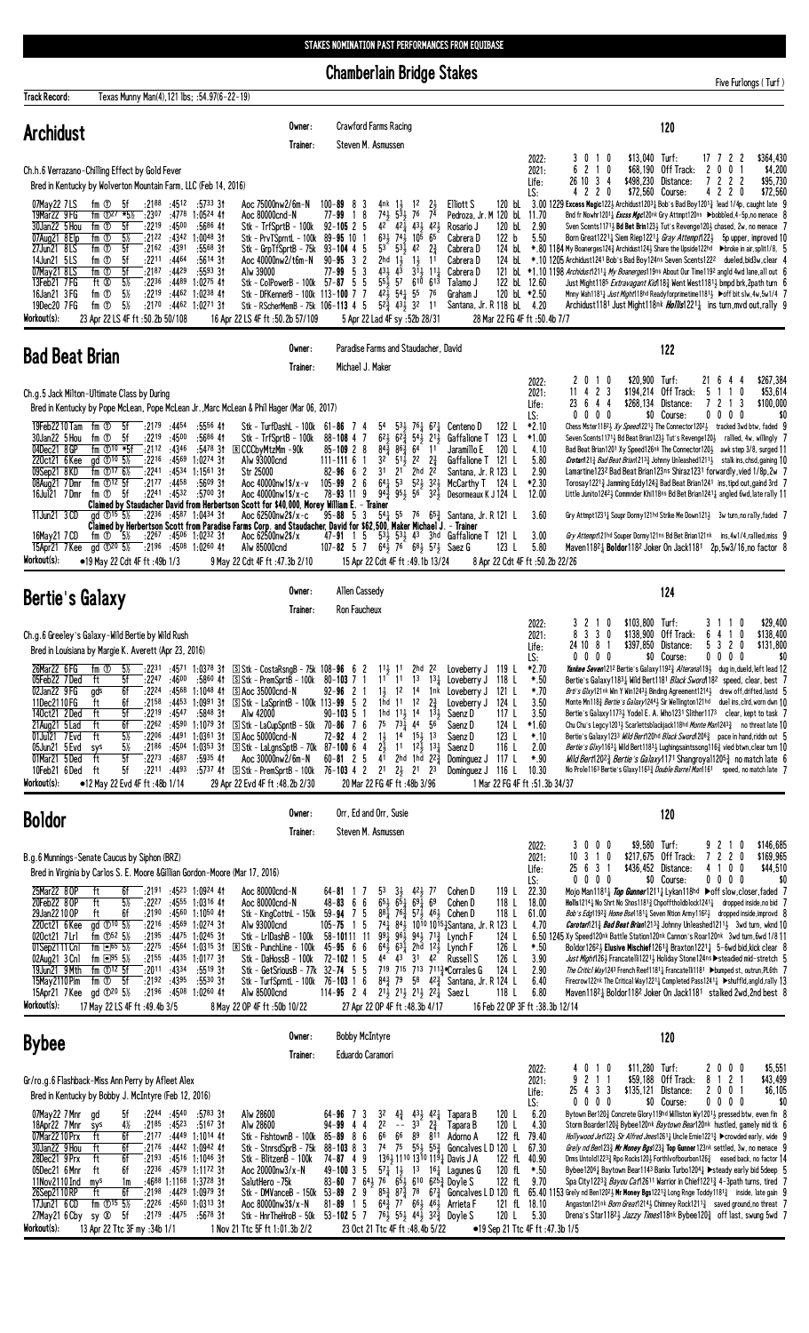## STAKES NOMINATION PAST PERFORMANCES FROM EQUIBASE

**Chamberlain Bridge Stakes** 

Five Furlongs (Turf)

| <b>Track Record:</b>                                                                                                                                                                                  | Texas Munny Man(4), 121 lbs; : 54.97(6-22-19)                                                                                                                                                                                                                                                                                                                                                                                                                             |                                                                                                                                                                                                                                                        |                                                                                                                                                                                                                                                                                                                                                                                                                                                                                                                                                                     |                                                                                                                                                                      |                                                                                                                                                                                                                                                                                                                                                                                                                                                                                                                                                               |                                                                                                                                                                                                                                                                                                                                           |                                                                                                                                                             |                                                                      |                                                                                                                                                                                                                                                                                                                                                                                                                                                                                                                                                                                                                                                                                                                                                                                                                                                                                                                                                                                                                                                                                                                                               |                                                                                                                   |                                              |
|-------------------------------------------------------------------------------------------------------------------------------------------------------------------------------------------------------|---------------------------------------------------------------------------------------------------------------------------------------------------------------------------------------------------------------------------------------------------------------------------------------------------------------------------------------------------------------------------------------------------------------------------------------------------------------------------|--------------------------------------------------------------------------------------------------------------------------------------------------------------------------------------------------------------------------------------------------------|---------------------------------------------------------------------------------------------------------------------------------------------------------------------------------------------------------------------------------------------------------------------------------------------------------------------------------------------------------------------------------------------------------------------------------------------------------------------------------------------------------------------------------------------------------------------|----------------------------------------------------------------------------------------------------------------------------------------------------------------------|---------------------------------------------------------------------------------------------------------------------------------------------------------------------------------------------------------------------------------------------------------------------------------------------------------------------------------------------------------------------------------------------------------------------------------------------------------------------------------------------------------------------------------------------------------------|-------------------------------------------------------------------------------------------------------------------------------------------------------------------------------------------------------------------------------------------------------------------------------------------------------------------------------------------|-------------------------------------------------------------------------------------------------------------------------------------------------------------|----------------------------------------------------------------------|-----------------------------------------------------------------------------------------------------------------------------------------------------------------------------------------------------------------------------------------------------------------------------------------------------------------------------------------------------------------------------------------------------------------------------------------------------------------------------------------------------------------------------------------------------------------------------------------------------------------------------------------------------------------------------------------------------------------------------------------------------------------------------------------------------------------------------------------------------------------------------------------------------------------------------------------------------------------------------------------------------------------------------------------------------------------------------------------------------------------------------------------------|-------------------------------------------------------------------------------------------------------------------|----------------------------------------------|
| <b>Archidust</b>                                                                                                                                                                                      |                                                                                                                                                                                                                                                                                                                                                                                                                                                                           |                                                                                                                                                                                                                                                        | Owner:<br>Trainer:                                                                                                                                                                                                                                                                                                                                                                                                                                                                                                                                                  | Steven M. Asmussen                                                                                                                                                   | Crawford Farms Racing                                                                                                                                                                                                                                                                                                                                                                                                                                                                                                                                         |                                                                                                                                                                                                                                                                                                                                           |                                                                                                                                                             |                                                                      | 120                                                                                                                                                                                                                                                                                                                                                                                                                                                                                                                                                                                                                                                                                                                                                                                                                                                                                                                                                                                                                                                                                                                                           |                                                                                                                   |                                              |
| 07May22 7LS<br>19Mar22 9 FG<br>30Jan22 5 Hou<br>07Aug21 8 Elp<br>27Jun21 8LS<br>14Jun21 5LS<br>07May21 8LS<br>13Feb21 7FG<br>16Jan21 3 FG<br>19Dec20 7FG<br>Workout(s):                               | Ch.h.6 Verrazano-Chilling Effect by Gold Fever<br>Bred in Kentucky by Wolverton Mountain Farm, LLC (Feb 14, 2016)<br>fm ①<br>5f<br>:2188<br>fm $\Phi$ <sup>27</sup> *5 <sup>1/2</sup><br>:2307<br>fm ①<br>5f<br>$:22^{19}$<br>fm ①<br>5½<br>:2122<br>$f$ m $\sigma$<br>:2162<br>5f<br>fm ①<br>:2211<br>5f<br>$fm$ $\circled$<br>5f<br>:2187<br>5%<br>:2236<br>ft Ø<br>fm ①<br>$5\%$<br>:2219<br>fm <sup>①</sup><br>:2170<br>$5\%$<br>23 Apr 22 LS 4F ft: 50.2b 50/108     | :4512<br>:5733 31<br>:4778 1:0524 41<br>:4500<br>:5686 41<br>:4342 1:0048 31<br>:4391<br>$:5568$ 31<br>:4464<br>$:5614$ 3t<br>:4429<br>$:5593$ 31<br>$:4489$ 1:0275 41<br>$:4462$ 1:0238 41<br>:4462 1:0271 31                                         | Aoc 75000nw2/6m-N<br>Aoc 80000cnd-N<br>Stk - TrfSprtB - 100k<br>Stk - PrvTSprntL - 100k<br>Stk - GrpTfSprtB - 75k<br>Aoc 40000nw2/t6m-N<br>Alw 39000<br>Stk - ColPowerB - 100k 57-87 5 5<br>Stk - DFKennerB - 100k 113-100 7 7<br>Stk - RScherMemB - 75k 106-113 4 5<br>16 Apr 22 LS 4F ft: 50.2b 57/109                                                                                                                                                                                                                                                            | $100 - 89$ 8<br>3<br>$77 - 99$ 1 8<br>$92 - 105$ 2 5<br>89-95 10<br>$93 - 104$ 4 5<br>$90 - 95$ 3 2<br>3<br>$77 - 99$<br>-5                                          | $\frac{21}{74}$<br>4nk 1,<br>$1^2$<br>$5\frac{3}{2}$ 76<br>$74\frac{1}{2}$<br>42<br>$42\frac{1}{4}$ $43\frac{1}{2}$ $42\frac{1}{2}$<br>$63\frac{1}{2}$<br>$74\frac{1}{2}$ 10 <sup>5</sup> 6 <sup>5</sup><br>$53^{6}$ $53\frac{1}{2}$<br>42<br>$2\frac{3}{4}$<br>2hd<br>$1\frac{1}{2}$<br>$1\frac{1}{2}$<br>11<br>431<br>$4^{\overline{3}}$<br>$3^{11}$<br>$11\frac{1}{2}$<br>57<br>$55\overline{1}$<br>$6^{10}$ $6^{13}$<br>$42\frac{1}{2}$ 54 $\frac{1}{4}$ 55<br>76<br>$5^{2}$ $4^{3}$ $3^{2}$ 11<br>5 Apr 22 Lad 4F sy :52b 28/31                          | Elliott S<br>120 bL<br>Pedroza, Jr. M 120 bl.<br>Rosario J<br>120 bL<br>122 <sub>b</sub><br>Cabrera D<br>Cabrera D<br>124 bL<br>124 bL<br>Cabrera D<br>Cabrera D<br>Talamo J<br>Graham J<br>Santana, Jr. R 118 bl. 4.20                                                                                                                   | 2022:<br>2021:<br>Life:<br>LS:<br>11.70<br>2.90<br>5.50<br>122 bL 12.60<br>120 bL *2.50<br>28 Mar 22 FG 4F ft :50.4b 7/7                                    | 3010<br>6 2 1 0<br>26 10 3 4<br>4 2 2 0                              | $$13,040$ Turf:<br>\$68,190 Off Track:<br>\$498,230 Distance:<br>\$72,560 Course:<br>3.00 1229 Excess Magic1221 Archidust12031 Bob's Bad Boy12013 lead 1/4p, caught late 9<br>Bnd fr Nowhr1201 <sub>4</sub> Excss Mgc120nk Gry Attmpt120ns ▶bobbled, 4-5p, no menace {<br>Sven Scents1171, Bd Bet Brin123, Tut's Revenge120, chased, 2w, no menace 7<br>Born Great12211 Siem Riep12211 Gray Attempt1221 5p upper, improved 1<br>*,80 1184 My Boanerges124½ Archidust124½ Share the Upside122hd →broke in air, split1/8, 5<br>*.10 1205 Archidust1241 Bob's Bad Boy124ns Seven Scents1222 dueled, bid3w, clear<br>121 bl *1.10 1198 Archidust1211} My Boanerges119ns About Our Time1192 angld 4wd lane, all out 6<br>Just Might1185 <i>Extravagant Kid</i> 118 <sub>4</sub> Went West1181 <sub>2</sub> bmpd brk, 2path turn {<br>Mnny Wah1181 <sub>4</sub> Just Might118hd Readyforprimetime1181 <sub>2</sub> ▶off bit slw, 4w, 5w1/4 7<br>Archidust1181 Just Might118nk <i>Hollis</i> 1221 <sub>4</sub> ins turn, mvd out, rally 9                                                                                                            | 17 7 2 2<br>2<br>0<br>0<br>7222<br>422<br>0                                                                       | \$364,430<br>\$4,200<br>\$95,730<br>\$72,560 |
| <b>Bad Beat Brian</b>                                                                                                                                                                                 |                                                                                                                                                                                                                                                                                                                                                                                                                                                                           |                                                                                                                                                                                                                                                        | Owner:<br>Trainer:                                                                                                                                                                                                                                                                                                                                                                                                                                                                                                                                                  | Michael J. Maker                                                                                                                                                     | Paradise Farms and Staudacher, David                                                                                                                                                                                                                                                                                                                                                                                                                                                                                                                          |                                                                                                                                                                                                                                                                                                                                           |                                                                                                                                                             |                                                                      | 122                                                                                                                                                                                                                                                                                                                                                                                                                                                                                                                                                                                                                                                                                                                                                                                                                                                                                                                                                                                                                                                                                                                                           |                                                                                                                   |                                              |
| 19Feb22 10 Tam<br>30Jan22 5 Hou<br>04Dec21 8 GP<br>220ct21 6Kee<br>09Sep21 8KD<br>08Aug21 7Dmr<br>16Jul21 7Dmr<br>11Jun21 3 CD<br>16May21 7 CD<br>15Apr21 7 Kee<br>Workout(s):                        | Ch.g.5 Jack Milton-Ultimate Class by During<br>$\frac{1}{2}$ :2179<br>fm ①<br>5f<br>fm ①<br>5f<br>:2219<br>fm 10 *5f<br>:2112<br>ad $\textcircled{10}$ 5%<br>:2216<br>:2241<br>fm $\oplus$ 17 6%<br>fm $\mathbb{O}^{12}$ 5f<br>fm $\overline{O}$ 5f<br>ad $\textcircled{15}$ 5%<br>fm ①<br>$5\frac{1}{2}$<br>gd ① <sup>20</sup> 5 <sup>1</sup> <sub>2</sub> :2196 :4508 1:0260 41<br>•19 May 22 Cdt 4F ft :49b 1/3                                                        | :4454<br>$:5556$ 41<br>:4500<br>$:5686$ 41<br>:4346<br>:5478 31<br>:4569 1:0274 31<br>$:4534$ 1:1561 31<br>$:21^{77}$ $:44^{58}$<br>:5609 31<br>:2241 :4532 :5700 31<br>:2236 :4587 1:0434 31<br>$:22^{67}$ $:45^{06}$ 1:0232 31                       | Bred in Kentucky by Pope McLean, Pope McLean Jr., Marc McLean & Phil Hager (Mar 06, 2017)<br>Stk - TurfDashL - 100k<br>Stk - TrfSprtB - 100k<br><b>R</b> CCCbyMtzMm -90k<br>Alw 93000cnd<br>Str 25000<br>Aoc 40000nw1\$/x-v<br>Aoc 40000nw1\$/x-c<br>Claimed by Staudacher David from Herbertson Scott for \$40,000, Morey William E. - Trainer<br>Aoc 62500nw2\$/x-c<br>Claimed by Herbertson Scott from Paradise Farms Corp. and Staudacher, David for \$62,500, Maker Michael J. – Trainer<br>Aoc 62500nw2\$/x<br>Alw 85000cnd<br>9 May 22 Cdt 4F ft :47.3b 2/10 | $61 - 86$ 7 4<br>$88 - 108$ 4 7<br>$85 - 109$ 2 8<br>$111 - 1116$<br>$\mathbf{1}$<br>$82 - 96$ 6 2<br>$105 - 99$ 2 6<br>78-93 11 9<br>$95 - 88$ 5 3                  | $5^4$ $5^3$ $7^6$ $6^7$ $6^7$<br>$6^2$ $6^2$ $6^2$ $5^4$ $2^1$<br>843<br>$86\frac{3}{4}$ 64<br>1 <sup>1</sup><br>$5^{11}_{2}$ 2 <sup>2</sup> $2^{3}_{4}$<br>3 <sup>2</sup><br>$2^{1}$<br>2hd 2 <sup>2</sup><br>31<br>107-82 5 7 $64\frac{1}{2}$ 7 <sup>6</sup> $68\frac{1}{2}$ 57 <sup>1</sup> / <sub>2</sub> Saez G<br>15 Apr 22 Cdt 4F ft : 49.1b 13/24                                                                                                                                                                                                     | 122 L<br>Centeno D<br>123 L<br>Gaffalione T<br>120 L<br>Jaramillo E<br>Gaffalione T 121 L<br>Santana, Jr. R 123 L<br>McCarthy T 124 L<br>$94\frac{3}{4}$ $95\frac{1}{2}$ $56$ $32\frac{1}{2}$ Desormeaux K J 124 L<br>$54\frac{1}{4}$ 55 76 65 $\frac{3}{4}$ Santana, Jr. R 121 L<br>47-91 1 5 533 533 43 3hd Gaffalione T 121 L<br>123 L | 2022:<br>2021:<br>Life:<br>LS:<br>$*2.10$<br>$*1.00$<br>4.10<br>5.80<br>2.90<br>$*2.30$<br>12.00<br>3.60<br>3.00<br>5.80<br>8 Apr 22 Cdt 4F ft :50.2b 22/26 | 2010<br>2 <sub>3</sub><br>114<br>23 6 4 4<br>0 0 0 0                 | \$20,900 Turf:<br>\$194,214 Off Track:<br>\$268,134 Distance:<br>\$0 Course:<br>Chess Mster1182 3 Xy Speed 221 3 The Connector 1202 3 tracked 3wd btw, faded 9<br>Seven Scents11713 Bd Beat Brian1233 Tut's Revenge1203 rallied, 4w, willingly 7<br>Bad Beat Brian1201 Xy Speed126nk The Connector120} awk step 3/8, surged 11<br>Crotar/121} Bad Beat Brian1213} Johnny Unleashed1211} stalk ins, chsd, gaining 10<br>Lamartine1232 Bad Beat Brian123ns Shiraz1231 forwardly, vied 1/8p, 2w 7<br>Torosay12213 Jamming Eddy1243 Bad Beat Brian1241 ins, tipd out, gaind 3rd 7<br>Little Junito12423 Commnder Khi118ns Bd Bet Brian12411 angled 6wd, late rally 11<br>Gry Attmpt12314 Soupr Dormy121hd Strike Me Down1213 3w turn, no rally, faded 7<br>Gry Attempt121hd Souper Dormy121ns Bd Bet Brian121nk ins, 4w1/4, rallied, miss 9<br>Maven1182 <sub>4</sub> Boldor1182 Joker On Jack1181  2p,5w3/16,no factor 8                                                                                                                                                                                                                         | 216<br>4<br>5<br>0<br>-1<br>7<br>2 1 3<br>$0\ 0\ 0\ 0$                                                            | \$267,384<br>\$53,614<br>\$100,000<br>\$(    |
| <b>Bertie's Galaxy</b>                                                                                                                                                                                |                                                                                                                                                                                                                                                                                                                                                                                                                                                                           |                                                                                                                                                                                                                                                        | Owner:<br>Trainer:                                                                                                                                                                                                                                                                                                                                                                                                                                                                                                                                                  | Allen Cassedy<br><b>Ron Faucheux</b>                                                                                                                                 |                                                                                                                                                                                                                                                                                                                                                                                                                                                                                                                                                               |                                                                                                                                                                                                                                                                                                                                           |                                                                                                                                                             |                                                                      | 124                                                                                                                                                                                                                                                                                                                                                                                                                                                                                                                                                                                                                                                                                                                                                                                                                                                                                                                                                                                                                                                                                                                                           |                                                                                                                   |                                              |
| 26Mar22 6 FG<br>05Feb22 7Ded<br>02Jan22 9FG<br>11Dec2110FG<br>140ct21 2Ded<br>21Aug21 5 Lad<br>01Jul21 7 Evd<br>05Jun21 5 Evd<br>01Mar21 5Ded<br>10Feb21 6Ded<br>Workout(s):                          | Ch.g.6 Greeley's Galaxy-Wild Bertie by Wild Rush<br>Bred in Louisiana by Margie K. Averett (Apr 23, 2016)<br>fm ①<br>5½<br>5f<br>ft<br>gds<br>:2224<br>6f<br>6f<br>:2158<br>ft<br>ft<br>5f<br>:2219<br>:2262<br>ft<br>6f<br>$5\%$<br>ft<br>:2206<br>$5\%$<br>:2186<br>sys<br>5f<br>ft<br>:2273<br>ft<br>5f<br>:2211<br>•12 May 22 Evd 4F ft: 48b 1/14                                                                                                                     | :4568 1:1048 41<br>$:4453$ 1:0991 31<br>:4547<br>:5848 31<br>$:4590$ 1:1079 31<br>$:4491$ $1:0361$ 3t<br>$:45^{04}$ 1:0353 31<br>:4687<br>:5935 41<br>:4493                                                                                            | $\frac{1}{2}$ :2231 :4571 1:0378 31 SStk - CostaRsngB - 75k 108-96 6 2<br>:2247 :4600 :5860 41 SStk - PremSprtB - 100k 80-103 7 1 1 <sup>1</sup> 1 <sup>1</sup> 1 <sup>3</sup> 1 <sup>3</sup> <sup>1</sup> Loveberry J 118 L<br>$\boxed{5}$ Aoc 35000 cnd - N<br>$\boxed{5}$ Stk - LaSprintB - 100k 113-99 5 2<br>Alw 42000<br>$S$ Stk - LaCupSpntB - 50k 70-86 7 6<br>$\boxed{5}$ Aoc 50000cnd-N<br>$\boxed{\text{s}}$ Stk – LaLgnsSptB – 70k<br>Aoc 30000nw2/6m-N<br>:5737 41 S Stk - PremSprtB - 100k<br>29 Apr 22 Evd 4F ft :48.2b 2/30                         | $92 - 96$ 2<br>$90 - 103$ 5 1<br>$72 - 92$ 4 2<br>$87-100$ 6 4<br>$60 - 81$ 2 5                                                                                      | $11\frac{1}{2}$ 11<br>2hd 2 <sup>2</sup><br>11<br>12<br>14<br>$2\frac{3}{4}$<br>11<br>1hd<br>$1^2$<br>1hd $11\frac{1}{2}$ 14<br>$13\frac{1}{2}$<br>75<br>$73\frac{1}{4}$ 44<br>56<br>$1\frac{1}{2}$<br>$14$ $15\frac{1}{2}$ $13$<br>21<br>1 <sup>1</sup><br>$12\frac{1}{2}$ $13\frac{1}{4}$<br>41<br>2hd 1hd $2^{2}\frac{3}{4}$<br>76-103 4 2 2 <sup>1</sup> 2 <sup>1</sup> 2 <sup>1</sup> 2 <sup>3</sup><br>20 Mar 22 FG 4F ft : 48b 3/96                                                                                                                    | Loveberry J 119 L<br>1 <sup>nk</sup> Loveberry J<br>121 L<br>124 L<br>Loveberry J<br>117 L<br>Saenz D<br>124 L<br>Saenz D<br>Saenz D<br>123 L<br>116 L<br>Saenz D<br>117 L<br>Dominguez J<br>Dominguez J 116 L                                                                                                                            | 2022:<br>2021:<br>Life:<br>LS:<br>*2.70<br>$*.50$<br>*.70<br>3.50<br>3.50<br>$*1.60$<br>$*.10$<br>2.00<br>$*90$<br>10.30<br>1 Mar 22 FG 4F ft :51.3b 34/37  | 321<br>0<br>8 3 3 0<br>24 10 8 1<br>$0\ 0\ 0\ 0$                     | \$103,800 Turf:<br>\$138,900 Off Track:<br>\$397,850 Distance:<br>\$0 Course:<br>Yankee Seven1212 Bertie's Galaxy11923 Alterana1193 dug in, dueld, left lead 12<br>Bertie's Galaxy11831 Wild Bert1181 Black Sword 182 speed, clear, best 7<br>Brti's Glxy121nk Win Y Win12431 Binding Agreement12141 drew off, drifted, lastd<br>Monte Mn118 <sub>4</sub> <i>Bertie's Galaxy</i> 1244 } Sir Wellington121hd duel ins, clrd, worn dwn 1 (<br>Bertie's Galaxy11731 Yodel E. A. Who1231 Slither1173 clear, kept to task 7<br>Chu Chu's Legcy1201} Scarlettsblackjack118hd <i>Monte Man</i> 1243 <sub>3</sub> no threat late 1(<br>Bertie's Galaxy1233 Wild Bert120hd Black Sword12063 pace in hand, riddn out 5<br>Bertie's Glxy11631 Wild Bert11831 Lughingsaintssong1163 vied btwn, clear turn 10<br><i>Wild Bert</i> 120 <sup>2</sup> / <sub>2</sub> <i>Bertie's Galaxy</i> 1171 Shangroyal 120 <sup>5</sup> / <sub>2</sub> no match late 6<br>No Prole1163 Bertie's Glaxy11633 <i>Double Barrel Man</i> 1161 speed, no match late 7                                                                                                          | 3<br>0<br>0<br>6<br>-1<br>4<br>$\mathbf{2}$<br>5<br>-3<br>0<br>$0\ 0\ 0\ 0$                                       | \$29,400<br>\$138,400<br>\$131,800<br>\$(    |
| <b>Boldor</b>                                                                                                                                                                                         |                                                                                                                                                                                                                                                                                                                                                                                                                                                                           |                                                                                                                                                                                                                                                        | Owner:<br>Trainer:                                                                                                                                                                                                                                                                                                                                                                                                                                                                                                                                                  | Orr, Ed and Orr, Susie<br>Steven M. Asmussen                                                                                                                         |                                                                                                                                                                                                                                                                                                                                                                                                                                                                                                                                                               |                                                                                                                                                                                                                                                                                                                                           |                                                                                                                                                             |                                                                      | 120                                                                                                                                                                                                                                                                                                                                                                                                                                                                                                                                                                                                                                                                                                                                                                                                                                                                                                                                                                                                                                                                                                                                           |                                                                                                                   |                                              |
| 25Mar22 80P<br>20Feb22 8 OP<br>29Jan22100P<br>220ct21 6 Kee<br>020ct21 7Lrl<br>01Sep2111 Cnl<br>02Aug21 3 Cn1<br>19Jun21 9 Mth<br>15May 2110 Pim<br>15Apr21 7 Kee<br>Workout(s):                      | B.g.6 Munnings-Senate Caucus by Siphon (BRZ)<br>Bred in Virginia by Carlos S. E. Moore & Gillian Gordon-Moore (Mar 17, 2016)<br>:2191<br>ft<br>6f<br>ft<br>$5\%$<br>:2227<br>6f<br>:2190<br>ft<br>ad $\Phi^{10}$ 5%<br>:2216<br>fm $\Phi$ <sup>52</sup> 5 <sup>1</sup> / <sub>2</sub><br>:2195<br>fm $\Box$ 65 5%<br>:2275<br>fm $\Box$ 95 5%<br>:2155<br>fm $\mathbb{O}^{12}$ 5f<br>:2011<br>fm $\overline{O}$ 5f<br>:2192<br>gd ①20 5%<br>17 May 22 LS 4F ft: 49.4b 3/5 | $:45^{23}$ 1:0924 41<br>$:4555$ 1:0316 41<br>:4560 1:1050 41<br>:4569 1:0274 31<br>:4475 1:0245 31<br>$:45^{64}$ 1:0315 31<br>$:4435$ 1:0177 3t<br>:5519 31<br>:4334<br>:4395<br>:5530.31<br>:2196 :4508 1:0260 41                                     | Aoc 80000cnd-N<br>Aoc 80000cnd-N<br>Stk - KingCottnL - $150k$ 59-94<br>Alw 93000cnd<br>Stk – Lr1DashB – 100k<br><b>R Stk - PunchLine - 100k</b><br>Stk - DaHossB - 100k<br>Stk - GetSriousB - 77k<br>Stk - TurfSprntL - 100k<br>Alw 85000cnd<br>8 May 22 OP 4F ft: 50b 10/22                                                                                                                                                                                                                                                                                        | $64 - 81$ 1<br>$48 - 83$<br>6<br>6<br>75<br>$105 - 75$<br>1 5<br>$58 - 10111$ 11<br>$45 - 95$ 6 6<br>$72 - 102$ 1 5<br>$32 - 74$ 5 5<br>76-103 1 6<br>$114 - 95$ 2 4 | 53<br>$3\frac{1}{2}$<br>421<br>77<br>$6\bar{5}$ <sup>1</sup> $69\bar{1}$ $69$<br>$65\frac{1}{2}$<br>$88\frac{1}{4}$ 76 $\frac{3}{4}$ 57 $\frac{1}{2}$ 46 $\frac{1}{2}$ Cohen D<br>74 <sub>1</sub><br>$99\frac{1}{4}$<br>$96\frac{1}{2}$ $94\frac{1}{2}$ $71\frac{3}{4}$ Lynch F<br>$64\frac{1}{2}$ $63\frac{1}{4}$ $2$ hd $12\frac{1}{2}$ Lynch F<br>44<br>43 31<br>42<br>719 715 713 7113 Corrales G<br>$84\frac{3}{4}$ 79<br>$2^{11}$ , $2^{11}$ , $2^{11}$ , $2^{21}$ , Saez L<br>27 Apr 22 OP 4F ft: 48.3b 4/17                                           | Cohen D<br>119 L<br>Cohen D<br>118 L<br>118 L<br>841 1010 1015 Santana, Jr. R 123 L<br>124 L<br>126 L<br>Russell S<br>126 L<br>124 L<br>58 $4^{2}\frac{3}{4}$ Santana, Jr. R 124 L<br>118 L                                                                                                                                               | 2022:<br>2021:<br>Life:<br>LS:<br>22.30<br>18.00<br>61.00<br>4.70<br>$*.50$<br>3.90<br>2.90<br>6.40<br>6.80<br>16 Feb 22 OP 3F ft : 38.3b 12/14             | 30<br>0 <sub>0</sub><br>$10 \t3 \t1 \t0$<br>25 6 3 1<br>$0\ 0\ 0\ 0$ | \$9,580 Turf:<br>\$217,675 Off Track:<br>\$436,452 Distance:<br>\$0 Course:<br>Mojo Man1181½ <i>Top Gunner</i> 1211½ Lykan118hd ▶off slow, closer, faded 7<br><b>Holls</b> 1214 $\frac{1}{4}$ No Shrt No Shos 1181 $\frac{3}{4}$ Chpoff tholdblock 1241 $\frac{1}{4}$ dropped inside, no bid 7<br>Bob's Edg1192 <sup>3</sup> Home Bse1181 <sup>1</sup> Seven Ntion Army1162 <sup>1</sup> dropped inside, improvd {<br><i>Carotarl</i> $21\frac{3}{4}$ <i>Bad Beat Brian</i> $1213\frac{3}{4}$ Johnny Unleashed $1211\frac{1}{4}$ 3wd turn, wknd 1<br>6.50 1245 Xy Speed120nk Battle Station120nk Cannon's Roar120nk 3wd turn, 6wd 1/8 11<br>Boldor126 <sup>2</sup> Elusive Mischief126 <sup>1</sup> a Braxton122 <sup>1</sup> a 5-6 wd bid, kick clear $\{$<br>Just Might1263 Francatelli12213 Holiday Stone124ns Steadied mid-stretch 5<br>The Critic1 Way1243 French Reef1181 <sup>1</sup> Francatelli1181 ▶bumped st, outrun, PL6th<br>Firecrow122nk The Critical Way1221 $\frac{1}{4}$ Completed Pass1241 $\frac{1}{4}$ $\blacktriangleright$ shuffld, angld, rally 13<br>Maven11821 Boldor1182 Joker On Jack1181 stalked 2wd, 2nd best { | 92<br>0<br>$\overline{1}$<br>72<br>$\mathbf{2}$<br>0<br>41<br>0<br>0<br>$0\ 0\ 0\ 0$                              | \$146,685<br>\$169,965<br>\$44,510<br>\$(    |
| <b>Bybee</b>                                                                                                                                                                                          |                                                                                                                                                                                                                                                                                                                                                                                                                                                                           |                                                                                                                                                                                                                                                        | Owner:<br>Trainer:                                                                                                                                                                                                                                                                                                                                                                                                                                                                                                                                                  | <b>Bobby McIntyre</b><br>Eduardo Caramori                                                                                                                            |                                                                                                                                                                                                                                                                                                                                                                                                                                                                                                                                                               |                                                                                                                                                                                                                                                                                                                                           |                                                                                                                                                             |                                                                      | 120                                                                                                                                                                                                                                                                                                                                                                                                                                                                                                                                                                                                                                                                                                                                                                                                                                                                                                                                                                                                                                                                                                                                           |                                                                                                                   |                                              |
| 07May22 7 Mnr gd<br>18Apr22 7 Mnr<br>07Mar22 10 Prx<br>30Jan22 9 Hou<br>28Dec21 9Prx<br>05Dec21 6 Mnr<br>11Nov2110 Ind<br>26Sep2110RP<br>17Jun21 6 CD<br>27May21 6 Cby sy <sup>®</sup><br>Workout(s): | Gr/ro.g.6 Flashback-Miss Ann Perry by Afleet Alex<br>Bred in Kentucky by Bobby J. McIntyre (Feb 12, 2016)<br>5f<br>:2244<br>4½<br>:2185<br>sys<br>6f<br>ft<br>:2177<br>ft<br>6f<br>:2176<br>6f<br>$\frac{1}{2}$ :2193<br>ft<br>ft<br>6f<br>:2236<br>1m<br>mys<br>6f<br>:2198<br>ft<br>fm $\Phi$ <sup>15</sup> 5 <sup>%</sup><br>5f<br>13 Apr 22 Ttc 3F my :34b 1/1                                                                                                        | :4540<br>$:5783$ 31<br>:4523<br>:5167 31<br>$:4449$ 1:1014 41<br>$:4442$ 1:0942 41<br>$:45^{16}$ 1:1046 3t<br>:4579 1:1172 31<br>$:4688$ 1:1168 1:3728 31<br>:4429 1:0979 31<br>$:22^{26}$ $:45^{60}$ 1:0313 31<br>$:21^{79}$ $:44^{75}$<br>$:5678$ 3t | Alw 28600<br>Alw 28600<br>Stk - FishtownB - 100k<br>Stk - StnrsdSprB - 75k<br>Stk - BlitzenB - 100k<br>Aoc 20000nw3/x-N<br>SalutHero -75k<br>Stk - DMVanceB - 150k<br>Aoc 80000nw3\$/x-N<br>Stk - HnrTheHroB - 50k<br>1 Nov 21 Ttc 5F ft 1:01.3b 2/2                                                                                                                                                                                                                                                                                                                | $64 - 96$ 7<br>-3<br>$94 - 99$ 4 4<br>85-89 8 6<br>$88 - 103$ 8 3<br>9<br>$74 - 87$ 4<br>$49 - 100$ 3 5<br>$53 - 89$ 2 9<br>5<br>$81 - 89$ 1<br>$53 - 102$ 5 7       | 32<br>$4\frac{3}{4}$<br>$43\frac{1}{2}$ $42\frac{1}{4}$<br>22<br>$33-$<br>$\sim$ $-$<br>$2\frac{3}{4}$<br>66<br>66<br>89<br>811<br>551 553<br>74<br>75<br>1361 1110 1310 1191 Davis J A<br>$57\frac{1}{4}$ 1 $\frac{1}{2}$<br>1 <sup>3</sup><br>83-60 7 64 $\frac{1}{2}$ 7 <sup>6</sup> 6 <sup>5</sup> $\frac{1}{2}$ 6 <sup>10</sup> 6 <sup>25</sup> $\frac{3}{4}$ Doyle S<br>$85\frac{3}{4}$ $87\frac{3}{4}$ 78<br>$64\frac{3}{4}$ 77 $66\frac{1}{2}$ 461<br>$76\frac{1}{2}$ 55 $44\frac{1}{2}$ 32 $\frac{3}{4}$ Doyle S<br>23 Oct 21 Ttc 4F ft : 48.4b 5/22 | 120 L<br>Tapara B<br>Tapara B<br>120 L<br>122 fL<br>Adorno A<br>Goncalves L D 120 L<br>122 fL<br>$16\frac{1}{4}$ Lagunes G<br>120 fL<br>122 fL<br>$67\frac{3}{4}$ Goncalves L D 120<br>fL<br>Arrieta F<br>120 L                                                                                                                           | 2022:<br>2021:<br>Life:<br>LS:<br>6.20<br>4.30<br>79.40<br>67.30<br>40.90<br>$*.50$<br>9.70<br>121 fL 18.10<br>5.30<br>•19 Sep 21 Ttc 4F ft: 47.3b 1/5      | 0<br>40<br>-1<br>9 2 1 1<br>25 4 3 3<br>$0\ 0\ 0\ 0$                 | \$11,280 Turf:<br>\$59,188 Off Track:<br>\$135,121 Distance:<br>\$0 Course:<br>Bytown Ber1203 Concrete Glory119hd Williston Wy12013 pressed btw, even fin {<br>Storm Boarder1203 Bybee120nk <i>Baytown Bear</i> 120nk hustled, gamely mid tk f<br><i>Hollywood Jet</i> 122} Sir Alfred Jmes1261} Uncle Ernie1221} > crowded early, wide 9<br>Grely nd Ben1233 Mr Money Bas1233 Top Gunner 123nk settled, 3w, no menace 9<br>Drms Untold12233 Rpo Rocks120} Forthivofbourbon1263 eased back, no factor 14<br>Bybee12061 Baytown Bear1143 Bankx Turbo12041 ▶ steady early bid 5deep [<br>Spa City12233 Bayou Cat12611 Warrior in Chief12213 4-3path turns, tired 7<br>$65.40$ 1153 Grely nd Ben1202 $\frac{1}{2}$ Mr Money Bgs1221 $\frac{3}{4}$ Long Rnge Toddy 1181 $\frac{3}{4}$ inside, late gain $\frac{6}{4}$<br>Angaston121nk <i>Born Great</i> 12143 Chimney Rock1211 <sup>3</sup> saved ground, no threat 7<br>Drena's Star11823 Jazzy Times118nk Bybee1203 off last, swung 5wd 7                                                                                                                                                      | 20<br>0 <sub>0</sub><br>$\boldsymbol{8}$<br>2 <sub>1</sub><br>$\vert$<br>2<br>0<br>0 <sub>1</sub><br>$0\ 0\ 0\ 0$ | \$5,551<br>\$43,499<br>\$6,105<br>\$(        |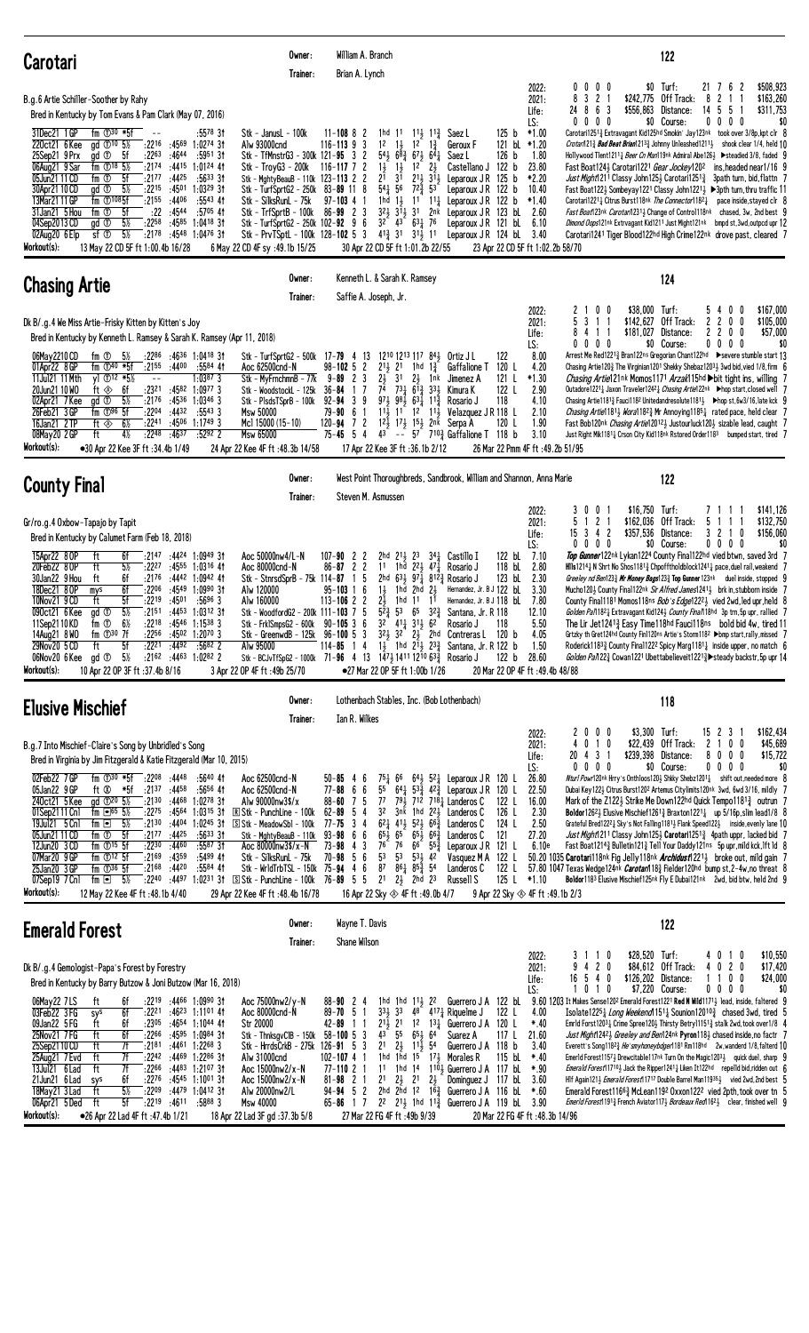| <b>Carotari</b>                                                                                                                                                                                                                                                                                                                                                                                                                                                                                                                                                                                                                                                                                                                                                                                                                                                                                                                                               | Owner:<br>Trainer:                                                                                                                                                                                                                                                                                                                                          | William A. Branch<br>Brian A. Lynch                                                                                                                                                                                                                                                                                                                                                                                                                                                                                                                                                                                                                                                           |                                                                                                                                                                                                                                                                                                                                                                                                                                                                            | 122                                                                                                                                                                                                                                                                                                                                                                                                                                                                                                                                                                                                                                                                                                                                                                                                                                                                                                                                                                                                                                                                                                                                                                                                                                                                           |
|---------------------------------------------------------------------------------------------------------------------------------------------------------------------------------------------------------------------------------------------------------------------------------------------------------------------------------------------------------------------------------------------------------------------------------------------------------------------------------------------------------------------------------------------------------------------------------------------------------------------------------------------------------------------------------------------------------------------------------------------------------------------------------------------------------------------------------------------------------------------------------------------------------------------------------------------------------------|-------------------------------------------------------------------------------------------------------------------------------------------------------------------------------------------------------------------------------------------------------------------------------------------------------------------------------------------------------------|-----------------------------------------------------------------------------------------------------------------------------------------------------------------------------------------------------------------------------------------------------------------------------------------------------------------------------------------------------------------------------------------------------------------------------------------------------------------------------------------------------------------------------------------------------------------------------------------------------------------------------------------------------------------------------------------------|----------------------------------------------------------------------------------------------------------------------------------------------------------------------------------------------------------------------------------------------------------------------------------------------------------------------------------------------------------------------------------------------------------------------------------------------------------------------------|-------------------------------------------------------------------------------------------------------------------------------------------------------------------------------------------------------------------------------------------------------------------------------------------------------------------------------------------------------------------------------------------------------------------------------------------------------------------------------------------------------------------------------------------------------------------------------------------------------------------------------------------------------------------------------------------------------------------------------------------------------------------------------------------------------------------------------------------------------------------------------------------------------------------------------------------------------------------------------------------------------------------------------------------------------------------------------------------------------------------------------------------------------------------------------------------------------------------------------------------------------------------------------|
| B.g.6 Artie Schiller-Soother by Rahy<br>Bred in Kentucky by Tom Evans & Pam Clark (May 07, 2016)<br>fm $\mathbb{D}^{30}$ *5f<br>31Dec21 1GP<br>$:5578$ 31<br>$\sim$ $-$<br>220ct21 6 Kee<br>gd ①10 5%<br>:2216 :4569 1:0274 31<br>gd <sup>1</sup><br>:2263<br>:5951 31<br>25Sep21 9 Prx<br>- 5f<br>:4644<br>$fm$ 18 $5\%$<br>:2174 :4415 1:0124 41<br>06Aug21 9 Sar<br>:2177<br>:5633.31<br>05Jun21 11 CD<br>fm ①<br>5f<br>:44 <sup>25</sup><br>$5\frac{1}{2}$<br>30Apr21 10 CD<br>gd <sup>①</sup><br>:2215<br>:4501<br>$1:03^{29}31$<br>13Mar21 11 GP<br>fm $①$ <sup>108</sup> 5f<br>$:2155$ $:4406$<br>$:5543$ 41<br>:22<br>:4544<br>31Jan21 5 Hou<br>fm ①<br>5f<br>$:5705$ 41<br>gd <sup>th</sup><br>$5\%$<br>:2258<br>:4585<br>$1:04^{18}$ 3t<br>04Sep2013 CD<br>sf@<br>$5\frac{1}{2}$<br>:2178 :4548 1:0476 31<br>02Aug20 6 Elp<br>Workout(s):<br>13 May 22 CD 5F ft 1:00.4b 16/28                                                                       | Stk - JanusL - 100k<br>Alw 93000cnd<br>Stk - TfMnstrG3 - 300k 121-95 3 2<br>Stk - TroyG3 - 200k 116-117 7 2<br>Stk - MghtyBeauB - 110k 123-113 2 2<br>Stk – TurfSprtG2 – 250k<br>Stk - SilksRunL - 75k<br>Stk - TrfSprtB - 100k<br>Stk - TurfSprtG2 - 250k 102-92 9 6<br>Stk - PrvTSptL - 100k 128-102 5 3<br>6 May 22 CD 4F sy : 49.1b 15/25               | $11 - 108$ 8 2<br>1hd 11<br>$11\frac{1}{2}$ $11\frac{3}{4}$<br>$12^{-}$<br>12<br>$1\frac{3}{4}$<br>$116 - 113$ 9<br>3<br>$1\frac{1}{2}$<br>$54\frac{1}{2}$ $6\overline{8}$ $\frac{3}{4}$ $67\frac{1}{2}$<br>$64\frac{1}{4}$<br>1 <sup>2</sup><br>$1\frac{1}{2}$<br>$1\frac{1}{2}$<br>$2\frac{1}{2}$<br>2 <sup>1</sup><br>$2^{11}$ $3^{11}$<br>3 <sup>1</sup><br>$54\frac{1}{4}$ 56<br>$72\frac{3}{4}$<br>$83 - 89$ 11 8<br>53<br>1hd $1\frac{1}{2}$ $1^{1}$<br>$97 - 103$ 4<br>$11\frac{1}{4}$<br>$86 - 99$ 2 3<br>$3^2\frac{1}{2}$ $3^1\frac{1}{2}$ $3^1$<br>2nk<br>$3^{2}$ $4^{3}$ $6^{3}$ $7^{6}$<br>$4^{13}_{4}$ 31 31 <sup>1</sup> / <sub>2</sub> 11<br>30 Apr 22 CD 5F ft 1:01.2b 22/55 | 2022:<br>2021:<br>Life:<br>LS:<br>125 b<br>$*1.00$<br>Saez L<br>121 bl $*1.20$<br>Geroux F<br>126 <sub>b</sub><br>Saez L<br>1.80<br>Castellano J 122 b<br>23.80<br>*2.20<br>Leparoux JR 125 b<br>10.40<br>Leparoux JR 122 b<br>Leparoux JR 122 b<br>$*1.40$<br>123 bL 2.60<br>Leparoux J R<br>Leparoux JR 121 bL 6.10<br>Leparoux JR 124 bL 3.40<br>23 Apr 22 CD 5F ft 1:02.2b 58/70                                                                                       | $$0$ Turf:<br>\$508,923<br>0 <sub>0</sub><br>21 7<br>6<br>$\overline{c}$<br>$0\quad 0$<br>3 <sub>2</sub><br>\$242,775 Off Track:<br>8<br>8<br>\$163,260<br>2<br>-1<br>8<br>\$556,863<br>14 5<br>\$311,753<br>24<br>63<br>Distance:<br>-5<br>$0\ 0\ 0\ 0$<br>\$0 Course:<br>$0\ 0\ 0\ 0$<br>\$0<br>Carotari12513 Extravagant Kid125hd Smokin' Jay123nk took over 3/8p, kpt clr 8<br>Crotarn121 $\frac{3}{4}$ Bad Beat Brian1213 $\frac{3}{4}$ Johnny Unleashed1211 $\frac{1}{2}$ shook clear 1/4, held 10<br>Hollywood Tlent1211 <sub>4</sub> Beer Cn Man119nk Admiral Abe126 <sub>2</sub> ▶ steadied 3/8, faded 9<br>Fast Boat124} Carotari1221 <i>Gear Jockey</i> 120 <sup>2</sup> ins, headed near1/16 9<br>Just Might1211 Classy John1253 Carotari1251 <sup>3</sup> 3path turn, bid, flattn 7<br>Fast Boat122} Sombeyay1221 Classy John1221} ▶ 3pth turn, thru traffic 11<br>Carotari1221 <sub>4</sub> Citrus Burst118nk The Connector1182 <sub>4</sub><br>pace inside, stayed clr 8<br>Fast Boat123nk Carotar12311, Change of Control118nk chased, 3w, 2nd best 9<br>Dimond Oops121nk Extrvagant Kid1211 Just Might121nk bmpd st, 3wd, outpcd upr 12<br>Carotari1241 Tiger Blood122hd High Crime122nk drove past, cleared 7                                               |
| <b>Chasing Artie</b>                                                                                                                                                                                                                                                                                                                                                                                                                                                                                                                                                                                                                                                                                                                                                                                                                                                                                                                                          | Owner:<br>Trainer:                                                                                                                                                                                                                                                                                                                                          | Kenneth L. & Sarah K. Ramsey<br>Saffie A. Joseph, Jr.                                                                                                                                                                                                                                                                                                                                                                                                                                                                                                                                                                                                                                         |                                                                                                                                                                                                                                                                                                                                                                                                                                                                            | 124                                                                                                                                                                                                                                                                                                                                                                                                                                                                                                                                                                                                                                                                                                                                                                                                                                                                                                                                                                                                                                                                                                                                                                                                                                                                           |
| Dk B/.g.4 We Miss Artie-Frisky Kitten by Kitten's Joy<br>Bred in Kentucky by Kenneth L. Ramsey & Sarah K. Ramsey (Apr 11, 2018)<br>$:22^{86}$ $:46^{36}$ 1:0418 31<br>06May 2210 CD<br>fm ①<br>5½<br>fm $(D40 * 5f)$<br>:4400<br>01Apr22 8 GP<br>$:21^{55}$<br>:5584 41<br>11Jul21 11 Mth<br>y] $\oplus$ 12 *5½<br>$1:0387$ 3<br>$\sim$ $-$<br>:2321<br>$:4582$ 1:0977 3<br>20Jun21 10 WO<br>ft ⊗<br>6f<br>gd <sup>①</sup><br>$5\frac{1}{2}$<br>02Apr21 7Kee<br>:2176<br>:4536 1:0346 3<br>$fm$ $\overline{O^{96}}$ 5f<br>:2204 :4432<br>$:5543$ 3<br>26Feb21 3GP<br>16Jan21 2 TP<br>:2241 :4506 1:1749 3<br>ft ◈<br>6½<br>4%<br>:2248<br>:4637<br>:52922<br>08May20 2 GP<br>ft<br>Workout(s):<br>•30 Apr 22 Kee 3F ft :34.4b 1/49                                                                                                                                                                                                                            | Stk - TurfSprtG2 - 500k 17-79 4 13<br>Aoc 62500cnd-N<br>Stk - MyFrnchmnB - 77k<br>Stk - WoodstockL - 125k<br>Stk - PlsdsTSprB - 100k<br><b>Msw 50000</b><br>Mc1 15000 (15-10)<br><b>Msw 65000</b><br>24 Apr 22 Kee 4F ft: 48.3b 14/58                                                                                                                       | 1210 1213 117 84 } Ortiz J L<br>$98 - 102$ 5 2<br>$2^{11}$ , $2^{1}$<br>1hd<br>$1\frac{3}{4}$<br>$9 - 89$ 2<br>3<br>2}<br>3 <sup>1</sup><br>$2\frac{1}{2}$<br>1nk<br>$7\overline{4}$ $73\overline{1}$ $6\overline{1}$ $\overline{3}$ $33\overline{1}$<br>17<br>$36 - 84$<br>$97\frac{1}{2}$ $98\frac{1}{2}$ $63\frac{1}{4}$ $11\frac{3}{4}$<br>9<br>$92 - 94$ 3<br>79-90<br>$11\frac{1}{2}$ 11 12 11<br>6<br>$12\frac{1}{2}$ $17\frac{1}{2}$ $15\frac{1}{2}$ $2n\bar{k}$ Serpa A<br>$120 - 94$ 7 2<br>$75 - 45$ 5<br>43<br>4<br>17 Apr 22 Kee 3F ft : 36.1b 2/12                                                                                                                              | 2022:<br>2021:<br>Life:<br>LS:<br>8.00<br>122<br>120 L<br>4.20<br>Gaffalione T<br>121 L<br>$*1.30$<br>Jimenez A<br>2.90<br>122 L<br>Kimura K<br>118<br>4.10<br>Rosario J<br>Velazquez J R 118 L<br>2.10<br>120 L<br>1.90<br>$-$ 5 <sup>7</sup> 7 <sup>10</sup> $\frac{3}{4}$ Gaffalione T 118 b<br>3.10<br>26 Mar 22 Pmm 4F ft :49.2b 51/95                                                                                                                                | \$167,000<br>0<br>\$38,000 Turf:<br>0<br>2<br>54<br>0<br>0<br>3 <sub>1</sub><br>Off Track:<br>5<br>\$142,627<br>2 <sub>2</sub><br>0<br>0<br>\$105,000<br>-1<br>\$181,027<br>2 <sub>2</sub><br>\$57,000<br>Distance:<br>0<br>0<br>4<br>$\overline{1}$<br>$0\,0\,0\,0$<br>\$0 Course:<br>$0\ 0\ 0\ 0$<br>\$0<br>Arrest Me Red12213 Bran122ns Gregorian Chant122hd >severe stumble start 13<br>Chasing Artie120 $\frac{3}{4}$ The Virginian1201 Shekky Shebaz1203 $\frac{1}{2}$ 3wd bid, vied 1/8, firm 6<br><i>Chasing Artie</i> 121 <sup>nk</sup> Momos 1171 <i>Arzak</i> 15 <sup>hd</sup> bit tight ins, willing 7<br>Outadore12211 Jaxon Traveler12421 Chasing Artie122nk ▶hop start, closed well 7<br>Chasing Artie1181} Fauci1182 Unitedandresolute1181} ► hop st, 6w3/16, late kck 9<br><i>Chasing Artie</i> 18 <sup>1</sup> <i>Wora</i> 18 <sup>2</sup> <i>M</i> r Annoying 118 <sup>5</sup> <i>M</i> rated pace, held clear 7<br>Fast Bob120nk Chasing Artie120123 Justourluck1203 sizable lead, caught 7<br>Just Right Mik1181 <sub>4</sub> Crson City Kid118nk Rstored Order1183 bumped start, tired 7                                                                                                                                                                |
| <b>County Final</b>                                                                                                                                                                                                                                                                                                                                                                                                                                                                                                                                                                                                                                                                                                                                                                                                                                                                                                                                           | Owner:<br>Trainer:                                                                                                                                                                                                                                                                                                                                          | Steven M. Asmussen                                                                                                                                                                                                                                                                                                                                                                                                                                                                                                                                                                                                                                                                            | West Point Thoroughbreds, Sandbrook, William and Shannon, Anna Marie                                                                                                                                                                                                                                                                                                                                                                                                       | 122                                                                                                                                                                                                                                                                                                                                                                                                                                                                                                                                                                                                                                                                                                                                                                                                                                                                                                                                                                                                                                                                                                                                                                                                                                                                           |
| Gr/ro.g.4 Oxbow-Tapajo by Tapit<br>Bred in Kentucky by Calumet Farm (Feb 18, 2018)<br>:2147 :4424 1:0949 31<br>15Apr22 8 OP<br>ft<br>6f<br>$5\%$<br>20Feb22 8 OP<br>ft<br>:2227<br>$:4555$ 1:0316 41<br>30Jan22 9 Hou<br>ft<br>:2176<br>$:4442$ 1:0942 41<br>6f<br>6f<br>:2206<br>:4549 1:0990 31<br>18Dec21 8 OP<br>mys<br>:2219<br>10Nov21 9 CD<br>ft<br>5f<br>:4501<br>$:5696$ 3<br>$5\%$<br>090ct21 6 Kee<br>:2151 :4453 1:0312 31<br>gd <sup>T</sup><br>fm <sup>①</sup><br>$6\%$<br>$:22^{18}$ $:45^{46}$ 1:1538 3<br>11Sep2110KD<br>:2256 :4502 1:2070 3<br>14Aug21 8 WO<br>fm $\mathbb{D}^{30}$ 7f<br>$:22^{21}$ $:44^{92}$<br>29Nov20 5 CD<br>5f<br>:5682 2<br>ft<br>$5\%$<br>06Nov20 6Kee<br>gd <sup>1</sup><br>$:21^{62}$ $:44^{63}$ 1:0282 2<br>Workout(s):<br>10 Apr 22 OP 3F ft : 37.4b 8/16                                                                                                                                                     | Aoc 50000nw4/L-N<br>Aoc 80000cnd-N<br>Stk - StnrsdSprB - 75k 114-87<br>Alw 120000<br>Alw 160000<br>Stk - WoodfordG2 - 200k 111-103 7 5<br>Stk - Frk1SmpsG2 - 600k 90-105 3 6<br>Stk - GreenwdB - 125k 96-100 5 3<br>Alw 95000<br>3 Apr 22 OP 4F ft: 49b 25/70                                                                                               | $107 - 90$ 2 2<br>2hd $2^{11}$ , $2^{3}$<br>$86 - 87$ 2 2<br>1 <sup>1</sup><br>1hd $2^2$ , $4^7$<br>5<br>2hd<br>631 97 $\frac{1}{4}$ 812 $\frac{3}{4}$ Rosario J<br>$1\frac{1}{2}$<br>1hd<br>$2\frac{1}{2}$<br>$95 - 103$ 1 6<br>2hd<br>1hd 11<br>$113 - 106$ 2 2<br>2}<br>1 <sup>1</sup><br>$5^{2}\frac{3}{4}$<br>53<br>65<br>323<br>$3^{2}$ $4^{11}$ $3^{11}$ $6^{2}$<br>$32$ $32$ $21$ $21$ $21$ $21$ $21$ $21$ $21$ $21$ $21$ $21$ $21$ $21$ $21$ $21$ $21$ $21$ $21$ $21$<br>$114 - 85$<br>4<br>$\mathbf{1}$<br>Stk - BCJvTfSpG2 - 1000k 71-96 4 13 1 $47\frac{1}{2}$ 1411 12 <sup>10</sup> 63 $\frac{3}{4}$ Rosario J<br>●27 Mar 22 OP 5F ft 1:00b 1/26                                 | 2022:<br>2021:<br>Life:<br>LS:<br>122 bL<br>7.10<br>$34\frac{1}{4}$ Castillo I<br>118 bL<br>2.80<br>Rosario J<br>123 bL<br>2.30<br>Hernandez, Jr. B J 122 bl<br>3.30<br>Hernandez, Jr. B J 118 bl<br>7.80<br>Santana, Jr. R 118<br>12.10<br>5.50<br>118<br>Rosario J<br>120 <sub>b</sub><br>4.05<br>14 1hd 214 233 Santana, Jr. R 122 b<br>1.50<br>122 b<br>28.60<br>20 Mar 22 OP 4F ft : 49.4b 48/88                                                                      | 0<br>$$16,750$ Turf:<br>\$141,126<br>0<br>3<br>$\overline{c}$<br>5<br>\$162,036<br>Off Track:<br>\$132,750<br>-1<br>5<br>-1<br>-1<br>$\overline{1}$<br>15 <sup>3</sup><br>$\overline{4}$<br>$\overline{c}$<br>\$357,536 Distance:<br>\$156,060<br>32<br>10<br>0<br>\$0 Course:<br>$0\ 0\ 0\ 0$<br>0<br>- 0<br>\$0<br><b>Top Gunner</b> 122nk Lykan 1224 County Fina 1122hd vied btwn, saved 3rd 7<br>HIIs1214 $\frac{1}{4}$ N Shrt No Shos1181 $\frac{3}{4}$ Chpofftholdblock1241 $\frac{1}{4}$ pace, duel rail, weakend 7<br>Greeley nd Ben123 $\frac{3}{4}$ Mr Money Bags123 $\frac{3}{4}$ Top Gunner 123 <sup>nk</sup> duel inside, stopped 9<br>Mucho1201 County Final122nk Sir Alfred James12411 brk in, stubborn inside 7<br>County Final1181 Momos118ns <i>Bob's Edge</i> 122 <sup>21</sup> vied 2wd, led upr, held 8<br>Golden Pan1821 Extravagant Kid1241 County Finan18hd 3p trn, 5p upr, railied 7<br>The Lir Jet12413 Easy Time118hd Fauci118ns bold bid 4w, tired 11<br>Grtzky th Gret124hd County Fin1120ns Artie's Storm118 <sup>2</sup> ▶bmp start,rally,missed 7<br>Roderick1183 $\frac{3}{4}$ County Final122 <sup>2</sup> Spicy Marg1181 $\frac{1}{4}$ inside upper, no match 6<br>Golden Pa/122½ Cowan1221 Ubettabelieveit1221½ Steady backstr, 5p upr 14 |
| <b>Elusive Mischief</b>                                                                                                                                                                                                                                                                                                                                                                                                                                                                                                                                                                                                                                                                                                                                                                                                                                                                                                                                       | Owner:<br>Trainer:                                                                                                                                                                                                                                                                                                                                          | Lothenbach Stables, Inc. (Bob Lothenbach)<br>Ian R. Wilkes                                                                                                                                                                                                                                                                                                                                                                                                                                                                                                                                                                                                                                    |                                                                                                                                                                                                                                                                                                                                                                                                                                                                            | 118                                                                                                                                                                                                                                                                                                                                                                                                                                                                                                                                                                                                                                                                                                                                                                                                                                                                                                                                                                                                                                                                                                                                                                                                                                                                           |
| B.g.7 Into Mischief-Claire's Song by Unbridled's Song<br>Bred in Virginia by Jim Fitzgerald & Katie Fitzgerald (Mar 10, 2015)<br>02Feb22 7GP<br>fm $\overline{0}^{30}$ *5f :2208 :4448<br>:5640 41<br>ft Ø<br>:5656 41<br>05Jan22 9 GP<br>*5f :21 <sup>37</sup> :44 <sup>58</sup><br>240ct21 5Kee<br>ad $\Phi^{20}$ 5%<br>$:2130$ $:4468$ 1:0278 31<br>01Sep2111 Cnl<br>fm $\overline{\phantom{0}}$ 65 5%<br>:22 <sup>75</sup> :45 <sup>64</sup><br>19Jul21 5 Cn1<br>fm $\Box$ 5%<br>:2130<br>:4404<br>1:02 <sup>45</sup> 3†<br>$fm$ $\odot$ 5f<br>$:21^{77}$ $:44^{25}$<br>05Jun21 11 CD<br>$:5633$ 31<br>$fm$ $\odot$ <sup>15</sup> $5f$<br>:2230<br>:4460<br>$:5587$ 31<br>12Jun20 3 CD<br>fm $\mathbb{O}^{12}$ 5f<br>:5499 41<br>07Mar20 9 GP<br>$:21^{69}$ $:43^{59}$<br>$fm$ $\overline{O}$ <sup>36</sup> 5f<br>$:21^{68}$ $:44^{20}$<br>$:5584$ 41<br>25Jan20 3 GP<br>07Sep19 7 Cnl<br>fm $\Box$ 5%<br>Workout(s):<br>12 May 22 Kee 4F ft : 48.1b 4/40 | Aoc 62500cnd-N<br>Aoc 62500cnd-N<br>Alw 90000nw3\$/x<br>$1:03^{15}$ 3t $\quad \mathbb{R}$ Stk - PunchLine - 100k<br>S Stk - MeadowSb1 - 100k<br>Stk - MghtyBeauB - 110k<br>Aoc 80000nw3\$/x-N<br>Stk - SilksRunL - 75k<br>Stk - WrldTrbTSL - 150k 75-94 4 6<br>:2240 :4497 1:0231 31 S Stk - PunchLine - 100k 76-89 5 5<br>29 Apr 22 Kee 4F ft: 48.4b 16/78 | $50 - 85$ 4 6<br>$77 - 88$ 6 6<br>55<br>$88 - 60$ 7 5<br>7 <sup>7</sup><br>791 712 7181 Landeros C<br>3 <sup>2</sup><br>$62 - 89$ 5<br>4<br>3nk<br>$62\frac{1}{4}$ 413 523 66 $\frac{3}{4}$<br>$77 - 75$ 3 4<br>$93 - 98$ 6 6<br>$65\frac{1}{2}$ $65\frac{1}{2}$ $65\frac{1}{2}$ $66\frac{3}{4}$<br>76 $6^{\circ}$ $5^{\frac{3}{4}}$<br>$73 - 98$ 4 3<br>76<br>$70 - 98$ 5 6<br>5 <sup>3</sup><br>5 <sup>3</sup><br>$53\frac{1}{2}$ 42<br>87<br>$86\frac{1}{4}$ $85\frac{5}{4}$ 54<br>$21 \t2\frac{1}{2}$ 2hd 23<br>16 Apr 22 Sky $\otimes$ 4F ft:49.0b 4/7                                                                                                                                   | 2022:<br>2021:<br>Life:<br>LS:<br>26.80<br>751 66 641 521 Leparoux JR 120 L<br>$64\frac{1}{4}$ 53 $\frac{3}{4}$ 42 $\frac{3}{4}$ Leparoux JR 120 L<br>22.50<br>16.00<br>122 L<br>1hd $2^2$ Landeros C<br>126 L<br>2.30<br>124 L<br>2.50<br>Landeros C<br>121<br>27.20<br>Landeros C<br>Leparoux JR 121 L<br>6.10e<br>Vasquez M A 122 L<br>122 L<br>Landeros C<br>125 L<br>Russell S<br>*1.10<br>9 Apr 22 Sky $\otimes$ 4F ft :49.1b 2/3                                    | \$3,300 Turf:<br>2000<br>15 2 3 1<br>\$162,434<br>0<br>$\overline{1}$<br>\$22,439 Off Track:<br>2 1 0<br>\$45,689<br>0<br>4<br>0<br>20 4 3 1<br>\$239,398 Distance:<br>\$15,722<br>8000<br>$0\ 0\ 0\ 0$<br>\$0 Course:<br>$0\ 0\ 0\ 0$<br>\$0<br>Nturl Powr120nk Hrry's Onthloos120} Shkky Shebz12011 shift out, needed more 8<br>Dubai Key1223 Citrus Burst1202 Artemus Citylimits120nk 3wd, 6wd 3/16, mildly 7<br>Mark of the Z1223 Strike Me Down122hd Quick Tempo11813 outrun 7<br><b>Boldor</b> 126 <sup>2</sup> Elusive Mischief 126 <sup>1</sup> & Braxton 122 <sup>1</sup> & up 5/16p, slim lead 1/8 8<br>Grateful Bred1222 $\frac{1}{4}$ Sky's Not Falling1181 $\frac{1}{2}$ Flank Speed122 $\frac{1}{2}$ inside, evenly lane 10<br>Just Might1211 Classy John125} Carotari12513 4path uppr, lacked bid 7<br>Fast Boat12143 Bulletin1213 Tell Your Daddy121ns 5p upr, mild kck, Ift Id 8<br>50.20 1035 Carotari118nk Fig Jelly118nk Archidust12213 broke out, mild gain 7<br>57.80 1047 Texas Wedge124nk <i>Carotarl</i> 18 <sub>2</sub> Fielder120hd bump st, 2-4w, no threat 8<br>Boldor1183 Elusive Mischief125nk Fly E Dubai121nk 2wd, bid btw, held 2nd 9                                                                                                       |
| <b>Emerald Forest</b>                                                                                                                                                                                                                                                                                                                                                                                                                                                                                                                                                                                                                                                                                                                                                                                                                                                                                                                                         | Owner:<br>Trainer:                                                                                                                                                                                                                                                                                                                                          | Wayne T. Davis<br>Shane Wilson                                                                                                                                                                                                                                                                                                                                                                                                                                                                                                                                                                                                                                                                |                                                                                                                                                                                                                                                                                                                                                                                                                                                                            | 122                                                                                                                                                                                                                                                                                                                                                                                                                                                                                                                                                                                                                                                                                                                                                                                                                                                                                                                                                                                                                                                                                                                                                                                                                                                                           |
| Dk B/.g.4 Gemologist-Papa's Forest by Forestry<br>Bred in Kentucky by Barry Butzow & Joni Butzow (Mar 16, 2018)<br>06May22 7LS<br>:2219 :4466 1:0990 3†<br>ft<br>6f<br>03Feb22 3FG<br>6f<br>$:22^{21}$ $:46^{23}$ 1:1101 41<br>sys<br>09Jan22 5 FG<br>ft<br>6f<br>$: 23^{05}$ $: 46^{54}$ 1:1044 41<br>25Nov21 7 FG<br>6f<br>ft<br>:2266 :4595 1:0984 31<br>25Sep2110CD<br>ft<br>7f<br>:2181 :4461 1:2268 3<br>ft<br>7f<br>:2242 :4469 1:2286 31<br>25Aug21 7 Evd<br>7f<br>13Jul21 6 Lad<br>ft<br>:22 <sup>66</sup> :44 <sup>83</sup> 1:21 <sup>07</sup> 3†<br>6f<br>$:22^{76}$ $:45^{45}$ 1:10 <sup>01</sup> 31<br>21Jun21 6 Lad<br>sys<br>$5\%$<br>ft<br>:2209<br>18May21 3 Lad<br>$:4479$ 1:0412 31<br>5f<br>$:22^{19}$ $:46^{11}$ $:58^{88}$ 3<br>06Apr21 5 Ded<br>ft<br>Workout(s):<br>●26 Apr 22 Lad 4F ft :47.4b 1/21                                                                                                                                  | Aoc 75000nw2/y-N<br>Aoc 80000cnd-N<br>Str 20000<br>Stk - ThnksgvCIB - 150k<br>Stk - HrrdsCrkB - 275k 126-91 5 3<br>Alw 31000cnd<br>Aoc 15000nw2/x-N<br>Aoc 15000nw2/x-N<br>Alw 20000nw2/L<br>Msw 40000<br>18 Apr 22 Lad 3F gd :37.3b 5/8                                                                                                                    | $88 - 90$ 2 4<br>1hd 1hd 11, 22<br>$33\frac{1}{2}$ 33<br>$89 - 70$ 5 1<br>42-89 11<br>$43^{\circ}$ 55<br>$65\frac{1}{2}$ 64<br>$58 - 100$ 5 3<br>$2^1$ $2^1$ $1^1$ $5^4$<br>1hd $1\overline{h}$ d $15$ <sup>-</sup> 17 <sub>3</sub> Morales R<br>$102 - 107 + 1$<br>$77 - 11021$<br>11<br>$81 - 98$ 2 1<br>$2\frac{1}{2}$ $2^1$ $2\frac{1}{2}$<br>2 <sup>1</sup><br>$94 - 94$ 5 2<br>65-86 1 7 2 <sup>2</sup> 2 <sup>1</sup> / <sub>2</sub> 1hd 1 <sup>1</sup> / <sub>4</sub> Guerrero J A 119 bl 3.90<br>27 Mar 22 FG 4F ft: 49b 9/39                                                                                                                                                        | 2022:<br>2021:<br>Life:<br>LS:<br>Guerrero J A 122 bL<br>$4^8$ $4^{17}\frac{1}{4}$ Riquelme J<br>4.00<br>122 L<br>$2^{1}\frac{1}{2}$ 21 1 <sup>2</sup> 1 <sup>3</sup> $\frac{1}{4}$ Guerrero J A 120 L<br>$*40$<br>117 L<br>21.60<br>Suarez A<br>Guerrero J A 118 b<br>3.40<br>115 bL<br>*.40<br>1hd $14$ $1^{10}$ , Guerrero J A $117$ bL<br>*.90<br>Dominguez J 117 bL 3.60<br>2hd 2hd 12 $16\frac{3}{4}$ Guerrero J A 116 bl $*$ .60<br>20 Mar 22 FG 4F ft :48.3b 14/96 | \$28,520 Turf:<br>4010<br>\$10,550<br>3<br>110<br>2 <sub>0</sub><br>\$84,612 Off Track:<br>4 0 2 0<br>\$17,420<br>4<br>$16$ 5 4 0<br>\$126,202 Distance:<br>1100<br>\$24,000<br>101<br>\$7,220 Course:<br>0<br>$0\,0\,0\,0$<br>\$0<br>$9.60$ 1203 It Makes Sense120 <sup>2</sup> Emerald Forest1221 <b>Red N Wild</b> 1171 <sub>2</sub> lead, inside, faltered 9<br>Isolate122 <sup>5</sup> <i>Long Weekend</i> 115 <sup>1</sup> <i>k</i> Sounion120 <sup>10</sup> <i>k</i> chased 3wd, tired 5<br>Emrld Forst12031 Crime Spree1201 Thirsty Betry111513 stalk 2wd, took over1/8 4<br>Just Might 12423 Greeley and Ben124nk Pyron 1183 chased inside, no factr 7<br>Everett's Song11823 He'smyhoneybdger1181 Rm118hd 2w, wanderd 1/8, falterd 10<br>Emerld Forest1157 $\frac{1}{2}$ Drewcitable117nk Turn On the Magic1203 $\frac{1}{2}$ quick duel, sharp 9<br><i>Emerald Forest</i> 117 <sup>10</sup> } Jack the Ripper124 <sup>1</sup> <sup>1</sup> Liken It122 <sup>hd</sup> repelld bid, ridden out 6<br>HIf Again121} Emerald Forest11717 Double Barrel Man11935} vied 2wd, 2nd best 5<br>Emerald Forest11663 McLean1192 Oxxon1222 vied 2pth.took over tn 5<br>EmerId Forest1913 French Aviator1173 Bordeaux Red11623 clear, finished well 9                             |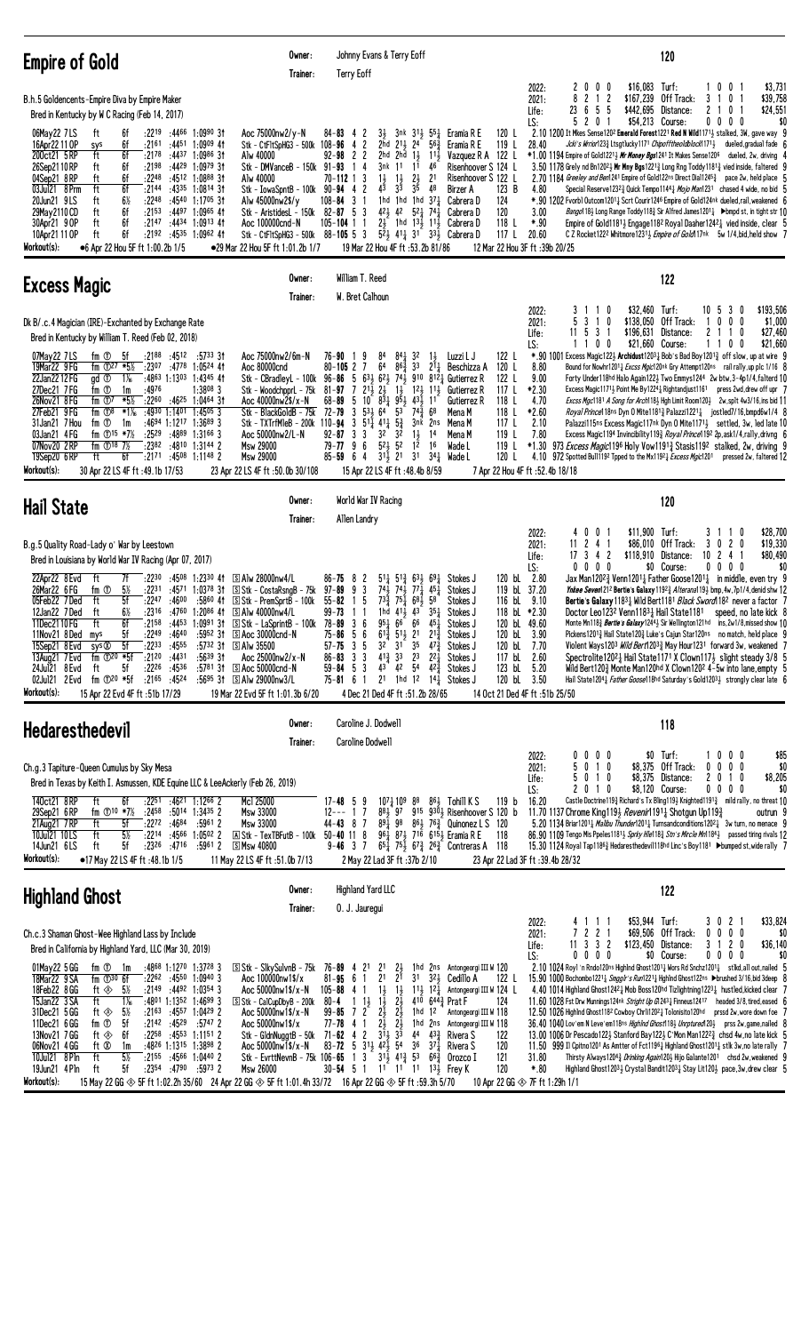| <b>Empire of Gold</b>                                                                                                                                                                                                                                                                                                                                                                                                                                                                                                                                                                                                                                                                                                                                                                                     | Owner:<br>Trainer:                                                                                                                                                                                                                                                                                                                                                                                              | Johnny Evans & Terry Eoff<br><b>Terry Eoff</b>                                                                                                                                                                                                                                                                                                                                                                                                                                                                                                                                                                                                                                                                      |                                                                                                                                                                                                                                                                                                                                                                                                 | 120                                                                                                                                                                                                                                                                                                                                                                                                                                                                                                                                                                                                                                                                                                                                                                                                                                                                                                                                                                                                                                                                                                                                                                                                                                                                                                                                                                                      |
|-----------------------------------------------------------------------------------------------------------------------------------------------------------------------------------------------------------------------------------------------------------------------------------------------------------------------------------------------------------------------------------------------------------------------------------------------------------------------------------------------------------------------------------------------------------------------------------------------------------------------------------------------------------------------------------------------------------------------------------------------------------------------------------------------------------|-----------------------------------------------------------------------------------------------------------------------------------------------------------------------------------------------------------------------------------------------------------------------------------------------------------------------------------------------------------------------------------------------------------------|---------------------------------------------------------------------------------------------------------------------------------------------------------------------------------------------------------------------------------------------------------------------------------------------------------------------------------------------------------------------------------------------------------------------------------------------------------------------------------------------------------------------------------------------------------------------------------------------------------------------------------------------------------------------------------------------------------------------|-------------------------------------------------------------------------------------------------------------------------------------------------------------------------------------------------------------------------------------------------------------------------------------------------------------------------------------------------------------------------------------------------|------------------------------------------------------------------------------------------------------------------------------------------------------------------------------------------------------------------------------------------------------------------------------------------------------------------------------------------------------------------------------------------------------------------------------------------------------------------------------------------------------------------------------------------------------------------------------------------------------------------------------------------------------------------------------------------------------------------------------------------------------------------------------------------------------------------------------------------------------------------------------------------------------------------------------------------------------------------------------------------------------------------------------------------------------------------------------------------------------------------------------------------------------------------------------------------------------------------------------------------------------------------------------------------------------------------------------------------------------------------------------------------|
| B.h.5 Goldencents-Empire Diva by Empire Maker<br>Bred in Kentucky by W C Racing (Feb 14, 2017)<br>:2219<br>:4466 1:0990 31<br>06May22 7LS<br>ft<br>6f<br>16Apr22 11 OP<br>6f<br>$:21^{61}$ $:44^{51}$ $1:09^{09}$ 41<br>sys<br>6f<br>200ct21 5RP<br>ft<br>:2178<br>:4437 1:0986 3†<br>:2198 :4429 1:0979 31<br>26Sep2110RP<br>6f<br>ft<br>04Sep21 8RP<br>ft<br>6f<br>$:22^{48}$ $:45^{12}$ 1:0888 31<br>ft<br>03Jul21 8 Prm<br>6f<br>:2144<br>:4335<br>$6\%$<br>:2248<br>:4540 1:1705 31<br>20Jun21 9LS<br>ft<br>6f<br>29May 2110 CD<br>ft<br>:2153<br>$:4497$ 1:0965 41<br>ft<br>6f<br>$:2147$ $:4434$ 1:0913 41<br>30Apr21 9 OP<br>ft<br>6f<br>10Apr21 11 OP<br>$:2192$ $:4535$ 1:0962 41<br>Workout(s):<br>●6 Apr 22 Hou 5F ft 1:00.2b 1/5                                                             | Aoc 75000nw2/y-N<br>Stk - CtF1tSpHG3 - 500k 108-96<br>Alw 40000<br>Stk - DMVanceB - 150k 91-93<br>Alw 40000<br>$1:0814$ 31<br>Stk - IowaSpntB - 100k 90-94 4<br>Alw 45000nw2\$/y<br>Stk - AristidesL - 150k<br>Aoc 100000cnd-N<br>Stk - CtFltSpHG3 - 500k 88-105 5 3<br>•29 Mar 22 Hou 5F ft 1:01.2b 1/7                                                                                                        | $84 - 83$ 4 2<br>$3\frac{1}{2}$<br>3nk 31, 551<br>2<br>2hd $2^{11}$ $2^{4}$<br>-4<br>$92 - 98$ 2 2<br>2hd<br>$1\frac{1}{2}$<br>2hd<br>4<br>3nk<br>11<br>11<br>$\mathbf{1}$<br>11<br>$\frac{21}{35}$<br>70-112 1 3<br>$1\frac{1}{2}$<br>$4\overline{3}$<br>$3\overline{3}$<br>2<br>1hd 1hd 1hd $37\frac{1}{4}$<br>$108 - 84$ 3 1<br>$42\frac{1}{2}$ 42<br>$82 - 87$ 5 3<br>$2\frac{1}{2}$ 1hd $13\frac{1}{2}$ 11 $\frac{1}{2}$<br>$105 - 104$ 1 1<br>19 Mar 22 Hou 4F ft :53.2b 81/86                                                                                                                                                                                                                                | Eramia R E<br>120 L<br>$56\frac{3}{7}$<br>119L<br>Eramia R E<br>Vazquez R A<br>122 L<br>$11\frac{1}{2}$<br>46<br>Risenhoover S 124 L<br>Risenhoover S 122 L<br>21<br>48<br>123 B<br>Birzer A<br>124<br>Cabrera D<br>$5^2$ $7^4$<br>120<br>Cabrera D<br>118 L<br>Cabrera D<br>$5^{2}\frac{1}{2}$ 41 $\frac{1}{4}$ 31 33 $\frac{1}{2}$ Cabrera D<br>117 L                                         | \$16,083<br>Turf:<br>10<br>$\mathbf 0$<br>\$3,731<br>2022:<br>2<br>0<br>$0\quad 0$<br>$2$ 1 2<br>8<br>\$167,239<br>Off Track:<br>0<br>\$39,758<br>2021:<br>3<br>23<br>6<br>\$442,695<br>$\mathbf{2}$<br>\$24,551<br>55<br>Distance:<br>0<br>Life:<br>201<br>\$54,213 Course:<br>$0\,0\,0\,0$<br>\$0<br>5<br>LS:<br>2.10 1200 It Mkes Sense1202 Emerald Forest1221 Red N Wild1171 $\frac{1}{2}$ stalked, 3W, gave way 9<br>28.40<br>Jcki's Wrrior123½ Ltsgtlucky1171 <i>ChipofftheoIdblock</i> 1171½<br>dueled, gradual fade f<br>$*1.00$ 1194 Empire of Gold12213 Mr Money Bgs1241 It Makes Sense1206<br>dueled, 2w, driving 4<br>3.50 1178 Grely nd Bn120 <sup>21</sup> , Mr Mny Bgs122 <sup>13</sup> Long Rng Toddy118 <sup>13</sup> vied inside, faltered 9<br>2.70 1184 Greeley and Ben1241 Empire of Gold122ns Direct Dia11245 <sub>4</sub> pace 2w, held place [<br>4.80<br>Special Reserve12323 Quick Tempo11441 Mojo Man1231 chased 4 wide, no bid 5<br>*.90 1202 Fvorb1 Outcom12011 Scrt Courir1246 Empire of Gold124nk dueled,rail, weakened 6<br>3.00<br><i>Bango</i> 118} Long Range Toddy118} Sir Alfred James1201} ▶bmpd st, in tight str 10<br>*.90<br>Empire of Gold11814 Engage1182 Royal Daaher12424 vied inside, clear {<br>20.60<br>C Z Rocket122 <sup>2</sup> Whitmore12313 <i>Empire of Gold</i> 117nk 5w 1/4, bid, held show 7<br>12 Mar 22 Hou 3F ft : 39b 20/25 |
| <b>Excess Magic</b>                                                                                                                                                                                                                                                                                                                                                                                                                                                                                                                                                                                                                                                                                                                                                                                       | Owner:<br>Trainer:                                                                                                                                                                                                                                                                                                                                                                                              | William T. Reed<br>W. Bret Calhoun                                                                                                                                                                                                                                                                                                                                                                                                                                                                                                                                                                                                                                                                                  |                                                                                                                                                                                                                                                                                                                                                                                                 | 122                                                                                                                                                                                                                                                                                                                                                                                                                                                                                                                                                                                                                                                                                                                                                                                                                                                                                                                                                                                                                                                                                                                                                                                                                                                                                                                                                                                      |
| Dk B/.c.4 Magician (IRE)-Exchanted by Exchange Rate<br>Bred in Kentucky by William T. Reed (Feb 02, 2018)<br>07May22 7LS<br>fm ①<br>-5f<br>:2188 :4512<br>19Mar22 9 FG<br>fm $\oplus$ 27 *5½<br>$: 23^{07}$ $: 47^{78}$ 1:0524 41<br>22Jan2212 FG<br>$1\%$<br>$:4863$ 1:1303 1:4345 41<br>gd ①<br>:4976<br>27Dec21 7FG<br>fm ①<br>1m<br>$:22^{60}$ :46 <sup>25</sup> 1:0464 31<br>26Nov21 8 FG<br>fm $\mathbb{D}^7$<br>*5½<br>27Feb21 9FG<br>fm $\mathbb{O}^8$<br>*1¼<br>$:4930$ 1:1401<br>:4694 1:1217 1:3689 3<br>31Jan21 7 Hou<br>fm ①<br>1m<br>fm $\textcircled{15}$ *7%<br>03Jan21 4FG<br>$:25^{29}$<br>:4889<br>07Nov20 2RP<br>fm $\Phi$ <sup>18</sup> 7 <sup>%</sup><br>:2382 :4810 1:3144 2<br>19Sep20 6RP<br>6f<br>:2171 :4508 1:1148 2<br>ft<br>Workout(s):<br>30 Apr 22 LS 4F ft : 49.1b 17/53 | :5733 31<br>Aoc 75000nw2/6m-N<br>Aoc 80000cnd<br>Stk - CBradleyL - 100k<br>$1:3808$ 3<br>Stk - WoodchpprL - 75k<br>Aoc 40000nw2\$/x-N<br>1:45053<br>Stk - BlackGoldB - 75k<br>Stk - TXTrfMleB - 200k 110-94<br>$1:31^{66}3$<br>Aoc 50000nw2/L-N<br><b>Msw 29000</b><br><b>Msw 29000</b><br>23 Apr 22 LS 4F ft: 50.0b 30/108                                                                                     | 84<br>$84\frac{1}{4}$ 32<br>76-90<br>9<br>64<br>$86\frac{3}{4}$<br>3 <sup>3</sup><br>$80 - 105$ 2 7<br>$63\frac{1}{2}$ $62\frac{1}{2}$ $74\frac{1}{2}$<br>$96 - 86 = 5$<br>$2^{1\bar{1}}$ $2^{1\bar{2}}$<br>$81 - 97$ 7<br>$1\frac{1}{2}$<br>$8\overline{\overline{3}}\overline{4}$ $9\overline{\overline{5}}\overline{4}$ $4\overline{3}\overline{4}$ $11$<br>$68 - 89$<br>5<br>10<br>72-79<br>$53\frac{1}{2}$ 64<br>53<br>3<br>$74\frac{3}{4}$<br>$3\;\;51\frac{1}{4}\;\;41\frac{1}{4}\;\;5\frac{3}{4}$<br>3nk<br>32<br>32<br>$1\frac{1}{2}$<br>92-87<br>3<br>-3<br>$1\overline{2}$<br>$52\frac{1}{2}$ 52<br>$79 - 77$ 9 6<br>$3^{11/2}$ 21<br>$85 - 59$ 6 4<br>3 <sup>1</sup><br>15 Apr 22 LS 4F ft : 48.4b 8/59 | 122 L<br>Luzzi L J<br>$1\frac{1}{2}$<br>$2^{11}$<br>Beschizza A<br>120 L<br>910 8121 Gutierrez R<br>122 L<br>$12\frac{1}{2}$ $11\frac{1}{2}$<br>117 L<br>Gutierrez R<br>118 L<br>Gutierrez R<br>68<br>118 L<br>Mena M<br>117 $L$<br>2ns<br>Mena M<br>14<br>119L<br>Mena M<br>16<br>119 L<br>Wade L<br>$34\frac{1}{4}$ Wade L<br>120 L                                                           | \$32,460<br>\$193,506<br>Turf:<br>10 <sub>5</sub><br>3<br>2022:<br>3<br>0<br>0<br>3<br>10<br>\$138,050<br>Off Track:<br>$\mathbf 0$<br>0<br>\$1,000<br>2021:<br>0<br>-1<br>2<br>\$27,460<br>Life:<br>11 5<br>3<br>\$196,631<br>Distance:<br>$\overline{1}$<br>0<br>-1<br>1100<br>\$21,660 Course:<br>100<br>\$21,660<br>LS:<br>*.90 1001 Excess Magic 1223 Archidust 12031 Bob's Bad Boy 12013 off slow, up at wire 9<br>8.80<br>Bound for Nowhr1201 <sub>4</sub> Excss Mgic120nk Gry Attempt120ns rail rally, up plc 1/16 8<br>9.00<br>Forty Under118hd Halo Again122} Two Emmys1244 2w btw, 3-4p1/4, falterd 10<br>*2.30<br>Excess Magic11713 Point Me By1224 Rightandjust1161 press 2wd, drew off upr 7<br>4.70<br>Excss Mgc1181 A Song for Arch118} Hgh Limit Room120} 2w, splt 4w3/16, ins bid 11<br>*2.60<br><i>Royal Prince</i> 18ns Dyn 0 Mite 1181 <sub>4</sub> Palazzi 1221 <sub>4</sub> jost led 7/16, bmpd6w 1/4 8<br>2.10<br>Palazzi115ns Excess Magic117nk Dyn 0 Mite11713 settled, 3w, led late 10<br>7.80<br>Excess Magic1194 Invincibility1193 Royal Prince1192 2p, ask1/4, rally, drivng 6<br>*1.30<br>973 <i>Excess Magic</i> 19 <sup>6</sup> Holy Vow 1191 <sup>3</sup> Stasis 119 <sup>2</sup> stalked, 2w, driving 9<br>4.10<br>972 Spotted Bull1192 Tpped to the Mx11921 Excess Mgic1201<br>pressed 2w, faltered 12<br>7 Apr 22 Hou 4F ft: 52.4b 18/18            |
| <b>Hail State</b>                                                                                                                                                                                                                                                                                                                                                                                                                                                                                                                                                                                                                                                                                                                                                                                         | Owner:<br>Trainer:                                                                                                                                                                                                                                                                                                                                                                                              | World War IV Racing<br>Allen Landry                                                                                                                                                                                                                                                                                                                                                                                                                                                                                                                                                                                                                                                                                 |                                                                                                                                                                                                                                                                                                                                                                                                 | 120                                                                                                                                                                                                                                                                                                                                                                                                                                                                                                                                                                                                                                                                                                                                                                                                                                                                                                                                                                                                                                                                                                                                                                                                                                                                                                                                                                                      |
| B.g.5 Quality Road-Lady o' War by Leestown<br>Bred in Louisiana by World War IV Racing (Apr 07, 2017)<br>22Apr22 8 Evd<br>ft<br>7f<br>$:22^{30}$ $:45^{08}$ 1:2330 41<br>26Mar22 6 FG<br>fm <sup>①</sup><br>$5\%$<br>05Feb22 7Ded<br>ft<br>5f<br>:2247<br>:4600<br>ft<br>:2316 :4760 1:2086 41<br>$6\%$<br>12Jan22 7Ded<br>ft<br>6f<br>11Dec2110FG<br>5f<br>:2249 :4640<br>11Nov21 8Ded mys<br>$:22^{33}$ $:45^{55}$<br>15Sep21 8 Evd<br>sys ®<br>5f<br>$:21^{20}$ :4431<br>fm $\overline{O}^{20}$ *5f<br>13Aug21 7 Evd<br>24Jul21 8 Evd<br>5f<br>$:22^{26}$ $:45^{36}$<br>ft<br>fm $\mathbb{O}^{20}$ *5f<br>$:21^{65}$ $:45^{24}$<br>02Jul21 2 Evd<br>Workout(s):<br>15 Apr 22 Evd 4F ft :51b 17/29                                                                                                      | S Alw 28000nw4/L<br>:2231 :4571 1:0378 31 SStk - CostaRsngB - 75k<br>:5860 41<br>$S$ Stk - PremSprtB - 100 $k$<br>S Alw 40000nw4/L<br>:2158 :4453 1:0991 31 SStk - LaSprintB - 100k 78-89 3 6<br>$:5952$ 31<br>S Aoc 30000cnd-N<br>$:5732$ 31 S Alw 35500<br>:5639.31<br>Aoc 25000nw2/x-N<br>:5781 31<br>$\Box$ Aoc 50000cnd-N<br>:5695 31<br>ි Alw 29000nw3/L<br>19 Mar 22 Evd 5F ft 1:01.3b 6/20              | $86 - 75$ 8<br>$5^{11}$ $5^{12}$<br>2<br>$74\frac{1}{2}$<br>$7^{4}$<br>$97 - 89$<br>9<br>3<br>$77\frac{1}{4}$<br>15<br>$73\frac{3}{4}$ $75\frac{1}{4}$ 681<br>$55 - 82$<br>$99 - 73$<br>$1\;1$<br>1hd $41\frac{1}{2}$ $43$<br>$95\frac{1}{4} 66^-$<br>66<br>$75 - 86$<br>$5^{11}$<br>6<br>-5<br>$6^{13}$<br>2 <sup>1</sup><br>3 <sup>2</sup><br>3 <sup>1</sup><br>35<br>5<br>$57 - 75$<br>3<br>$4^{13}$ 3 <sup>3</sup><br>2 <sup>3</sup><br>3 3<br>$86 - 83$<br>$59 - 84$ 5 3<br>43 42 54 42 <sup>3</sup> / <sub>4</sub><br>2 <sup>1</sup><br>1hd 1 <sup>2</sup> 14 $\frac{1}{4}$<br>$75 - 81 = 61$<br>4 Dec 21 Ded 4F ft :51.2b 28/65                                                                              | $69\frac{1}{4}$<br>120 bL 2.80<br>631<br>Stokes J<br>119 bL 37.20<br>451<br>Stokes J<br>58<br>116 bL 9.10<br>Stokes J<br>$35+$<br>118 bL *2.30<br>Stokes J<br>120 bL 49.60<br>$45\frac{1}{4}$<br>Stokes J<br>$2^{1\frac{3}{4}}$<br>120 bL<br>Stokes J<br>$47\frac{3}{4}$<br>Stokes J<br>120 bL 7.70<br>$2^{2}$<br>117 bL 2.60<br>Stokes J<br>123 bL 5.20<br>Stokes J<br>120 bL 3.50<br>Stokes J | \$28,700<br>0 <sub>1</sub><br>\$11,900 Turf:<br>2022:<br>40<br>3<br>$\overline{1}$<br>0<br>241<br>\$86,010<br>Off Track:<br>020<br>\$19,330<br>11<br>3<br>2021:<br>$17 \t3 \t4 \t2$<br>\$118.910 Distance:<br>$10 \t2 \t4$<br>\$80,490<br>Life:<br>$0\ 0\ 0\ 0$<br>\$0 Course:<br>$0\ 0\ 0\ 0$<br>\$0<br>LS:<br>Jax Man120 <sup>2</sup> / <sub>2</sub> Venn1201 <sub>4</sub> Father Goose1201 <sub>4</sub> in middle, even try 9<br>Ynkee Seven1212 Bertie's Galaxy 11923 Alterana1193 bmp, 4w, 7p1/4, denid shw 12<br>Bertie's Galaxy 11831 Wild Bert1181 Black Sword 182 never a factor 7<br>Doctor Leo1232 Venn11831 Hail State1181<br>speed, no late kick 8<br>Monte Mn118 <sup>3</sup> Bertie's Galaxy124 <sup>4</sup> > Sir Wellington121hd ins, 2w1/8, missed show 10<br>3.90<br>Pickens12013 Hail State1203 Luke's Cajun Star120ns no match, held place $9$<br>Violent Ways1203 <i>Wild Bert</i> 1203 <sub>4</sub> May Hour1231 forward 3w, weakened<br>Spectrolite12021 Hail State1171 X Clown1171 slight steady 3/8<br>Wild Bert120 $\frac{3}{2}$ Monte Man120hd X Clown120 <sup>2</sup> 4-5w into lane, empty $\frac{1}{2}$<br>Hail State 120 <sup>4</sup> <i>ather Goose</i> 118hd Saturday's Gold 120 <sup>3</sup> <i>b</i> strongly clear late 6<br>14 Oct 21 Ded 4F ft: 51b 25/50                                                                                         |
| <b>Hedaresthedevil</b>                                                                                                                                                                                                                                                                                                                                                                                                                                                                                                                                                                                                                                                                                                                                                                                    | Owner:<br>Trainer:                                                                                                                                                                                                                                                                                                                                                                                              | Caroline J. Dodwell<br>Caroline Dodwell                                                                                                                                                                                                                                                                                                                                                                                                                                                                                                                                                                                                                                                                             |                                                                                                                                                                                                                                                                                                                                                                                                 | 118                                                                                                                                                                                                                                                                                                                                                                                                                                                                                                                                                                                                                                                                                                                                                                                                                                                                                                                                                                                                                                                                                                                                                                                                                                                                                                                                                                                      |
| Ch.g.3 Tapiture-Queen Cumulus by Sky Mesa<br>Bred in Texas by Keith I. Asmussen, KDE Equine LLC & LeeAckerly (Feb 26, 2019)<br>140ct21 8RP<br>ft<br>:2251<br>:4621 1:1266 2<br>6f<br>29Sep21 6RP<br>fm $\oplus$ 10 *7½<br>:2458<br>:5014 1:3435 2<br>21Aug21 7RP<br>ft<br>5f<br>:2272:4684<br>$5\%$<br>10Jul21 10LS<br>ft<br>$:22^{14}$ $:45^{66}$ 1:0502 2<br>5f<br>:2326<br>:4716<br>ft<br>14Jun21 6LS<br>Workout(s):<br>•17 May 22 LS 4F ft: 48.1b 1/5                                                                                                                                                                                                                                                                                                                                                 | Mcl 25000<br>Msw 33000<br>:5961 2<br>Msw 33000<br><b>A Stk - TexTBFutB - 100k 50-40 11 8</b><br>:59612<br><u>ි Msw 40800</u><br>11 May 22 LS 4F ft :51.0b 7/13                                                                                                                                                                                                                                                  | $10^{7}$ $_{4}^{1}$ 10 <sup>9</sup> 8 <sup>8</sup><br>$17 - 48$ 5 9<br>$12---17$<br>$44 - 43$ 8 7<br>891 98<br>$9 - 46$ 3 7<br>2 May 22 Lad 3F ft: 37b 2/10                                                                                                                                                                                                                                                                                                                                                                                                                                                                                                                                                         | $86\frac{1}{2}$ Tohill K S<br>119 <sub>b</sub><br>$88\frac{1}{2}$ 97 915 930 <sub>3</sub> Risenhoover S 120 b<br>$86\frac{1}{2}$ 76 $\frac{3}{4}$ Quinonez L S 120<br>$96\frac{1}{4}$ $87\frac{1}{2}$ $71\overline{6}$ $615\frac{1}{2}$ Eramia R E<br>118<br>$65\frac{1}{4}$ 75 $\frac{1}{2}$ 67 $\frac{3}{4}$ 26 $\frac{3}{4}$ Contreras A<br>118                                              | \$85<br>\$0 Turf:<br>$0\ 0\ 0$<br>1000<br>2022:<br>0<br>5<br>0 1 0<br>\$8,375 Off Track:<br>$0\ 0\ 0\ 0$<br>\$0<br>2021:<br>0 1 0<br>\$8,375 Distance:<br>\$8,205<br>20<br>10<br>Life:<br>5<br>0 1 0<br>\$8,120 Course:<br>$0\,0\,0\,0$<br>\$0<br>LS:<br>2<br>Castle Doctrine1193 Richard's Tx Bling1193 Knighted11913 mild rally, no threat 10<br>16.20<br>11.70 1137 Chrome King1193 Revenir11911 Shotgun Up1193<br>outrun 9<br>5.20 1134 Briar1201 <sub>4</sub> Malibu Thunder1201 <sub>4</sub> Turnsandconditions1202 <sub>4</sub> 3w turn, no menace 9<br>86.90 1109 Tengo Mis Ppeles11813 Sprky Hle1183 Stn's Mircle Mn11843 passed tiring rivals 12<br>15.30 1124 Royal Tap1186½ Hedaresthedevil118hd Linc's Boy1181 ▶bumped st, wide rally 7<br>23 Apr 22 Lad 3F ft : 39.4b 28/32                                                                                                                                                                                                                                                                                                                                                                                                                                                                                                                                                                                                |
| <b>Highland Ghost</b>                                                                                                                                                                                                                                                                                                                                                                                                                                                                                                                                                                                                                                                                                                                                                                                     | Owner:<br>Trainer:                                                                                                                                                                                                                                                                                                                                                                                              | <b>Highland Yard LLC</b><br>0. J. Jauregui                                                                                                                                                                                                                                                                                                                                                                                                                                                                                                                                                                                                                                                                          |                                                                                                                                                                                                                                                                                                                                                                                                 | 122                                                                                                                                                                                                                                                                                                                                                                                                                                                                                                                                                                                                                                                                                                                                                                                                                                                                                                                                                                                                                                                                                                                                                                                                                                                                                                                                                                                      |
| Ch.c.3 Shaman Ghost-Wee Highland Lass by Include<br>Bred in California by Highland Yard, LLC (Mar 30, 2019)<br>:4868 1:1270 1:3728 3<br>01May22 5 GG<br>fm ① 1m<br>18Mar22 9 SA<br>fm $\mathbb{D}^{30}$ 6f<br>$:22^{62}$ $:45^{50}$ 1:0940 3<br>18Feb22 8 GG<br>ft ◈<br>5½<br>$:2149$ $:4492$ $1:0354$ 3<br>$1\frac{1}{6}$<br>15Jan22 3 SA<br>ft<br>$:4801$ 1:1352 1:4699 3<br>5%<br>31Dec21 5 GG<br>$:21^{63}$ $:45^{57}$ 1:0429 2<br>ft ⊗<br>fm <sup>①</sup><br>5f<br>:2142:4529<br>11Dec21 6 GG<br>13Nov21 7 GG<br>6f<br>$:22^{58}$ $:45^{53}$ 1:1151 2<br>ft ⊗<br>06Nov21 4 GG<br>ft Ø<br>:4826 1:1315 1:3898 2<br>1m<br>10Jul21 8 Pln<br>$5\%$<br>ft<br>$:2155$ $:4566$ 1:0440 2<br>5f<br>$:2354$ $:4790$ $:5973$ 2<br>19Jun21 4 Pln<br>ft<br>Workout(s):                                            | S Stk - S1kySu1vnB - 75k 76-89 4 21<br>Aoc 100000nw1\$/x<br>Aoc 50000nw1\$/x-N<br>$\boxed{\text{S}}$ Stk - CalCupDbyB - 200k<br>Aoc 50000nw1\$/x-N<br>$:5747$ 2<br>Aoc 50000nw1\$/x<br>Stk - GldnNuggtB - 50k 71-62 4 2<br>Aoc $50000 \text{nw} 1$ \$/x-N<br><b>Msw 26000</b><br>15 May 22 GG $\otimes$ 5F ft 1:02.2h 35/60 24 Apr 22 GG $\otimes$ 5F ft 1:01.4h 33/72 16 Apr 22 GG $\otimes$ 5F ft :59.3h 5/70 | 2 <sup>1</sup><br>2}<br>2 <sup>1</sup><br>$2^{1}$<br>3 <sup>1</sup><br>$81 - 95$ 6 1<br>$1\frac{1}{2}$<br>$105 - 88$ 4 1<br>$1\frac{1}{2}$<br>$1\;\;1\frac{1}{2}$<br>$1\overline{1}$<br>$2\frac{1}{2}$<br>80-4<br>$2\frac{1}{2}$<br>$99 - 85$ 7 2<br>$2\frac{1}{2}$<br>$2\frac{1}{2}$ $2\frac{1}{2}$<br>$3\frac{1}{2}$ $3\frac{1}{3}$<br>$77 - 78$ 4 1<br>83-72 5 3 <sup>1</sup> / <sub>2</sub> 4 <sup>2</sup> / <sub>2</sub> 5 <sup>4</sup><br>36<br>Stk - EvrttNevnB - 75k 106-65 1 3 31 $\frac{1}{2}$ 41 $\frac{3}{4}$ 53<br>$30 - 54$ 5 1                                                                                                                                                                       | 1hd 2ns Antongeorgi III W 120<br>$3^{2}$<br>Cedillo A<br>122 L<br>$11\frac{1}{2}$ $12\frac{1}{2}$<br>Antongeorgi III W 124 L<br>410<br>$644\frac{3}{4}$ Prat F<br>124<br>1hd 12<br>Antongeorgi III W 118<br>1hd 2ns Antongeorgi III W 118<br>$4^4$ $4^3$<br>Rivera S<br>122<br>$37\frac{1}{4}$<br>120<br>Rivera S<br>$66\frac{3}{7}$<br>121<br>Orozco I<br>120<br>11 11 11 13 Frey K            | \$53,944 Turf:<br>\$33,824<br>21<br>2022:<br>30<br>41<br>-1-1<br>7 2 2 1<br>$0\ 0\ 0\ 0$<br>\$69,506 Off Track:<br>\$0<br>2021:<br>$11$ 3 3 2<br>\$123,450 Distance:<br>3 1 2 0<br>\$36,140<br>Life:<br>$0\quad 0\quad 0$<br>\$0 Course:<br>$0\,0\,0\,0$<br>\$0<br>LS:<br>0<br>2.10 1024 Roy1 'n Rndo120ns Highlnd Ghost1201 $\frac{1}{4}$ Wors Rd Snchz1201 $\frac{1}{4}$ stlkd, all out, nailed 5<br>15.90 1000 Bochombo1221 3 Smgglr's Run1221 3 Hghlnd Ghost122ns > brushed 3/16, bid 3deep {<br>4.40 1014 Highland Ghost12421 Mob Boss120hd Tizlightning12231 hustled, kicked clear 7<br>11.60 1028 Fst Drw Munnings124nk Stright Up G12431 Finneus12417 headed 3/8, tired, eased 6<br>12.50 1026 Highlnd Ghost1182 Cowboy Chrli12021 Tolonisito120hd<br>prssd 2w, wore down foe 7<br>36.40 1040 Lov'em N Leve'em118ns Highlnd Ghost118} Unrptured120} prss 2w, game, nailed 8<br>13.00 1006 Dr Pescado1223 Stanford Bay1223 C'Mon Man1222 $\frac{3}{4}$ chsd 4w, no late kick 5<br>11.50 999 Il Cpitno 1201 As Amtter of Fct11961 Highland Ghost12011 stlk 3w, no late rally 7<br>31.80<br>Thirsty Always12043 Drinking Again1203 Hijo Galante1201 chsd 2w, weakened 9<br>*.80<br>Highland Ghost12033 Crystal Bandit12031 Stay Lit1203 pace, 3w, drew clear 5<br>10 Apr 22 GG $\otimes$ 7F ft 1:29h 1/1                                                                            |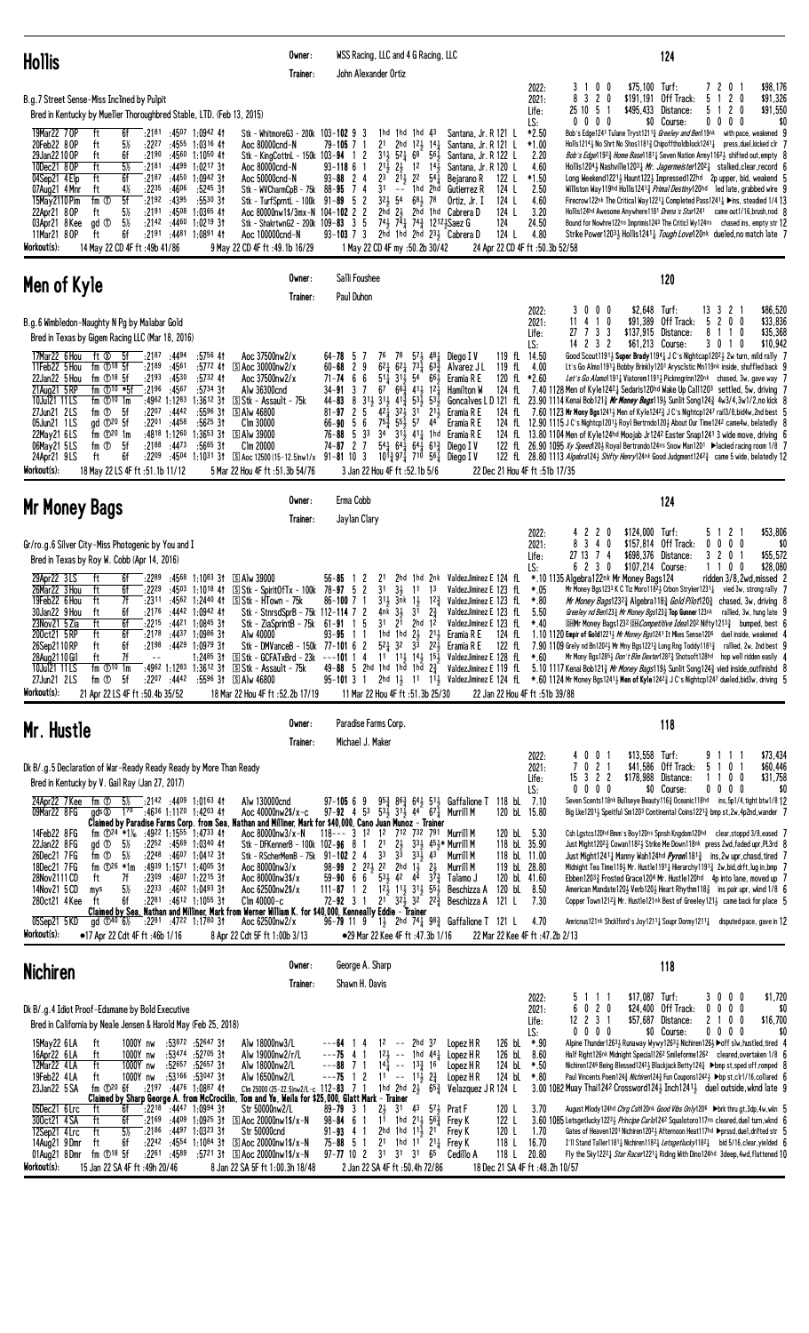| <b>Hollis</b>                                                                                                                                                                                                                                                                                                                                                                                                                                                                                                                                                                                                                                                                                                                                                                                                                                                                                                                                                                                                                                                                                                                                                                                                                                                                                                                                                    | Owner:<br>Trainer: | WSS Racing, LLC and 4 G Racing, LLC<br>John Alexander Ortiz                                                                                                                                                                                                                                                                                                                                                                                                          |                                                                                                                                                                                                                                                                                                                                                                                                                                                            |                                                                                                                                                                                                                                                                                                                                                  |                                                                                                                                                                                                                                        | 124                                                                                                                                                                                                                                                                                                                                                                                                                                                                                                                                                                                                                                                                                                                                                                                                                                                                                                                                                                                                                                                                                                                                                                                                                |
|------------------------------------------------------------------------------------------------------------------------------------------------------------------------------------------------------------------------------------------------------------------------------------------------------------------------------------------------------------------------------------------------------------------------------------------------------------------------------------------------------------------------------------------------------------------------------------------------------------------------------------------------------------------------------------------------------------------------------------------------------------------------------------------------------------------------------------------------------------------------------------------------------------------------------------------------------------------------------------------------------------------------------------------------------------------------------------------------------------------------------------------------------------------------------------------------------------------------------------------------------------------------------------------------------------------------------------------------------------------|--------------------|----------------------------------------------------------------------------------------------------------------------------------------------------------------------------------------------------------------------------------------------------------------------------------------------------------------------------------------------------------------------------------------------------------------------------------------------------------------------|------------------------------------------------------------------------------------------------------------------------------------------------------------------------------------------------------------------------------------------------------------------------------------------------------------------------------------------------------------------------------------------------------------------------------------------------------------|--------------------------------------------------------------------------------------------------------------------------------------------------------------------------------------------------------------------------------------------------------------------------------------------------------------------------------------------------|----------------------------------------------------------------------------------------------------------------------------------------------------------------------------------------------------------------------------------------|--------------------------------------------------------------------------------------------------------------------------------------------------------------------------------------------------------------------------------------------------------------------------------------------------------------------------------------------------------------------------------------------------------------------------------------------------------------------------------------------------------------------------------------------------------------------------------------------------------------------------------------------------------------------------------------------------------------------------------------------------------------------------------------------------------------------------------------------------------------------------------------------------------------------------------------------------------------------------------------------------------------------------------------------------------------------------------------------------------------------------------------------------------------------------------------------------------------------|
| B.g.7 Street Sense-Miss Inclined by Pulpit<br>Bred in Kentucky by Mueller Thoroughbred Stable, LTD. (Feb 13, 2015)                                                                                                                                                                                                                                                                                                                                                                                                                                                                                                                                                                                                                                                                                                                                                                                                                                                                                                                                                                                                                                                                                                                                                                                                                                               |                    |                                                                                                                                                                                                                                                                                                                                                                                                                                                                      |                                                                                                                                                                                                                                                                                                                                                                                                                                                            |                                                                                                                                                                                                                                                                                                                                                  | \$75,100<br>0<br>2022:<br>3<br>-1<br>0<br>8<br>3 2 0<br>\$191,191<br>2021:<br>-5<br>\$495,433<br>25 10<br>Life:<br>$0\ 0\ 0\ 0$<br>LS:                                                                                                 | Turf:<br>\$98,176<br>72<br>0 <sub>1</sub><br>Off Track:<br>5<br>2 <sub>0</sub><br>\$91,326<br>\$91,550<br>Distance:<br>5<br>$\mathbf{2}$<br>0<br>$0\quad 0\quad 0$<br>\$0 Course:<br>\$0<br>0                                                                                                                                                                                                                                                                                                                                                                                                                                                                                                                                                                                                                                                                                                                                                                                                                                                                                                                                                                                                                      |
| 6f<br>:2181<br>:4507 1:0942 41<br>19Mar22 70P<br>ft<br>20Feb22 8 OP<br>5%<br>ft<br>:2227<br>:4555 1:0316 41<br>Aoc 80000cnd-N<br>6f<br>ft<br>:2190<br>:4560<br>1:10 <sup>50</sup> 4t<br>29Jan22 10 OP<br>ft<br>$5\%$<br>:2181<br>:4499<br>10Dec21 80P<br>1:02 <sup>17</sup> 3t<br>Aoc 80000cnd-N<br>04Sep21 4 Elp<br>ft<br>6f<br>:2187<br>:4450<br>$1:0942$ 3t<br>Aoc 50000cnd-N<br>:2235<br>4½<br>:4606<br>:5245 31<br>07Aug21 4 Mnr<br>ft<br>Stk – WVCharmCpB – 75 $k$ 88–95<br>5f<br>:2192<br>:4395<br>:5530 31<br>15May 2110 Pim<br>fm ①<br>5½<br>:2191<br>$1:0365$ 41<br>22Apr21 8 OP<br>ft<br>:4508<br>Aoc 80000nw1\$/3mx-N 104-102 2<br>5%<br>gd <sup>T</sup><br>:2142:4460<br>1:02 <sup>19</sup> 3t<br>Stk - ShakrtwnG2 - 200k 109-83 3<br>03Apr21 8Kee<br>11Mar21 80P<br>6f<br>:2191<br>:4481 1:0891 41<br>ft<br>Aoc 100000cnd-N<br>Workout(s):<br>9 May 22 CD 4F ft: 49.1b 16/29<br>14 May 22 CD 4F ft: 49b 41/86                                                                                                                                                                                                                                                                                                                                                                                                                                      |                    | Stk - WhitmoreG3 - 200k 103-102 9 3<br>2 <sup>1</sup><br>$79 - 105$ 7 1<br>Stk - KingCottnL - 150k 103-94 1 2<br>$21\frac{1}{2}$<br>$93 - 1186$<br>$93 - 88$ 2 4<br>2 <sup>3</sup><br>3 <sup>1</sup><br>74<br>$32\frac{1}{2}$<br>Stk - TurfSprntL - 100k 91-89 5 2<br>$\overline{c}$<br>-5<br>$93 - 103$ 7 3                                                                                                                                                         | $1hd$ $1hd$ $1hd$ $43$<br>$12\frac{1}{2}$ $14\frac{1}{4}$<br>2hd<br>56j<br>$31\frac{1}{2}$ 52 $\frac{1}{4}$ 68<br>21<br>$1^2$ $1^4$<br>$2^{11}$ <sub>2</sub> 22<br>$54\overline{1}$<br>1hd 2hd<br>$\sim$ $-$<br>54<br>$68\frac{1}{2}$ 78<br>$2h\bar{d}$ $2\frac{1}{2}$<br>74} 74 <sub>4</sub> 74 <sub>4</sub> 1212 <sub>3</sub> Saez G<br>2hd 1hd 2hd $231$ , Cabrera D<br>1 May 22 CD 4F my :50.2b 30/42                                                  | Santana, Jr. R 121 L<br>Santana, Jr. R 121 L<br>Santana, Jr. R 122 L<br>Santana, Jr. R 120 L<br>Bejarano R<br>122 L<br>124 L<br>Gutierrez R<br>124 L<br>Ortiz, Jr. I<br>2hd 1hd Cabrera D<br>124 L<br>124<br>124 L                                                                                                                               | *2.50<br>$*1.00$<br>2.20<br>4.60<br>$*1.50$<br>2.50<br>4.60<br>3.20<br>24.50<br>4.80<br>24 Apr 22 CD 4F ft :50.3b 52/58                                                                                                                | Bob's Edge1241 Tulane Tryst12113 Greeley and Ben119nk with pace, weakened 9<br>Holls12141 No Shrt No Shos11813 Chipofftholdblock12411 press, duel, kicked clr 7<br><i>Bob's Edge</i> 1192 <sup>3</sup> <i>Home Base</i> 1181 <sup>1</sup> Seven Nation Army1162 <sup>1</sup> shifted out, empty 8<br>Hollis1204} Nashville1203 $\frac{1}{4}$ Mr. Jagermeister1202 $\frac{1}{4}$ stalked, clear, record 6<br>Long Weekend12213 Haunt1223 Impressed122hd 2p upper, bid, weakend 5<br>Williston Way119hd Hollis12413 Primal Destiny120hd led late, grabbed wire 9<br>Firecrow122nk The Critical Way12211 Completed Pass12411 > ins, steadied 1/4 13<br>Hollis124hd Awesome Anywhere1181 Drena's Star1241 came out1/16, brush, nod 8<br>Bound for Nowhre122ns Imprimis1243 The Critic1 Wy124ns chased ins, empty str 12<br>Strike Power12033 Hollis12413 Tough Love120nk dueled, no match late 7                                                                                                                                                                                                                                                                                                                       |
| Men of Kyle                                                                                                                                                                                                                                                                                                                                                                                                                                                                                                                                                                                                                                                                                                                                                                                                                                                                                                                                                                                                                                                                                                                                                                                                                                                                                                                                                      | Owner:<br>Trainer: | Salli Foushee<br>Paul Duhon                                                                                                                                                                                                                                                                                                                                                                                                                                          |                                                                                                                                                                                                                                                                                                                                                                                                                                                            |                                                                                                                                                                                                                                                                                                                                                  |                                                                                                                                                                                                                                        | 120                                                                                                                                                                                                                                                                                                                                                                                                                                                                                                                                                                                                                                                                                                                                                                                                                                                                                                                                                                                                                                                                                                                                                                                                                |
| B.g.6 Wimbledon-Naughty N Pg by Malabar Gold<br>Bred in Texas by Gigem Racing LLC (Mar 18, 2016)<br>17Mar22 6 Hou<br>ft Ø<br>-5f<br>:2187:4494<br>:5756 41<br>Aoc 37500nw2/x<br>fm $\mathbb{O}^{18}$ 5f<br>11Feb22 5 Hou<br>:2189<br>:4561<br>:5772 41<br>$\boxed{5}$ Aoc 30000nw2/x<br>22Jan22 5 Hou<br>fm $\mathbb{O}^{18}$ 5f<br>:2193<br>:4530<br>$:5732$ 41<br>Aoc 37500nw2/x<br>:2196 :4567<br>21Aug21 5 RP<br>fm $\mathbb{D}^{10}$ *5f<br>:5734 31<br>Alw 36300cnd<br>fm $\mathbb{O}^{10}$ 1m<br>:4962 1:1283<br>$1:3612$ 3t<br>S Stk - Assault - 75k<br>10Jul21 11 LS<br>27Jun21 2LS<br>fm $\overline{O}$ 5f<br>$:22^{07}$ $:44^{42}$<br>$:5596$ 31<br>S Alw 46800<br>05Jun21 1LS<br>gd 120 5f<br>:2201 :4458<br>$:56^{25}31$<br>Clm 30000<br>fm $\mathbb{D}^{20}$ 1m<br>:4818 1:1260<br>$1:3653$ 3t<br>22May21 6LS<br><b>SAN 39000</b><br>fm ①<br>5f<br>:2188<br>:4473<br>$:5665$ 31<br>Clm 20000<br>06May21 5LS<br>6f<br>:2209<br>24Apr21 9LS<br>ft<br>:4504 1:1031 31<br>$\boxed{S}$ Aoc 12500 (15-12.5)nw1/x 91-81 10 3<br>Workout(s):<br>5 Mar 22 Hou 4F ft :51.3b 54/76<br>18 May 22 LS 4F ft :51.1b 11/12                                                                                                                                                                                                                                         |                    | 76<br>$64 - 78$ 5<br>$6^{2}$ <sup>1</sup><br>$60 - 68$<br>9<br>$\overline{c}$<br>71-74<br>6<br>$5^{11}$<br>6<br>$34 - 91$ 3<br>7<br>$31\frac{1}{2}$ $31\frac{1}{2}$ $41\frac{3}{2}$<br>8<br>44-83<br>5<br>$4^{2}$<br>$81 - 97$<br>2<br>$66 - 90 = 5$<br>$75\frac{3}{7}$<br>6<br>34<br>33<br>$76 - 88 = 5$<br>$74 - 87$ 2 7<br>3 Jan 22 Hou 4F ft :52.1b 5/6                                                                                                          | 78<br>$57\frac{1}{2}$ 48 $\frac{1}{4}$ Diego IV<br>$6^{2}$ <sup>1</sup><br>$73\frac{1}{4}$ 63 $\frac{3}{4}$<br>$31\frac{1}{2}$<br>54<br>661<br>$67 \quad 66\frac{3}{4}$<br>411, 121<br>$5^{3}$ <sup>1</sup> / <sub>2</sub><br>$53\frac{1}{2}$<br>321<br>3 <sup>1</sup><br>$21\frac{1}{2}$<br>$55\frac{1}{2}$ 57 44<br>$31\frac{1}{2}$ 411 1hd<br>$54\frac{1}{2}$ $64\frac{1}{2}$ $64\frac{1}{2}$ $61\frac{3}{2}$<br>$10^{13}_{4}$ 97 $1^{10}$ 561 Diego IV | 119 fL 14.50<br>Alvarez J L<br>119 fL<br>Eramia R E<br>120 fL<br>Hamilton W<br>124 fL<br>D 121 fL<br>Goncalves<br>124 fL<br>Eramia R E<br>Eramia R E<br>Eramia R E<br>124 fL<br>Diego I V<br>22 Dec 21 Hou 4F ft :51b 17/35                                                                                                                      | \$2,648<br>0 <sub>0</sub><br>2022:<br>3<br>$\mathbf 0$<br>\$91,389<br>11<br>41<br>0<br>2021:<br>\$137,915<br>27<br>733<br>Life:<br>14 2 3 2<br>LS:<br>4.00<br>$*2.60$                                                                  | Turf:<br>\$86,520<br>133<br>21<br>Off Track:<br>5<br>200<br>\$33,836<br>Distance:<br>8<br>\$35,368<br>10<br>\$61,213 Course:<br>3 0 1 0<br>\$10,942<br>Good Scout11911 Super Brady11941 J C's Nightcap12021 2w turn, mild rally 7<br>Lt's Go Almo11911 Bobby Brinkly1201 Arysclstic Mn119nk inside, shuffled back 9<br>Let's Go Alamo11911 Viatorem11911 Picknngrinn120nk chased, 3w, gave way 7<br>7.40 1128 Men of Kyle12421 Sedaris120hd Wake Up Call1203 settled, 5w, driving 7<br>23.90 1114 Kenai Bob121 $\frac{3}{4}$ Mr Money Bags119 $\frac{1}{2}$ Sunlit Song124 $\frac{3}{4}$ 4w3/4,3w1/2,no kick 8<br>7.60 1123 Mr Mony Bgs12413 Men of Kyle1242 $\frac{3}{4}$ J C's Nightcp1247 rail3/8, bid4w, 2nd best 5<br>124 fL 12.90 1115 J C's Nightcp1201 <sub>2</sub> Royl Bertrndo120 <sub>2</sub> About Our Time124 <sup>2</sup> came4w, belatedly 8<br>13.80 1104 Men of Kyle124hd Moojab Jr1242 Easter Snap1241 3 wide move, driving 6<br>122 fL 26.90 1095 Xy Speed 20} Royal Bertrando124ns Snow Man1201 ▶lacked racing room 1/8 7<br>122 $fL$ 28.80 1113 <i>Algebra</i> 124 <sub>2</sub> <i>Shifty Henry</i> 124 <sup>nk</sup> Good Judgment 124 <sup>23</sup> <sub>4</sub> came 5 wide, belatedly 12 |
| Mr Money Bags                                                                                                                                                                                                                                                                                                                                                                                                                                                                                                                                                                                                                                                                                                                                                                                                                                                                                                                                                                                                                                                                                                                                                                                                                                                                                                                                                    | Owner:<br>Trainer: | Erma Cobb<br>Jaylan Clary                                                                                                                                                                                                                                                                                                                                                                                                                                            |                                                                                                                                                                                                                                                                                                                                                                                                                                                            |                                                                                                                                                                                                                                                                                                                                                  |                                                                                                                                                                                                                                        | 124                                                                                                                                                                                                                                                                                                                                                                                                                                                                                                                                                                                                                                                                                                                                                                                                                                                                                                                                                                                                                                                                                                                                                                                                                |
| Gr/ro.g.6 Silver City-Miss Photogenic by You and I<br>Bred in Texas by Roy W. Cobb (Apr 14, 2016)<br>29Apr22 3LS<br>:2289<br>:4568<br>1:10 <sup>83</sup> 31<br><b>SAW 39000</b><br>ft<br>6f<br>6f<br>:4503 1:1018 41<br>$S$ Stk - Spirit Of Tx - 100k 78-97 5 2<br>26Mar22 3 Hou<br>ft<br>:2229<br>19Feb22 6 Hou<br>ft<br>7f<br>:2311<br>:4562 1:2440 41<br>S Stk - HTown - 75k<br>30Jan22 9 Hou<br>ft<br>6f<br>:2176<br>$:4442$ 1:0942 41<br>:4421 1:0845 31<br>ft<br>6f<br>:2215<br>Stk - ZiaSprintB - $75k$ 61-91 1<br>$23Nov21$ 5 Zia<br>Alw 40000<br>:2178<br>:44 <sup>37</sup> 1:09 <sup>86</sup> 3†<br>6f<br>200 Ct21 5 RP<br>tt<br>ft<br>6f<br>:2198<br>$:44^{29}$ 1:0979 31<br>Stk - DMVanceB - 150k<br>26Sep2110RP<br>7f<br>1:24 <sup>85</sup> 31<br>S Stk - GCFATxBrd - 23k<br>28Aug 21 10 Gil<br>$-$<br>ft<br>$:4962$ 1:1283 1:3612 31<br>10Jul21 11LS<br>fm $\mathbb{D}^{10}$ 1m<br>S Stk - Assault - 75k<br>27Jun21 2LS<br>fm ①<br>5f<br>:2207 :4442<br>:5596 31<br>S Alw 46800<br>Workout(s):<br>18 Mar 22 Hou 4F ft :52.2b 17/19<br>21 Apr 22 LS 4F ft :50.4b 35/52                                                                                                                                                                                                                                                                              |                    | $56 - 85$<br>21<br>3 <sup>1</sup><br>$31\frac{1}{2}$<br>$86 - 100$ 7 1<br>Stk - StnrsdSprB - 75k 112-114 7 2<br>4nk $3\frac{1}{2}$<br>- 5<br>$93 - 95$<br>1 1<br>77-10162<br>49-88 5 2hd 1hd 1hd 1hd $2\frac{3}{4}$                                                                                                                                                                                                                                                  | $3\frac{1}{2}$<br>13<br>11<br>3nk<br>$1\frac{1}{2}$ $12\frac{3}{4}$<br>3 <sup>1</sup><br>$2\frac{3}{4}$<br>2hd $1^2$<br>$31 \quad 2^{1}$<br>$21\frac{1}{2}$<br>1hd 1hd $2\frac{1}{2}$<br>$5^2\frac{1}{4}$ 32<br>11 Mar 22 Hou 4F ft :51.3b 25/30                                                                                                                                                                                                           | 2hd 1hd 2nk ValdezJiminez E 124 fL<br>ValdezJiminez E 123 fL<br>ValdezJiminez E 123 fL<br>ValdezJiminez E 123 fL<br>ValdezJiminez E 123 fL<br>Eramia R E<br>124 fL<br>$3^3$ $2^2$ Eramia R E<br>122 fL<br>---101 1 4 1 <sup>1</sup> 1 <sup>1</sup> 1 <sup>4</sup> 1 <sup>4</sup> 1 <sup>5</sup> ValdezJiminez E 128 fL<br>ValdezJiminez E 119 fL | 42<br>$\mathbf{2}$<br>2022:<br>0<br>$3\quad 4$<br>0<br>2021:<br>8<br>27 13<br>74<br>Life:<br>6 2 3 0<br>LS:<br>*.10 1135 Algebra122nk Mr Money Bags124<br>*.05<br>$*.80$<br>5.50<br>$*.40$<br>$*.60$<br>22 Jan 22 Hou 4F ft :51b 39/88 | \$124,000 Turf:<br>\$53,806<br>2 <sub>1</sub><br>5<br>-1<br>$0\quad 0\quad 0\quad 0$<br>\$157,814 Off Track:<br>\$0<br>\$55,572<br>\$698,376 Distance:<br>3 2<br>$\pmb{0}$<br>\$28,080<br>\$107,214 Course:<br>1 1 0 0<br>ridden 3/8.2wd.missed 2<br>Mr Money Bgs1233 K C Tiz Moro1182 2 Crbon Stryker1231 2 vied 3w, strong rally 7<br>Mr Money Bags12323 Algebra1183 Gold Pilot1203 chased, 3w, driving 8<br>Greeley nd Ben123 <sup>3</sup> Mr Money Bgs123 <sup>3</sup> Top Gunner 123 <sup>nk</sup> rallied, 3w, hung late 9<br><b>DHMr Money Bags1232 DH</b> Competitive Idea1202 Nifty1213 <sub>3</sub> bumped, best 6<br>1.10 1120 Empir of Gold12213 Mr Money Bgs1241 It Mkes Sense1206 duel inside, weakened 4<br>7.90 1109 Grely nd Bn12023 Mr Mny Bgs12213 Long Rng Toddy11813 rallied, 2w, 2nd best 9<br>Mr Mony Bgs12853 Don't Blm Dexter12873 Shotsoft128hd hop well ridden easily 4<br>5.10 1117 Kenai Bob1213 Mr Money Bags1193 Sunlit Song1243 vied inside, outfinishd 8<br>95-101 3 1 2hd 13 11 113 ValdezJiminez E 124 fL *.60 1124 Mr Money Bgs12413 Men of Kyle 1242 3 J C's Nightcp1247 dueled, bid3w, driving 5                                                                             |
| Mr. Hustle                                                                                                                                                                                                                                                                                                                                                                                                                                                                                                                                                                                                                                                                                                                                                                                                                                                                                                                                                                                                                                                                                                                                                                                                                                                                                                                                                       | Owner:<br>Trainer: | Paradise Farms Corp.<br>Michael J. Maker                                                                                                                                                                                                                                                                                                                                                                                                                             |                                                                                                                                                                                                                                                                                                                                                                                                                                                            |                                                                                                                                                                                                                                                                                                                                                  |                                                                                                                                                                                                                                        | 118                                                                                                                                                                                                                                                                                                                                                                                                                                                                                                                                                                                                                                                                                                                                                                                                                                                                                                                                                                                                                                                                                                                                                                                                                |
| Dk B/.g.5 Declaration of War-Ready Ready Ready by More Than Ready<br>Bred in Kentucky by V. Gail Ray (Jan 27, 2017)<br>24Apr22 7 Kee fm ①<br>$5\%$ :2142 :4409 1:0163 41<br>Alw 130000cnd<br>09Mar22 8 FG<br>$1^{70}$ :4636 1:1120 1:4203 41<br>gds ®<br>Aoc 40000nw2\$/x-c<br>Claimed by Paradise Farms Corp. from Sea, Nathan and Milliner, Mark for \$40,000, Cano Juan Munoz - Trainer<br>fm $\Phi$ <sup>24</sup> *1 <sup>%</sup> :49 <sup>22</sup> 1:15 <sup>55</sup> 1:47 <sup>33</sup> 41<br>14Feb22 8FG<br>Aoc 80000nw3/x-N<br>22Jan22 8 FG<br>gd <sup>①</sup><br>- 5½<br>:2252 :4569 1:0340 41<br>Stk - DFKennerB - 100k 102-96 8<br>:2248 :4607 1:0412 31<br>26Dec21 7FG<br>fm ①<br>5½<br>:4939 1:1571 1:4005 31<br>18Dec21 7FG<br>fm $\Phi^{26}$ *1m<br>Aoc 80000nw3/x<br>28Nov2111 CD<br>7f<br>:2309<br>:4607 1:2215 31<br>Aoc 80000nw3\$/x<br>ft<br>$5\%$<br>:2233<br>:46 <sup>02</sup> 1:04 <sup>93</sup> 3†<br>14Nov21 5 CD<br>Aoc 62500nw2\$/x<br>mys<br>6f<br>$:22^{81}$ $:46^{12}$ 1:1055 31<br>$Clm$ 40000- $c$<br>280ct21 4 Kee<br>ft<br>Claimed by Sea, Nathan and Milliner, Mark from Werner William K. for \$40,000, Kenneally Eddie – Trainer<br>05Sep21 5KD<br>Aoc 62500nw2/x<br>ad $\Phi^{40}$ 6 <sup>1</sup> / <sub>2</sub><br>:2281 :4722 1:1780 31<br>Workout(s):<br>•17 Apr 22 Cdt 4F ft:46b 1/16<br>8 Apr 22 Cdt 5F ft 1:00b 3/13 |                    | $97 - 10569$<br>97-92 4 53 53 $\frac{7}{2}$ 31 $\frac{7}{2}$ 44 67 $\frac{7}{4}$ Murrill M<br>118--- 3 12 12 712 732 791 Murrill M<br>2 <sup>1</sup><br>3 <sup>3</sup><br>Stk - RScherMemB - 75k 91-102 2 4<br>98-99 2 $2^{21}$ $2^{2}$ $2^{10}$ $1^{1}$<br>59-90 6 6 $5^{3}$ $4^{2}$ $4^{4}$<br>$111 - 87$ 1 2 $12\frac{1}{2}$ $11\frac{1}{2}$ $31\frac{1}{2}$ $55\frac{1}{2}$<br>72-92 3 1 2 <sup>1</sup> 3 <sup>2</sup> 3 <sup>2</sup> 2 <sup>2</sup> Beschizza A | $2\frac{1}{2}$<br>333 453* Murrill M<br>$3^{\overline{3}}$<br>$33\frac{1}{2}$ 43<br>2hd 1½<br>$2\frac{1}{2}$<br>$3^{7}\frac{3}{4}$<br>●29 Mar 22 Kee 4F ft :47.3b 1/16                                                                                                                                                                                                                                                                                     | $95\frac{3}{4}$ $86\frac{3}{4}$ $64\frac{1}{2}$ $51\frac{1}{2}$ Gaffalione T 118 bL<br>120 bL 15.80<br>120 bL 5.30<br>118 bL 35.90<br>118 bL 11.00<br>Murrill M<br>119 bL 28.80<br>Murrill M<br>120 bl 41.60<br>Talamo J<br>120 bL<br>Beschizza A<br>121 L<br>96-79 11 9 1 <sub>2</sub> 2hd 7 <sup>4</sup> 98 <sup>3</sup> Gaffalione T 121 L    | 2022:<br>$\mathbf 0$<br>40<br>0<br>21<br>2021:<br>15 3 2 2<br>Life:<br>$0\,0\,0$<br>LS:<br>0<br>7.10<br>8.50<br>7.30<br>4.70<br>22 Mar 22 Kee 4F ft :47.2b 2/13                                                                        | \$13,558 Turf:<br>\$73,434<br>9 1 1 1<br>5 1 0 1<br>\$41,586 Off Track:<br>\$60,446<br>\$31,758<br>\$178,988 Distance:<br>1100<br>\$0 Course:<br>$0\quad 0\quad 0\quad 0$<br>\$0<br>Seven Scents118nk Bullseye Beauty1163 Oceanic118hd ins, 5p1/4, tight btw1/8 12<br>Big Lke12011, Speitful Sm1203 Continental Coins12213 bmp st, 2w, 4p2nd, wander 7<br>Csh Lgstcs120hd Bmm's Boy120ns Spnsh Kngdom120hd clear, stoppd 3/8, eased 7<br>Just Might12023 Cowan11823 Strike Me Down118nk press 2wd, faded upr, PL3rd 8<br>Just Might12411 Manny Wah124hd <i>Pyron</i> 1181 <sup>3</sup> ins, 2w upr, chasd, tired 7<br>Midnight Tea Time1193 Mr. Hustle11911 Hierarchy11913 2w, bid, drft, lug in, bmp 7<br>Ebben12033 Frosted Grace1204 Mr. Hustle120hd 4p into lane, moved up 7<br>American Mandate120 $\frac{1}{2}$ Verb120 $\frac{1}{2}$ Heart Rhythm118 $\frac{3}{4}$ ins pair upr, wknd 1/8 6<br>Copper Town1212 <sup>3</sup> Mr. Hustle121nk Best of Greeley1213 came back for place 5<br>Amricnus121 <sup>nk</sup> Shck1ford's Joy1211 <sub>4</sub> Soupr Dormy1211 <sub>4</sub> disputed pace, gave in 12                                                                                                  |
| <b>Nichiren</b>                                                                                                                                                                                                                                                                                                                                                                                                                                                                                                                                                                                                                                                                                                                                                                                                                                                                                                                                                                                                                                                                                                                                                                                                                                                                                                                                                  | Owner:<br>Trainer: | George A. Sharp<br>Shawn H. Davis                                                                                                                                                                                                                                                                                                                                                                                                                                    |                                                                                                                                                                                                                                                                                                                                                                                                                                                            |                                                                                                                                                                                                                                                                                                                                                  |                                                                                                                                                                                                                                        | 118                                                                                                                                                                                                                                                                                                                                                                                                                                                                                                                                                                                                                                                                                                                                                                                                                                                                                                                                                                                                                                                                                                                                                                                                                |
| Dk B/.g.4 Idiot Proof-Edamame by Bold Executive<br>Bred in California by Neale Jensen & Harold May (Feb 25, 2018)<br>15May22 6LA<br>:53872 :52647 31<br>ft<br>1000Y nw<br>Alw 18000nw3/L<br>:53474 :52705 31<br>16Apr22 6LA<br>ft<br>1000Y nw<br>Alw 19000nw2/r/L<br>12Mar22 4LA<br>ft<br>:52657 :52657 31<br>1000Y nw<br>Alw 18000nw2/L<br>:53166 :53047 31<br>19Feb22 4LA<br>1000Y nw<br>Alw 16500nw2/L<br>ft<br>:2197 :4476 1:0887 41<br>23Jan22 5 SA<br>fm $\mathbb{D}^{20}$ 6f<br>Claimed by Sharp George A. from McCrocklin. Tom and Ye. Weila for \$25,000. Glatt Mark - Trainer<br>05Dec21 6 Lrc<br>:2218<br>:4447 1:0994 31<br>Str 50000nw2/L<br>ft<br>6f<br>$:21^{69}$ $:44^{09}$ 1:0925 31<br>S Aoc 20000nw1\$/x-N<br>300ct21 4 SA<br>ft<br>6f<br>$5\%$<br>12Sep21 4 Lrc<br>ft<br>:2186<br>$:4497$ 1:0323 31<br>Str 50000cnd<br>6f<br>ft<br>$:22^{42}$ $:45^{54}$ 1:1084 31<br>$\boxed{S}$ Aoc 20000nw1\$/x-N<br>14Aug21 9 Dmr<br>01Aug21 8Dmr<br>fm $\mathbb{O}^{18}$ 5f<br>$:22^{61}$ $:45^{89}$<br>$:5721$ 3t<br>$S$ Aoc 20000nw1\$/x-N<br>Workout(s):<br>15 Jan 22 SA 4F ft: 49h 20/46<br>8 Jan 22 SA 5F ft 1:00.3h 18/48                                                                                                                                                                                                                         |                    | ---64 1<br>4<br>$---75$ 4 1<br>$---88$ 7 1<br>$---75$ 1 2<br>Clm 25000 (25-22.5)nw2/L-c 112-83 7 1<br>$2\frac{1}{2}$<br>$89 - 79$ 3 1<br>$98 - 84 = 6$ 1<br>$91 - 93$ 4 1<br>2 <sup>1</sup><br>$75 - 88 = 5$<br>$\overline{1}$<br>$97 - 77$ 10 2                                                                                                                                                                                                                     | 12 -- 2hd 37<br>$12\frac{1}{2}$ --<br>1hd $44\frac{1}{4}$<br>$14\overline{1}$ -- $13\overline{3}$ 16<br>$11 - - 11\frac{1}{2} 2\frac{3}{4}$<br>31<br>$4^3$ $5^7\frac{1}{2}$ Prat F<br>1 <sup>1</sup> 1hd 2 <sup>1</sup> 56 <sup>3</sup> Frey K<br>2hd 1hd $11\frac{1}{2}$ 21<br>1hd $1^{\circ}$ 2 <sup>1</sup> <sup>1</sup> Frey K<br>31 31 31<br>65<br>2 Jan 22 SA 4F ft : 50.4h 72/86                                                                    | 126 bL<br>Lopez H R<br>126 bL<br>Lopez H R<br>124 bL<br>Lopez H R<br>124 bL<br>Lopez HR<br>1hd 2hd $2\frac{1}{2}$ 6 <sup>53</sup> / <sub>4</sub> Velazquez J R 124 L<br>120 L<br>122 L<br>120 L<br>Frey K<br>118 L<br>118 L<br>Cedillo A                                                                                                         | 2022:<br>5<br>111<br>020<br>2021:<br>6<br>12 2 3 1<br>Life:<br>$0\ 0\ 0\ 0$<br>LS:<br>*.90<br>8.60<br>*.50<br>$*80$<br>3.70<br>1.70<br>16.70<br>20.80<br>18 Dec 21 SA 4F ft : 48.2h 10/57                                              | \$17,087 Turf:<br>3000<br>\$1,720<br>\$24,400 Off Track:<br>$0\ 0\ 0\ 0$<br>\$0<br>\$57,687 Distance:<br>\$16,700<br>2100<br>\$0 Course:<br>$0\ 0\ 0\ 0$<br>\$0<br>Alpine Thunder1263 Runaway Wywy1263 3 Nichiren126 3 ▶ off slw, hustled, tired 4<br>Half Right126nk Midnight Special1262 Smileforme1262 cleared, overtaken 1/8 6<br>Nichiren1246 Being Blessed1242 Blackjack Betty124 → bmp st, sped off, romped 8<br>Paul Vincents Poem124½ Nichiren124½ Fun Coupons1242↓ >bp st, clr1/16, collared 6<br>3.00 1082 Muay Thai1242 Crossword1241 Inch12411 duel outside, wknd late 9<br>August Mlody124hd Chrg Csh120nk Good Vibs Only1206 ▶ brk thru gt, 3dp, 4w, wkn 5<br>3.60 1085 Letsgetlucky12231 Principe Carlo1242 Squalotoro117ns cleared, duel turn, wknd 6<br>Gates of Heaven1201 Nichiren120 <sup>2</sup> 2 Afternoon Heat117hd Pprssd, duel, drifted str 5<br>I'll Stand Taller11811 Nichiren11821 Letsgetlucky11821 bid 5/16, clear, yielded 6<br>Fly the Sky122 <sup>2</sup> <i>Star Racer</i> 122 <sup>1</sup> <i>kiding With Dino124hd</i> 3deep, 4wd, flattened 10                                                                                                                              |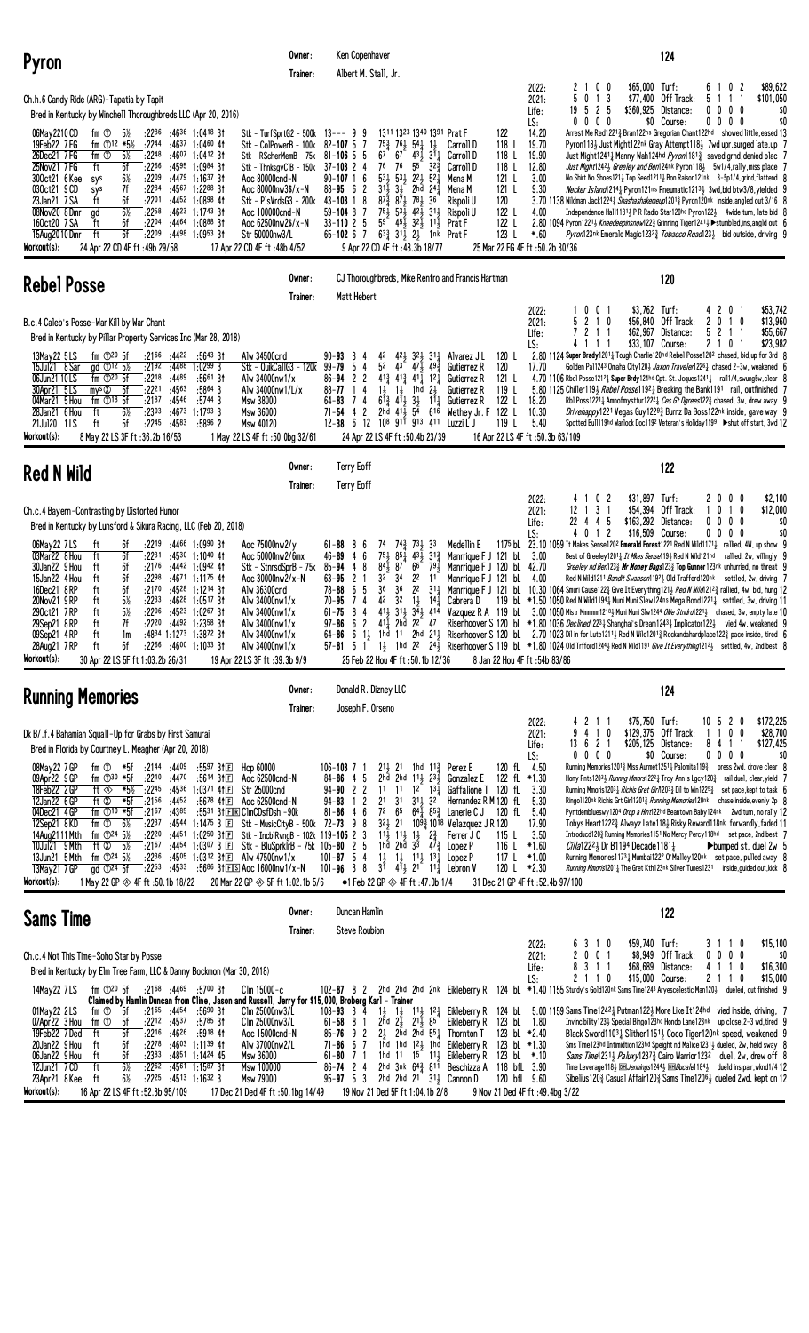| <b>Pyron</b>                                                                                                                                                                                                                                                                                                                                                                                                                                                                                                                                                                                                                                                                                                                                                                                              | Owner:<br>Trainer:                                                                                                                                                                                                                                                                                                                                                                                                           | Ken Copenhaver<br>Albert M. Stall, Jr.                                                                                                                                                                                                                                                                                                                                                                                                                                                                                                                                                                                                                                                                          |                                                                                                                                                                                                                                                                                                                                                                                                                                                       | 124                                                                                                                                                                                                                                                                                                                                                                                                                                                                                                                                                                                                                                                                                                                                                                                                                                                                                                                                                                                                                                                                                                                                                                                                                                                                                                                                                                                                                         |
|-----------------------------------------------------------------------------------------------------------------------------------------------------------------------------------------------------------------------------------------------------------------------------------------------------------------------------------------------------------------------------------------------------------------------------------------------------------------------------------------------------------------------------------------------------------------------------------------------------------------------------------------------------------------------------------------------------------------------------------------------------------------------------------------------------------|------------------------------------------------------------------------------------------------------------------------------------------------------------------------------------------------------------------------------------------------------------------------------------------------------------------------------------------------------------------------------------------------------------------------------|-----------------------------------------------------------------------------------------------------------------------------------------------------------------------------------------------------------------------------------------------------------------------------------------------------------------------------------------------------------------------------------------------------------------------------------------------------------------------------------------------------------------------------------------------------------------------------------------------------------------------------------------------------------------------------------------------------------------|-------------------------------------------------------------------------------------------------------------------------------------------------------------------------------------------------------------------------------------------------------------------------------------------------------------------------------------------------------------------------------------------------------------------------------------------------------|-----------------------------------------------------------------------------------------------------------------------------------------------------------------------------------------------------------------------------------------------------------------------------------------------------------------------------------------------------------------------------------------------------------------------------------------------------------------------------------------------------------------------------------------------------------------------------------------------------------------------------------------------------------------------------------------------------------------------------------------------------------------------------------------------------------------------------------------------------------------------------------------------------------------------------------------------------------------------------------------------------------------------------------------------------------------------------------------------------------------------------------------------------------------------------------------------------------------------------------------------------------------------------------------------------------------------------------------------------------------------------------------------------------------------------|
| Ch.h.6 Candy Ride (ARG)-Tapatia by Tapit<br>Bred in Kentucky by Winchell Thoroughbreds LLC (Apr 20, 2016)<br>:2286<br>06May 2210 CD<br>fm ①<br>5½<br>:2244<br>19Feb22 7FG<br>fm $\Phi$ <sup>12 *5</sup> %<br>26Dec21 7FG<br>$fm$ $\overline{0}$<br>$5\%$<br>$:22^{48}$ $:46^{07}$ 1:0412 31<br>ft<br>:2266<br>25Nov21 7 FG<br>6f<br>:4595<br>:2209<br>300ct21 6 Kee<br>$6\%$<br>sys<br>030ct21 9 CD<br>7f<br>:2284<br>sys<br>6f<br>:2201<br>23Jan21 7 SA<br>ft<br>$6\frac{1}{2}$<br>:2258<br>08Nov20 8Dmr<br>ad<br>160ct20 7 SA<br>6f<br>$:22^{04}$ $:44^{64}$ 1:0888 31<br>ft<br>ft<br>6f<br>:2209<br>15Aug2010 Dmr<br>Workout(s):<br>24 Apr 22 CD 4F ft: 49b 29/58                                                                                                                                      | :4636 1:0418 3†<br>Stk - TurfSprtG2 - 500k<br>:4637 1:0460 41<br>Stk - ColPowerB - 100k<br>Stk - RScherMemB - 75k<br>1:0984 31<br>Stk - ThnksgyClB - 150k<br>$:4479$ 1:1637 3t<br>Aoc 80000cnd-N<br>:4567 1:2288 31<br>Aoc 80000nw3\$/x-N<br>:4452 1:0898 41<br>Stk - PlsVrdsG3 - 200k<br>$:46^{23}$ 1:1743 31<br>Aoc 100000cnd-N<br>Aoc 62500nw2\$/x-N<br>:4498 1:0953 31<br>Str 50000nw3/L<br>17 Apr 22 CD 4F ft: 48b 4/52 | 1311 1323 1340 1391 Prat F<br>$13--9$ 9<br>$82 - 107$ 5<br>- 7<br>$43\frac{1}{2}31\frac{1}{4}$<br>$81 - 106$ 5 5<br>76<br>55<br>76<br>$37 - 103$ 2 4<br>$53\frac{1}{2}$ $53\frac{1}{2}$<br>$90 - 107$ 1 6<br>$2^{2}$<br>$31\overline{3}$<br>$88 - 95 6 2$<br>$3\frac{1}{2}$<br>2hd<br>$43 - 103$ 1 8<br>$87\frac{3}{4}$ $87\frac{1}{2}$ $78\frac{1}{2}$<br>$75\frac{1}{2}$ $53\frac{1}{2}$ $42\frac{1}{2}$ $31\frac{1}{2}$<br>$59 - 104$ 8 7<br>59<br>$45\frac{1}{2}32\frac{1}{2}11\frac{1}{2}$<br>$33 - 110$ 2 5<br>$63\frac{3}{4}$ $31\frac{1}{2}$ $2\frac{1}{2}$ 1nk Prat F<br>$65 - 10267$<br>9 Apr 22 CD 4F ft :48.3b 18/77                                                                                | 2022:<br>2021:<br>Life:<br>LS:<br>122<br>14.20<br>118 L<br>19.70<br>Carroll D<br>118 L<br>19.90<br>Carroll D<br>$3^{2^{3}}$<br>118L<br>12.80<br>Carroll D<br>$5^{2}$<br>3.00<br>121 L<br>Mena M<br>$24\frac{1}{4}$<br>121 L<br>9.30<br>Mena M<br>36<br>120<br>Rispoli U<br>122 L<br>4.00<br>Rispoli U<br>122 L<br>Prat F<br>123L<br>$*.60$<br>25 Mar 22 FG 4F ft :50.2b 30/36                                                                         | 0 <sub>0</sub><br>\$65,000 Turf:<br>6<br>0<br>-2<br>\$89,622<br>2<br>$0 \t1 \t3$<br>5<br>\$77,400<br>Off Track:<br>5<br>1<br>\$101,050<br>-1<br>525<br>Distance:<br>$0\quad 0\quad 0\quad 0$<br>\$0<br>19<br>\$360,925<br>\$0<br>$0\,0\,0\,0$<br>$0\,0\,0$<br>\$0 Course:<br>0<br>Arrest Me Red12213 Bran122ns Gregorian Chant122hd showed little, eased 13<br>Pyron118} Just Might122nk Gray Attempt118} 7wd upr, surged late, up 7<br>Just Might12411 Manny Wah124hd <i>Pyron</i> 1181 <sup>3</sup> saved grnd, denied plac 7<br>Just Might12423 Greeley and Ben124nk Pyron1183 5w1/4, rally, miss place 7<br>No Shirt No Shoes1213 Top Seed12113 Bon Raison121nk 3-5p1/4, grind, flattend 8<br>Necker Island 2141 Pyron 121ns Pneumatic 12131 3wd, bid btw3/8, yielded 9<br>3.70 1138 Wildman Jack1224 3 Shashashakemeup12013 Pyron120nk inside, angled out 3/16 8<br>Independence Hall11811 P R Radio Star120hd Pyron1221 4wide turn, late bid 8<br>2.80 1094 Pyron1221} Kneedeepinsnow122} Grinning Tiger1241} > stumbled, ins, angld out 6<br>Pyron123nk Emera1d Magic12323 Tobacco Road1233 bid outside, driving 9                                                                                                                                                                                                                                                                                                   |
| <b>Rebel Posse</b>                                                                                                                                                                                                                                                                                                                                                                                                                                                                                                                                                                                                                                                                                                                                                                                        | Owner:<br>Trainer:                                                                                                                                                                                                                                                                                                                                                                                                           | CJ Thoroughbreds, Mike Renfro and Francis Hartman<br>Matt Hebert                                                                                                                                                                                                                                                                                                                                                                                                                                                                                                                                                                                                                                                |                                                                                                                                                                                                                                                                                                                                                                                                                                                       | 120                                                                                                                                                                                                                                                                                                                                                                                                                                                                                                                                                                                                                                                                                                                                                                                                                                                                                                                                                                                                                                                                                                                                                                                                                                                                                                                                                                                                                         |
| B.c.4 Caleb's Posse-War Kill by War Chant<br>Bred in Kentucky by Pillar Property Services Inc (Mar 28, 2018)<br>fm $\mathbb{D}^{20}$ 5f<br>:21 <sup>66</sup> :44 <sup>22</sup><br>13May22 5 LS<br>15Jul21 8 Sar<br>ad $\Phi$ <sup>12</sup> 5 <sup>%</sup><br>:2192<br>:2218 :4489<br>06Jun21 10 LS<br>fm $\mathbb{D}^{20}$ 5f<br>30Apr21 5LS<br>mys $\otimes$ 5f<br>$:22^{21}$ $:45^{63}$<br>04Mar21 5 Hou<br>fm $\mathbb{O}^{18}$ 5f<br>:2187:4546<br>:2303<br>28Jan21 6 Hou<br>ft<br>6½<br>:4673<br>5f<br>:2245<br>21Jul20 1LS<br>ft<br>:4583<br>Workout(s):<br>8 May 22 LS 3F ft : 36.2b 16/53                                                                                                                                                                                                         | :5643 31<br>Alw 34500cnd<br>:4488 1:0299 3<br>Stk - QuikCallG3 - 120k<br>$:5661$ 31<br>Alw 34000nw1/x<br>$:5864$ 3<br>Alw 34000nw1/L/x<br>:5744 3<br>Msw 38000<br>$1:1793$ 3<br>Msw 36000<br>Msw 40120<br>$:5896$ 2<br>1 May 22 LS 4F ft: 50.0bg 32/61                                                                                                                                                                       | $90 - 93$ 3 4<br>42<br>5 <sup>2</sup><br>$43 - 47\frac{1}{2}$<br>99-79<br>54<br>$41\frac{3}{4}$ $41\frac{3}{4}$ $41\frac{7}{4}$ $12\frac{1}{4}$<br>$86 - 94$ 2 2<br>11<br>$1\frac{1}{2}$<br>1hd<br>$88 - 77$<br>4<br>$6^{13}$ $4^{11}$<br>$3\frac{1}{2}$<br>74<br>$64 - 83$<br>54<br>$71 - 54$<br>2<br>2hd $41\frac{1}{2}$<br>$\frac{1}{2}$<br>12-38 6 12 108 911 913 411<br>24 Apr 22 LS 4F ft :50.4b 23/39                                                                                                                                                                                                                                                                                                    | 2022:<br>2021:<br>Life:<br>LS:<br>$42\frac{1}{2}$ $32\frac{1}{2}$ $31\frac{1}{4}$ Alvarez JL<br>120 L<br>493<br>120<br>Gutierrez R<br>17.70<br>121 L<br>Gutierrez R<br>$2\frac{1}{2}$<br>119 L<br>Gutierrez R<br>$1^{1}$<br>122 L<br>Gutierrez R<br>18.20<br>616<br>122 L<br>10.30<br>Wethey Jr. F<br>Luzzi L J<br>119 L<br>5.40<br>16 Apr 22 LS 4F ft :50.3b 63/109                                                                                  | 0 <sub>1</sub><br>\$3,762 Turf:<br>42<br>0<br>\$53,742<br>0<br>\$13,960<br>2 1 0<br>\$56,840 Off Track:<br>$\mathbf{2}$<br>0<br>10<br>5<br>2<br>\$62,967<br>5<br>$\overline{c}$<br>\$55,667<br>Distance:<br>1<br>$1 \quad 1$<br>\$33,107 Course:<br>\$23,982<br>4111<br>210<br>2.80 1124 Super Brady12011 Tough Charlie120hd Rebel Posse1202 chased, bid, up for 3rd 8<br>Golden Pa11243 Omaha City120½ <i>Jaxon Traveler</i> 1226½ chased 2-3w, weakened 6<br>4.70 1106 Rbel Posse1212 $\frac{1}{4}$ Super Brdy124hd Cpt. St. Jcques1241 $\frac{1}{4}$ rail1/4, swung5w, clear 8<br>5.80 1125 Chiller 1193 Rebel Posse1192 Breaking the Bank1191 rail, outfinished 7<br>Rbl Poss12211 Amnofmysttur12221 Ces Gt Dgrees1223 chased, 3w, drew away 9<br>Drivehappy1221 Vegas Guy12293 Burnz Da Boss122nk inside, gave way 9<br>Spotted Bull119hd Warlock Doc1192 Veteran's Holiday1199 ▶shut off start, 3wd 12                                                                                                                                                                                                                                                                                                                                                                                                                                                                                                                |
| <b>Red N Wild</b>                                                                                                                                                                                                                                                                                                                                                                                                                                                                                                                                                                                                                                                                                                                                                                                         | Owner:<br>Trainer:                                                                                                                                                                                                                                                                                                                                                                                                           | <b>Terry Eoff</b><br><b>Terry Eoff</b>                                                                                                                                                                                                                                                                                                                                                                                                                                                                                                                                                                                                                                                                          |                                                                                                                                                                                                                                                                                                                                                                                                                                                       | 122                                                                                                                                                                                                                                                                                                                                                                                                                                                                                                                                                                                                                                                                                                                                                                                                                                                                                                                                                                                                                                                                                                                                                                                                                                                                                                                                                                                                                         |
| Ch.c.4 Bayern-Contrasting by Distorted Humor<br>Bred in Kentucky by Lunsford & Sikura Racing, LLC (Feb 20, 2018)<br>$:22^{19}$ $:44^{66}$ 1:0990 31<br>06May22 7LS<br>ft<br>6f<br>$:22^{31}$ $:45^{30}$ 1:1040 41<br>03Mar22 8 Hou<br>ft<br>6f<br>30Jan22 9 Hou<br>ft<br>6f<br>$:2176$ $:4442$ 1:0942 41<br>15Jan22 4 Hou<br>6f<br>:2298<br>ft<br>6f<br>$:21^{70}$ $:45^{28}$ 1:1214 31<br>16Dec21 8RP<br>ft<br>5%<br>20Nov21 9RP<br>ft<br>:2233<br>$5\%$<br>290ct21 7RP<br>ft<br>:2206<br>7f<br>ft<br>$:22^{20}$ $:44^{92}$ 1:2358 31<br>29Sep21 8 RP<br>09Sep21 4RP<br>:4834 1:1273 1:3872 31<br>ft<br>1m<br>28Aug21 7RP<br>$:22^{66}$ $:46^{00}$ 1:1033 31<br>ft<br>6f<br>Workout(s):<br>30 Apr 22 LS 5F ft 1:03.2b 26/31                                                                              | Aoc 75000nw2/y<br>Aoc 50000nw2/6mx<br>Stk - StnrsdSprB - 75k<br>:4671 1:1175 41<br>Aoc 30000nw2/x-N<br>Alw 36300cnd<br>:46 <sup>28</sup> 1:05 <sup>17</sup> 3†<br>Alw 34000nw1/x<br>:45 <sup>23</sup> 1:02 <sup>67</sup> 3†<br>Alw 34000nw1/x<br>Alw 34000nw1/x<br>Alw 34000nw1/x<br>Alw 34000nw1/x<br>19 Apr 22 LS 3F ft: 39.3b 9/9                                                                                         | $73\frac{1}{2}$<br>$61 - 88$ 8 6<br>74<br>$7^{4^{3}}_{4}$<br>$75\frac{1}{2}$<br>$85\frac{1}{4}$<br>$43\frac{1}{2}$<br>6<br>46-89<br>4<br>$84\overline{1}$<br>87 <sup>2</sup><br>66<br>$85 - 94$ 4 8<br>32<br>34<br>2 <sup>2</sup><br>$63 - 95$<br>21<br>$78 - 88$ 6 5<br>36<br>36<br>2 <sup>2</sup><br>42<br>$70 - 95$<br>74<br>$1\frac{1}{2}$<br>32<br>411 311 342 414<br>$61 - 75$<br>8<br>4<br>62<br>$41\frac{1}{4}$ 2hd<br>22 47<br>97-86<br>25 Feb 22 Hou 4F ft: 50.1b 12/36                                                                                                                                                                                                                               | 2022:<br>2021:<br>Life:<br>LS:<br>Medellin E<br>33<br>$31\frac{3}{7}$<br>Manrrique F J 121 bL<br>3.00<br>791<br>Manrrique F J 120 bl 42.70<br>11<br>Manrrique F J 121 bl<br>4.00<br>$31\frac{1}{4}$<br>$14\frac{1}{2}$<br>Cabrera D<br>8 Jan 22 Hou 4F ft: 54b 83/86                                                                                                                                                                                  | 02<br>\$31,897 Turf:<br>20<br>0 <sub>0</sub><br>\$2,100<br>4<br>1 3 1<br>\$54,394 Off Track:<br>1 <sub>0</sub><br>\$12,000<br>12<br>0<br>1<br>-5<br>44<br>\$163,292<br>$0\quad0$<br>\$0<br>22<br>Distance:<br>$0\quad 0$<br>\$0<br>40<br>1 <sub>2</sub><br>\$16,509 Course:<br>$0\,0\,0\,0$<br>1175 bl. 23.10 1059 It Makes Sense1202 Emerald Forest1221 Red N Wild1171 <sub>2</sub> rallied, 4W, up show 9<br>Best of Greeley1201 <sub>4</sub> It Mkes Sense119 <sub>2</sub> Red N Wild121hd rallied, 2w, willingly 9<br>Greeley nd Ben1233 Mr Money Bags1233 Top Gunner 123nk unhurried, no threat 9<br>Red N Wild1211 Bandit Swanson11921 Old Trafford120nk settled, 2w, driving 7<br>Manrrique F J 121 bL 10.30 1064 Smuri Cause 1223 Give It Everything 1213 Red N Wild 2123 rallied, 4w, bid, hung 12<br>119 bL *1.50 1050 Red N Wild11941 Muni Muni Slew124ns Mega Bond12211 settled, 3w, driving 11<br>Vazquez R A 119 bL 3.00 1050 Mistr Mmmmm12183 Muni Muni Slw1244 Okie Stndrd12213 chased, 3w, empty late 10<br>Risenhoover S 120 bl *1.80 1036 Declined 223 Shanghai's Dream 1243 Implicator 1223 vied 4w, weakened 9<br>64-86 6 13 1hd 11 2hd 213 Risenhoover S 120 bl. 2.70 1023 Dil in for Lute12113 Red N Wild12013 Rockandahardplace1223 pace inside, tired 6<br>57-81 5 1 1} 1hd 22 24} Risenhoover S 119 bL *1.80 1024 0ld Trfford1244} Red N Wild1191 Give It Everything1212} settled, 4w, 2nd best 8 |
| <b>Running Memories</b>                                                                                                                                                                                                                                                                                                                                                                                                                                                                                                                                                                                                                                                                                                                                                                                   | Owner:<br>Trainer:                                                                                                                                                                                                                                                                                                                                                                                                           | Donald R. Dizney LLC<br>Joseph F. Orseno                                                                                                                                                                                                                                                                                                                                                                                                                                                                                                                                                                                                                                                                        |                                                                                                                                                                                                                                                                                                                                                                                                                                                       | 124                                                                                                                                                                                                                                                                                                                                                                                                                                                                                                                                                                                                                                                                                                                                                                                                                                                                                                                                                                                                                                                                                                                                                                                                                                                                                                                                                                                                                         |
| Dk B/.f.4 Bahamian Squall-Up for Grabs by First Samurai<br>Bred in Florida by Courtney L. Meagher (Apr 20, 2018)<br>:2144 :4409<br>08May22 7 GP<br>fm ① *5f<br>fm $\mathbb{D}^{30}$ *5f<br>$:22^{10}$ $:44^{70}$ $:56^{14}$ 31 E<br>09Apr22 9GP<br>18Feb22 2 GP<br>ft $\circledast$ *5% :2245 :4536 1:0371 41 $\mathbb{E}$<br>12Jan22 6 GP<br>:4452<br>ft Ø<br>*5f<br>:2156<br>04Dec21 4GP<br>fm $\mathbb{D}^{10}$ *5f<br>:2167:4385<br>fm ①<br>6½<br>:2237 :4544 1:1475 3 $\Box$<br>12Sep21 8KD<br>fm $\Phi$ <sup>24</sup> 5 <sup>1/2</sup><br>:2220 :4451 1:0250 31 $\Box$<br>14Aug2111 Mth<br>- 5½<br>10Jul21 9 Mth<br>ft Ø<br>13Jun21 5 Mth<br>fm $\Phi$ <sup>24</sup> 5 <sup>1/2</sup><br>13May21 7 GP<br>$\alpha$ d $\mathbb{D}^{24}$ 5f<br>Workout(s):<br>1 May 22 GP $\otimes$ 4F ft :50.1b 18/22 | $:5597$ 31 $E$<br>Hcp 60000<br>Aoc 62500cnd-N<br>Str 25000cnd<br>:5678 411回<br>Aoc 62500cnd-N<br>:5531 31 EIR ClmCDsfDsh -90k<br>Stk - MusicCityB - 500k 72-73 9 8<br>Stk - IncblRvngB - 102k 119-105 2 3<br>:2167 :4454 1:0307 3 E Stk - BluSprklrB - 75k 105-80 2 5<br>:2236 :4505 1:0312 31 El Alw 47500nw1/x<br>:2253 :4533 :5686 31ES Aoc 16000nw1/x-N<br>20 Mar 22 GP $\otimes$ 5F ft 1:02.1b 5/6                      | $2^{11}$ , 21 1hd $1^{12}$ , Perez E<br>$106 - 103$ 7 1<br>2hd 2hd $11\frac{1}{2}$ $23\frac{1}{2}$ Gonzalez E<br>$84 - 86$ 4 5<br>$94 - 90$ 2 2<br>$94 - 83$ 1 2<br>$2^{1}$ 31<br>$31\frac{1}{2}$ $32$<br>$7^2$ 6 <sup>5</sup><br>$81 - 86$ 4 6<br>11 <sup>1</sup> / <sub>2</sub> 11 <sup>1</sup> / <sub>2</sub> 1 <sup>1</sup> / <sub>2</sub> 1 <sup>1</sup> / <sub>2</sub> Ferrer J<br>1hd 2hd 3 <sup>3</sup> 4 <sup>7</sup> <sup>3</sup> / <sub>4</sub> Lopez P<br>$1\frac{1}{2}$ $1\frac{1}{2}$ $1\frac{1}{2}$ $1\frac{3}{4}$ Lopez P<br>$101 - 87$ 5 4<br>101-96 3 8 $3^{\overline{1}}$ 4 $\overline{1}$ 2 <sup>1</sup> 11 <sup>1</sup> / <sub>4</sub> Lebron V<br>•1 Feb 22 GP $\otimes$ 4F ft :47.0b 1/4 | 2022:<br>2021:<br>Life:<br>LS:<br>120 fL 4.50<br>122 fL *1.30<br>11 11 $1^2$ $1^3\frac{1}{4}$ Gaffalione T 120 fL 3.30<br>Hernandez R M 120 fL<br>5.30<br>$64\frac{1}{4}$ $85\frac{3}{4}$ Lanerie C J 120 fL 5.40<br>$3^{21}$ 2 <sup>1</sup> $10^{9}$ <sup>3</sup> / <sub>4</sub> 10 <sup>18</sup> Velazquez J R 120<br>17.90<br>3.50<br>Ferrer J C<br>115 L<br>*1.60<br>116 L<br>117 L<br>$*1.00$<br>120 L *2.30<br>31 Dec 21 GP 4F ft: 52.4b 97/100 | \$75,750 Turf:<br>\$172,225<br>211<br>$10 \t5 \t2 \t0$<br>9 4 1 0<br>\$129,375 Off Track:<br>1100<br>\$28,700<br>13 6 2 1<br>\$205,125 Distance:<br>8411<br>\$127,425<br>0000<br>\$0 Course:<br>$0\,0\,0\,0$<br>\$0<br>Running Memories 12013 Miss Aurmet 1251 } Palomita 1193 press 2wd, drove clear 8<br>Hony Pnts12033 Runnng Mmors12221 Trcy Ann's Lgcy1203 rail duel, clear, yield 7<br>Running Mmoris12031 Richis Gret Girn 2033 Dil to Win12253 set pace, kept to task 6<br>Ringo1120nk Richis Grt Gir112013 Running Memories120nk chase inside, evenly 2p 8<br>Pyntdemblueswy1204 Drop a Hint122hd Beantown Baby124nk 2wd turn, no rally 12<br>Tobys Heart12223 Alwayz Late1183 Risky Reward118nk forwardly, faded 11<br>Introducd1203 Running Memories1151 No Mercy Percy118hd set pace, 2nd best 7<br>$Cilla12223$ Dr B1194 Decade11811<br>$\blacktriangleright$ bumped st. duel 2w 5<br>Running Memories11731 Mumbai1222 0 Malley120nk set pace, pulled away 8<br>Running Mmoris12011 The Gret Kth123nk Silver Tunes1231 inside, guided out, kick 8                                                                                                                                                                                                                                                                                                                                                              |
| <b>Sams Time</b>                                                                                                                                                                                                                                                                                                                                                                                                                                                                                                                                                                                                                                                                                                                                                                                          | Owner:<br>Trainer:                                                                                                                                                                                                                                                                                                                                                                                                           | Duncan Hamlin<br><b>Steve Roubion</b>                                                                                                                                                                                                                                                                                                                                                                                                                                                                                                                                                                                                                                                                           |                                                                                                                                                                                                                                                                                                                                                                                                                                                       | 122                                                                                                                                                                                                                                                                                                                                                                                                                                                                                                                                                                                                                                                                                                                                                                                                                                                                                                                                                                                                                                                                                                                                                                                                                                                                                                                                                                                                                         |
| Ch.c.4 Not This Time-Soho Star by Posse<br>Bred in Kentucky by Elm Tree Farm, LLC & Danny Bockmon (Mar 30, 2018)<br>fm ① <sup>20</sup> 5f :21 <sup>68</sup> :44 <sup>69</sup> :5700 3t<br>14May22 7 LS<br>01May22 2LS<br>:2165 :4454<br>fm ①<br>- 5f<br>07Apr22 3 Hou<br>5f<br>$:22^{12}$ :4537<br>fm ①<br>5f<br>19Feb22 7Ded<br>$:22^{16}$ $:46^{26}$ $:59^{18}$ 41<br>ft<br>20Jan22 9 Hou<br>6f<br>$:22^{78}$ $:46^{03}$ 1:11 <sup>39</sup> 41<br>ft<br>06Jan22 9 Hou<br>:2383<br>ft<br>6f<br>$6\%$<br>$:22^{62}$ $:45^{61}$ 1:1587 31<br>12Jun21 7 CD<br>ft<br>$6\%$<br>23Apr21 8 Kee<br>ft<br>$:22^{25}$ $:45^{13}$ 1:16 <sup>32</sup> 3<br>Workout(s):<br>16 Apr 22 LS 4F ft: 52.3b 95/109                                                                                                           | $C$ lm 15000-c<br>Claimed by Hamlin Duncan from Cline, Jason and Russell, Jerry for \$15,000, Broberg Karl - Trainer<br>:5690 31<br>Clm 25000nw3/L<br>:5785 31<br>Clm 25000nw3/L<br>Aoc 15000cnd-N<br>Alw 37000nw2/L<br>:4851 1:1424 45<br>Msw 36000<br>Msw 100000<br>Msw 79000<br>17 Dec 21 Ded 4F ft: 50.1bg 14/49                                                                                                         | 2hd $2\bar{1}$ $21\bar{1}$ $85$<br>$61 - 58$ 8 1<br>$2\frac{1}{2}$ 2hd 2hd $55\frac{1}{4}$ Thornton T<br>$85 - 76$ 9 2<br>$71 - 86$ 6 7<br>$61 - 80$ 7 1<br>$86 - 74$ 2 4<br>$95 - 97$ 5 3<br>2hd 2hd 21 $31\frac{1}{2}$ Cannon D<br>19 Nov 21 Ded 5F ft 1:04.1b 2/8                                                                                                                                                                                                                                                                                                                                                                                                                                            | 2022:<br>2021:<br>Life:<br>LS:<br>Eikleberry R 123 bL 1.80<br>123 bL *2.40<br>1hd 1hd 123 1hd Eikleberry R 123 bl *1.30<br>1hd $11 \t15$ $11\frac{1}{2}$ Eikleberry R<br>123 bL *.10<br>2hd 3nk $64\frac{3}{8}$ 8 <sup>11</sup> Beschizza A 118 bfl 3.90<br>120 bfL 9.60<br>9 Nov 21 Ded 4F ft: 49.4bg 3/22                                                                                                                                           | \$59,740 Turf:<br>\$15,100<br>6 3 1 0<br>3 1 1 0<br>2 0 0 1<br>\$8,949 Off Track:<br>\$0<br>$0\,0\,0\,0$<br>8311<br>\$68,689 Distance:<br>4 1 1 0<br>\$16,300<br>2 1 1 0<br>\$15,000 Course:<br>2 1 1 0<br>\$15,000<br>102-87 8 2 2hd 2hd 2hd 2nk Eikleberry R 124 bl. *1.40 1155 Sturdy's Gold120nk Sams Time1243 Aryescelestic Man120} dueled, out finished 9<br>108-93 3 4 1} 1} 113 12 Eikleberry R 124 bL 5.00 1159 Sams Time1242 $_4$ Putman122 $_2$ More Like It124hd vied inside, driving, 7<br>Invincibility 123 Special Bingo 123hd Hondo Lane 123nk up close, 2-3 wd, tired 9<br>Black Sword11031 Slither11511 Coco Tiger120nk speed, weakened 9<br>Sms Time123hd Intimidtion123hd Speight nd Malice1231 $\frac{1}{2}$ dueled, 2w, held sway 8<br>Sams Time12314 Paluxy12373 Cairo Warrior1232 duel, 2w, drew off 8<br>Time Leverage118} DEL Jennings1244} DEL Ducale1184} dueld ins pair, wknd1/4 12<br>Sibelius 120 $\frac{3}{4}$ Casual Affair 120 $\frac{3}{4}$ Sams Time 120 <sup>6</sup> $\frac{1}{2}$ dueled 2wd, kept on 12                                                                                                                                                                                                                                                                                                                                                                              |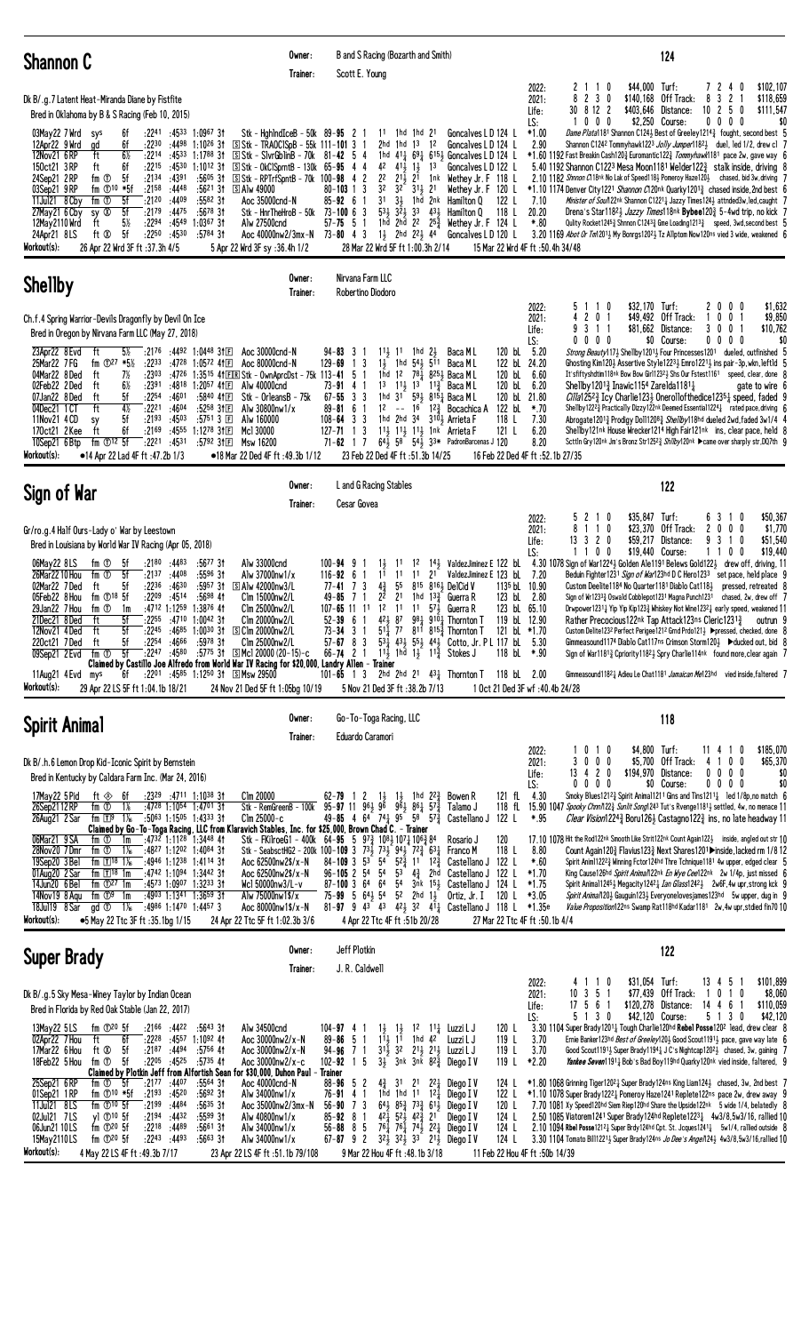| <b>Shannon C</b>                                                                                                                                                                                                                                                                                                                                                                                                                                                                                                                                                                                                                                                                                                                                                                                                                                                                                                                                              | Owner:<br>Trainer:                                                                                                                                                                                                                                                                                                                                                                                                            | B and S Racing (Bozarth and Smith)<br>Scott E. Young                                                                                                                                                                                                                                                                                                                                    |                                                                                                                                                                                                                                                                                                                                                                                                                                                        |                                                                                                                                                                                                                                                                                                                                                                                                                                                                                                                                                                                                                          | 124                                                                                                                                                                                                                                                                                                                                                                                                                                                                                                                                                                                                                                                                                                                                                                                                                                                                                                                               |
|---------------------------------------------------------------------------------------------------------------------------------------------------------------------------------------------------------------------------------------------------------------------------------------------------------------------------------------------------------------------------------------------------------------------------------------------------------------------------------------------------------------------------------------------------------------------------------------------------------------------------------------------------------------------------------------------------------------------------------------------------------------------------------------------------------------------------------------------------------------------------------------------------------------------------------------------------------------|-------------------------------------------------------------------------------------------------------------------------------------------------------------------------------------------------------------------------------------------------------------------------------------------------------------------------------------------------------------------------------------------------------------------------------|-----------------------------------------------------------------------------------------------------------------------------------------------------------------------------------------------------------------------------------------------------------------------------------------------------------------------------------------------------------------------------------------|--------------------------------------------------------------------------------------------------------------------------------------------------------------------------------------------------------------------------------------------------------------------------------------------------------------------------------------------------------------------------------------------------------------------------------------------------------|--------------------------------------------------------------------------------------------------------------------------------------------------------------------------------------------------------------------------------------------------------------------------------------------------------------------------------------------------------------------------------------------------------------------------------------------------------------------------------------------------------------------------------------------------------------------------------------------------------------------------|-----------------------------------------------------------------------------------------------------------------------------------------------------------------------------------------------------------------------------------------------------------------------------------------------------------------------------------------------------------------------------------------------------------------------------------------------------------------------------------------------------------------------------------------------------------------------------------------------------------------------------------------------------------------------------------------------------------------------------------------------------------------------------------------------------------------------------------------------------------------------------------------------------------------------------------|
| Dk B/.g.7 Latent Heat-Miranda Diane by Fistfite<br>Bred in Oklahoma by B & S Racing (Feb 10, 2015)<br>$:2241$ $:4533$ $1:0967$ 31<br>03May22 7 Wrd<br>6f<br>sys<br>12Apr22 9 Wrd<br>6f<br>:2230<br>:4498<br>$1:10^{26}3t$<br>gd<br>$6\%$<br>12Nov21 6RP<br>ft<br>$:22^{14}$ $:45^{33}$ 1:1788 31<br>6f<br>150ct21 3RP<br>ft<br>:2215<br>:4530<br>$1:10^{12}$ 3t<br>5f<br>24Sep21 2RP<br>fm ①<br>:2134<br>:4391<br>$:5605$ 31<br>fm $\textcircled{10}$ *5f<br>:2158<br>:562131<br>03Sep21 9RP<br>:4448<br>:2120<br>:4409<br>$:5582$ 31<br>11Jul21 8 Cby<br>fm ①<br>5f<br>$:21^{79}$ $:44^{75}$<br>27May21 6 Cby<br>sy ®<br>5f<br>$:5678$ 31<br>$5\%$<br>:2294<br>:4549<br>ft<br>$1:0367$ 3t<br>12May 2110 Wrd<br>5f<br>$:2250$ $:4530$<br>:5784 31<br>24Apr21 8LS<br>ft Ø<br>Workout(s):<br>26 Apr 22 Wrd 3F ft : 37.3h 4/5                                                                                                                                    | Stk - HghIndIceB - 50k $89-95$ 2 1<br>$S$ Stk - TRAOCIS <sub>D</sub> B - 55k 111-101 3<br>$\boxed{5}$ Stk - SlvrGblinB - 70k 81-42 5 4<br>$S$ Stk - OkClSprntB - 130k 65-95 4 4<br>$\boxed{S}$ Stk - RPTrfSpntB - 70k 100-98 4<br><u>5 Alw 49000</u><br>Aoc 35000cnd-N<br>Stk - HnrTheHroB - 50k<br>Alw 27500cnd<br>Aoc 40000nw2/3mx-N 73-80 4 3<br>5 Apr 22 Wrd 3F sy :36.4h 1/2                                             | 11 1hd 1hd 21<br>2hd 1hd 13 12<br>42<br>2 <sup>2</sup><br>$21\frac{1}{2}$<br>2<br>3 <sup>2</sup><br>$32$ <sup>-</sup><br>$80 - 103$ 1 3<br>3 <sup>1</sup><br>$3\frac{1}{2}$<br>$85 - 92 = 61$<br>$53\frac{1}{2}$ $3\overline{2}$ $\frac{1}{2}$ $33$ $43\frac{1}{2}$<br>$73 - 10063$<br>$57 - 75$ 5<br>-1<br>$1\frac{1}{2}$ 2hd $2^{\frac{1}{2}}$ 44<br>28 Mar 22 Wrd 5F ft 1:00.3h 2/14 | Goncalves L D 124 L<br>Goncalves L D 124 L<br>1hd $41\frac{1}{4}$ 6 <sup>9</sup> $\frac{1}{4}$ 6 <sup>15</sup> $\frac{1}{2}$ Goncalves L D 124 L<br>$4^{11}$ $1^{1}$ $1^{3}$<br>Goncalves L D 122 L<br>2 <sup>1</sup><br>1 <sup>nk</sup> Wethey Jr. F 118 L<br>$31\frac{1}{2}$ 21<br>Wethey Jr. F 120 L<br>1hd 2nk<br>Hamilton Q<br>122 L<br>Hamilton 0<br>118L<br>1hd 2hd 2 <sup>2</sup> $2^{5\frac{3}{4}}$ Wethey Jr. F 124 L<br>Goncalves L D 120 L | \$44,000 Turf:<br>2022:<br>2 1 1 0<br>2 3 0<br>\$140,168<br>2021:<br>8<br>30 8 12 2<br>\$403,646 Distance:<br>Life:<br>$0\quad 0$<br>LS:<br>0<br>$*1.00$<br>2.90<br>*1.60 1192 Fast Breakin Cash1203 Euromantic1223 <i>Tommyhawk</i> 1181 pace 2w, gave way 6<br>5.40 1192 Shannon C122 <sup>3</sup> Mesa Moon1181 Welder122 $\frac{3}{4}$ stalk inside, driving 8<br>2.10 1182 Shnnon C118nk No Lak of Speed118} Pomeroy Haze120} chased, bid 3w, driving 7<br>*1.10 1174 Denver City1221 Shannon C120nk Quarky1201 <sup>3</sup> chased inside, 2nd best 6<br>7.10<br>20.20<br>*.80<br>15 Mar 22 Wrd 4F ft :50.4h 34/48 | 7240<br>\$102,107<br>2<br>Off Track:<br>8<br>3<br>\$118,659<br>$10$ 2 5<br>\$111,547<br>0<br>\$2,250 Course:<br>0<br>\$0<br>00<br>0<br><i>Dame Plata</i> 1181 Shannon C124 <sub>2</sub> Best of Greeley1214 <sub>3</sub> fought, second best 5<br>Shannon C1242 Tommyhawk1223 Jolly Jumper11823 duel, led 1/2, drew cl 7<br>Minister of Sou/122nk Shannon C12211 Jazzy Times1241 attnded3w, led, caught 7<br>Drena's Star11823 Jazzy Times118nk Bybee1203 5-4wd trip, no kick 7<br>Qulity Rocket1245 $\frac{3}{4}$ Shnnon C1243 $\frac{3}{4}$ Gme Loading1213 $\frac{3}{4}$ speed, 3wd, second best 5<br>3.20 1169 Abot Or Tm12011 My Bonrgs12021 Tz Allptom Now120ns vied 3 wide, weakened 6                                                                                                                                                                                                                                     |
| <b>Shellby</b>                                                                                                                                                                                                                                                                                                                                                                                                                                                                                                                                                                                                                                                                                                                                                                                                                                                                                                                                                | Owner:<br>Trainer:                                                                                                                                                                                                                                                                                                                                                                                                            | Nirvana Farm LLC<br>Robertino Diodoro                                                                                                                                                                                                                                                                                                                                                   |                                                                                                                                                                                                                                                                                                                                                                                                                                                        |                                                                                                                                                                                                                                                                                                                                                                                                                                                                                                                                                                                                                          |                                                                                                                                                                                                                                                                                                                                                                                                                                                                                                                                                                                                                                                                                                                                                                                                                                                                                                                                   |
| Ch.f.4 Spring Warrior-Devils Dragonfly by Devil On Ice<br>Bred in Oregon by Nirvana Farm LLC (May 27, 2018)<br>5½<br>:2176<br>:4492 1:0448 311回<br>23Apr22 8 Evd<br>ft<br>25Mar22 7 FG<br>fm $\Phi$ <sup>27</sup> *5 <sup>1/2</sup><br>:2233<br>:4728 1:0572 411回<br>04Mar22 8Ded<br>ft<br>7½<br>:2303<br>ft<br>$6\%$<br>:2391<br>02Feb22 2Ded<br>:4818 1:2057 411回<br>5f<br>:2254<br>07Jan22 8Ded<br>ft<br>:4601<br>:5840 411回<br>$4\frac{1}{2}$<br>04Dec21 1 CT<br>ft<br>:2221<br>:4604<br>:5258 31日<br>5f<br>:2193<br>:4503<br>:5751 3 国<br>11Nov21 4 CD<br>sy<br>6f<br>170ct21 2 Kee<br>ft<br>:2169<br>:4555<br>$1:12^{78}$ 31 $E$<br>10Sep21 6 Btp<br>fm $\mathbb{O}^{12}$ 5f<br>:2221<br>:4531<br>:5792 3f匣<br>Workout(s):<br>•14 Apr 22 Lad 4F ft :47.2b 1/3                                                                                                                                                                                           | Aoc 30000cnd-N<br>Aoc 80000cnd-N<br>:4726 1:3515 41 E R Stk - Own AprcDst - 75k 113-41 5<br>Alw 40000cnd<br>Stk - OrleansB - 75k<br>Alw 30800nw1/x<br>Alw 160000<br>Mc1 30000<br>Msw 16200<br>•18 Mar 22 Ded 4F ft :49.3b 1/12                                                                                                                                                                                                | $11\frac{1}{2}$ 11 1 hd $2\frac{1}{2}$<br>$94 - 83$ 3<br>129-69<br>$1\frac{1}{2}$<br>13<br>$\overline{1}$<br>$73 - 91$ 4 1<br>$67 - 55$ 3 3<br>1 <sup>2</sup><br>$89 - 81 = 6$<br>$108 - 64$ 3 3<br>$127 - 71$ 1 3<br>$71 - 62$ 1 7<br>23 Feb 22 Ded 4F ft :51.3b 14/25                                                                                                                 | Baca M L<br>1hd 541 511 Baca M L<br>1hd 12 781 8251 Baca ML<br>13 11 <sup>1</sup> / <sub>2</sub> 13 11 <sup>2</sup> / <sub>4</sub> Baca M L<br>1hd $3^{1}$ $5^{9}$ $3^{15}$ $3^{15}$ Baca ML<br>$--$ 16 12 <sup>3</sup> Bocachica A<br>122 bL<br>1hd 2hd 34 3103 Arrieta F<br>118L<br>11} 11} 11} 1nk Arrieta F<br>121 L<br>$64\frac{1}{2}$ 58 54 $\frac{1}{2}$ 33* PadronBarcenas J 120                                                               | \$32,170 Turf:<br>2022:<br>5 1 1 0<br>2021:<br>4 2 0 1<br>\$49.492<br>9311<br>Life:<br>$0\ 0\ 0\ 0$<br>LS:<br>120 bL 5.20<br>122 bL 24.20<br>120 bL 6.60<br>120 bL 6.20<br>Shellby12013 Inawic1154 Zarelda11811<br>120 bL 21.80<br>$*.70$<br>7.30<br>6.20<br>8.20<br>16 Feb 22 Ded 4F ft: 52.1b 27/35                                                                                                                                                                                                                                                                                                                    | 20<br>$0\quad 0$<br>\$1,632<br>\$9,850<br>Off Track:<br>0<br>$\mathbf 0$<br>1<br>3<br>\$10,762<br>\$81,662 Distance:<br>0<br>0<br>\$0 Course:<br>$0\ 0\ 0\ 0$<br>\$0<br>Strong Beauty117} Shellby1201} Four Princesses1201 dueled, outfinished 5<br>Ghosting Kim1201 Assertive Style12231 Emro12211 ins pair-3p, wkn, leftld 5<br>It'sfiftyshdtim118nk Bow Bow Girl12321 Shs Our Fstest1161 speed, clear, done 8<br>gate to wire 6<br>$\textit{Cilla}$ 125 <sup>23</sup> / Icy Charlie 1233 Onerollof the dice 12351 speed, faded 9<br>Shellby 122 <sup>2</sup> { Practically Dizzy 122 <sup>nk</sup> Deemed Essential 122 <sup>4</sup> { rated pace, driving 6<br>Abrogate12013 Prodigy Doll12083 Shellby118hd dueled 2wd, faded 3w1/4 4<br>Shellby 121 <sup>nk</sup> House Wrecker 1214 High Fair 121 <sup>nk</sup> ins, clear pace, held 8<br>Scttln Gry120nk Jm's Bronz Str1252} Shllby120nk ▶ came over sharply str, DQ7th 9 |
| Sign of War                                                                                                                                                                                                                                                                                                                                                                                                                                                                                                                                                                                                                                                                                                                                                                                                                                                                                                                                                   | Owner:<br>Trainer:                                                                                                                                                                                                                                                                                                                                                                                                            | L and G Racing Stables<br>Cesar Govea                                                                                                                                                                                                                                                                                                                                                   |                                                                                                                                                                                                                                                                                                                                                                                                                                                        |                                                                                                                                                                                                                                                                                                                                                                                                                                                                                                                                                                                                                          | 122                                                                                                                                                                                                                                                                                                                                                                                                                                                                                                                                                                                                                                                                                                                                                                                                                                                                                                                               |
| Gr/ro.g.4 Half Ours-Lady o' War by Leestown<br>Bred in Louisiana by World War IV Racing (Apr 05, 2018)<br>:4483<br>$:5677$ 31<br>06May22 8LS<br>fm ①<br>:2180<br>5f<br>fm ①<br>5f<br>:2137<br>:4408<br>$:5596$ 31<br>26Mar22 10 Hou<br>02Mar22 7Ded<br>:2236<br>$:5957$ 31<br>ft<br>5f<br>:4630<br>:2209<br>05Feb22 8 Hou<br>fm $\mathbb{O}^{18}$ 5f<br>:4514<br>$:5698$ 41<br>:4712 1:1259 1:3876 41<br>29Jan22 7 Hou<br>fm ①<br>1m<br>5f<br>:2255<br>21Dec21 8Ded<br>ft<br>$:4710$ 1:0042 31<br>5f<br>:2245<br>$:4685$ 1:0030 3t<br>12Nov21 4Ded<br>ft<br>:2254 :4666<br>5f<br>$:5978$ 31<br>220ct21 7Ded<br>ft<br>:2247<br>:4580<br>fm ①<br>5f<br>09Sep21 2 Evd<br>Claimed by Castillo Joe Alfredo from World War IV Racing for \$20,000, Landry Allen - Trainer<br>$:22^{01}$ $:45^{85}$ 1:12 <sup>50</sup> 31 SMsw 29500<br>11Aug21 4 Evd mys<br>6f<br>Workout(s):<br>29 Apr 22 LS 5F ft 1:04.1b 18/21                                                   | Alw 33000cnd<br>Alw 37000nw1/x<br><b>SAlw 42000nw3/L</b><br>Clm 15000nw2/L<br>Clm 25000nw2/L<br>Clm 20000nw2/L<br>S Clm 20000nw2/L<br>Clm 25000nw2/L<br>$:57^{75}$ 31 SMcl 20000 (20-15)-c<br>24 Nov 21 Ded 5F ft 1:05bg 10/19                                                                                                                                                                                                | $100 - 94$ 9<br>11<br>$116 - 92 = 6$<br>11<br>11<br>$4\frac{3}{4}$<br>$77 - 41$ 7 3<br>55<br>22<br>2 <sup>1</sup><br>49-85<br>7<br>$1^2$ 11<br>107- <b>65</b> 11 11<br>421 87<br>52-39<br>- 6<br>$5^{11}$ 77<br>$73 - 34 = 3$<br>$\overline{1}$<br>$57 - 67$ 8 3<br>$66 - 74$ 2 1<br>$101 - 65$ 1 3<br>5 Nov 21 Ded 3F ft : 38.2b 7/13                                                  | 12<br>21<br>ValdezJiminez E 123 bL<br>11<br>815 8161 DelCid V<br>1hd<br>$13\frac{3}{7}$<br>Guerra R<br>11<br>$57\frac{1}{2}$<br>Guerra R<br>981 9101 Thornton T<br>811 8153 Thornton T<br>$53\frac{1}{4}$ 43 <sub>2</sub> 55 <sub>2</sub> 44 <sub>2</sub> Cotto, Jr. PL 117 bL 5.30<br>11, 1hd 1, 11, Stokes J<br>2hd 2hd 21 $43\frac{1}{4}$ Thornton T                                                                                                | 2022:<br>5210<br>\$35,847 Turf:<br>8 1 1 0<br>2021:<br>320<br>\$59,217<br>Life:<br>13<br>0<br>0<br>\$19,440 Course:<br>LS:<br>11<br>14.3 ValdezJiminez E 122 bl. 4.30 1078 Sign of War1224.3 Golden Ale1191 Belews Gold122.3 drew off, driving, 11<br>7.20<br>1135 bL 10.90<br>Custom Deelite 1184 No Quarter 1181 Diablo Cat 1183<br>123 bL 2.80<br>123 bL 65.10<br>119 bL 12.90<br>Rather Precocious122nk Tap Attack123ns Cleric12313<br>121 bL *1.70<br>118 bL $*$ .90<br>118 bL 2.00<br>1 Oct 21 Ded 3F wf: 40.4b 24/28                                                                                              | -3<br>\$50,367<br>6<br>$\mathbf{1}$<br>0<br>\$23,370 Off Track:<br>\$1,770<br>$\mathbf{2}$<br>0<br>$0\quad 0$<br>\$51,540<br>Distance:<br>9<br>31<br>0<br>\$19,440<br>0<br>$1 \; 1$<br>Beduin Fighter1231 Sign of War123hd D C Hero1233 set pace, held place 9<br>pressed, retreated 8<br>Sign of Wr12333 Oswald Cobblepot1231 Magna Punch1231 chased, 2w, drew off 7<br>Drwpower1231 $\frac{1}{4}$ Yip Yip Kip123 $\frac{3}{4}$ Whiskey Not Wine1232 $\frac{1}{4}$ early speed, weakened 11<br>outrun 9<br>Custom Delite123 <sup>2</sup> Perfect Perigee121 <sup>2</sup> Grnd Prdo121 } ▶ pressed, checked, done 8<br>Gimmeasound1174 Diablo Cat117ns Crimson Storm120} ▶ ducked out, bid 8<br>Sign of War11813 Cpriority 11823 Spry Charlie 114nk found more, clear again 7<br>Gimmeasound11821 Adieu Le Chat1181 Jamaican Me123hd vied inside, faltered 7                                                                      |
| <b>Spirit Animal</b>                                                                                                                                                                                                                                                                                                                                                                                                                                                                                                                                                                                                                                                                                                                                                                                                                                                                                                                                          | Owner:<br>Trainer:                                                                                                                                                                                                                                                                                                                                                                                                            | Go-To-Toga Racing, LLC<br>Eduardo Caramori                                                                                                                                                                                                                                                                                                                                              |                                                                                                                                                                                                                                                                                                                                                                                                                                                        |                                                                                                                                                                                                                                                                                                                                                                                                                                                                                                                                                                                                                          | 118                                                                                                                                                                                                                                                                                                                                                                                                                                                                                                                                                                                                                                                                                                                                                                                                                                                                                                                               |
| Dk B/.h.6 Lemon Drop Kid-Iconic Spirit by Bernstein<br>Bred in Kentucky by Caldara Farm Inc. (Mar 24, 2016)<br>$:23^{29}$ $:47^{11}$ 1:10 <sup>38</sup> 31<br>17May22 5 Pid<br>ft $\Leftrightarrow$ 6f<br>:4728 1:1054 1:4701 3t<br>26Sep2112RP<br>fm ①<br>1%<br>$:50^{63}$ 1:1505 1:4333 31<br>fm $1\%$<br>26Aug21 2 Sar<br>Claimed by Go-To-Toga Racing, LLC from Klaravich Stables, Inc. for \$25,000, Brown Chad C. - Trainer<br>06Mar21 9 SA<br>fm ①<br>'1m<br>$:4732$ 1:1128 1:3448 41<br>fm $\overline{0}$<br>$1\%$<br>:4827 1:1202 1:4084 31<br>28Nov20 7Dmr<br>fm $\boxed{18}$ 1 <sup>%</sup><br>:4946 1:1238 1:4114 31<br>19Sep20 3 Bel<br>01Aug20 2 Sar<br>fm $\Pi^{18}$ 1m<br>:4742 1:1094 1:3442 31<br>$\overline{fm}$ $\overline{O}$ <sup>27</sup> 1m<br>:4573 1:0907 1:3233 31<br>14Jun20 6Bel<br>$:4903$ 1:1341 1:3659 31<br>14Nov19 8 Aqu<br>fm ① <sup>9</sup><br>1m<br>18Jul19 8 Sar<br>gd <sup>1</sup><br>$1\%$<br>$:4986$ 1:1470 1:4457 3 | Clm 20000<br>Stk - RemGreenB - 100k 95-97 11 96 $\frac{1}{2}$ 96<br>$C$ lm 25000-c<br>Stk - FKilroeG1 - 400k 64-95 5 97 $\frac{3}{4}$ 108 $\frac{1}{2}$ 107 $\frac{1}{4}$ 106 $\frac{3}{4}$ 84<br>Stk - SeabsctHG2 - 200k 100-109 3 $73\frac{1}{2}$ $73\frac{1}{2}$ $94\frac{1}{2}$ $72\frac{3}{4}$ 63 $\frac{1}{4}$<br>Aoc 62500nw2\$/x-N<br>Aoc 62500nw2\$/x-N<br>Wc150000nw3/L-v<br>Alw 75000nw1\$/x<br>Aoc 80000nw1\$/x-N | 62-79 1 2 1 $\frac{1}{2}$ 1 $\frac{1}{2}$ 1hd 2 <sup>2</sup> $\frac{3}{4}$ Bowen R<br>49-85 4 $64^{\circ}$ 741 $95^{\circ}$ 58 $57\frac{3}{4}$<br>84-109 3 $5^3$ $5^4$ $5^2$ $5^2$ 11 $1^2$ $1^3$<br>96-105 2 54 54 53 $4^3$ 2hd<br>87-100 3 64 64<br>5 <sup>4</sup><br>75-99 5 643 54 52 2hd $1\frac{1}{2}$                                                                            | $9\bar{6}1\overline{2}$ $86\frac{1}{4}$ $57\frac{3}{4}$<br>Talamo J<br>122 L<br>Castellano J<br>120<br>Rosario J<br>118L<br>Franco M<br>Castellano J 122 L<br>$4\frac{3}{4}$ 2hd Castellano J<br>122 L<br>3nk 151 Castellano J<br>124 L<br>Ortiz, Jr. I<br>120 L<br>81-97 9 43 43 423 32 4 $\frac{1}{4}$ Castellano J 118 L                                                                                                                            | \$4,800 Turf:<br>2022:<br>1010<br>3 0 0 0<br>2021:<br>\$194,970 Distance:<br>Life:<br>13 4 2 0<br>$0\ 0\ 0\ 0$<br>LS:<br>121 fL 4.30<br>118 fl 15.90 1047 Spooky Chnn/1223 Sunlit Song1243 Tut's Rvenge11811 settled, 4w, no menace 11<br>*.95<br>17.10 1078 Hit the Rod122nk Smooth Like Strit122nk Count Again122 $\frac{1}{2}$ inside, angled out str 10<br>8.80<br>$*.60$<br>$*1.70$<br>$*1.75$<br>$*3.05$<br>*1.35e                                                                                                                                                                                                 | \$185,070<br>$11 \quad 4$<br>$\mathbf{1}$<br>0<br>\$5,700 Off Track:<br>0 <sub>0</sub><br>\$65,370<br>4<br>0<br>$0\quad 0$<br>0<br>\$0<br>\$0<br>\$0 Course:<br>$0\ 0\ 0\ 0$<br>Smoky Blues12123 Spirit Animal1211 Gins and Tins12113 led 1/8p, no match 6<br><i>Clear Vision</i> 1224 $\frac{3}{4}$ Boru126 $\frac{1}{2}$ Castagno122 $\frac{3}{4}$ ins, no late headway 11<br>Count Again120½ Flavius123½ Next Shares1201▶inside, lacked rm 1/8 12<br>Spirit Anim112223 Winning Fctor124hd Thre Tchnique1181 4w upper, edged clear 5<br>King Cause126hd Spirit Anima/122nk En Wye Cee122nk 2w 1/4p, just missed 6<br>Spirit Animal12453 Megacity12423 <i>Ian Glass</i> 12423 2w6F, 4w upr, strong kck 9<br>Spirit Anima/1203 Gauguin1233 Everyonelovesjames123hd 5w upper, dug in 9<br>Value Proposition122ns Swamp Rat118hd Kadar1181 2w, 4w upr, stdied fin70 10                                                              |
| Workout(s):<br>•5 May 22 Ttc 3F ft :35.1bg 1/15<br><b>Super Brady</b>                                                                                                                                                                                                                                                                                                                                                                                                                                                                                                                                                                                                                                                                                                                                                                                                                                                                                         | 24 Apr 22 Ttc 5F ft 1:02.3b 3/6<br>Owner:                                                                                                                                                                                                                                                                                                                                                                                     | 4 Apr 22 Ttc 4F ft :51b 20/28<br>Jeff Plotkin                                                                                                                                                                                                                                                                                                                                           |                                                                                                                                                                                                                                                                                                                                                                                                                                                        | 27 Mar 22 Ttc 4F ft :50.1b 4/4                                                                                                                                                                                                                                                                                                                                                                                                                                                                                                                                                                                           | 122                                                                                                                                                                                                                                                                                                                                                                                                                                                                                                                                                                                                                                                                                                                                                                                                                                                                                                                               |
| Dk B/.g.5 Sky Mesa-Winey Taylor by Indian Ocean<br>Bred in Florida by Red Oak Stable (Jan 22, 2017)<br>fm $\mathbb{D}^{20}$ 5f<br>$:21^{66}$ $:44^{22}$<br>$:5643$ 31<br>13May 22 5 LS<br>02Apr22 7 Hou<br>6f<br>$:22^{28}:45^{57}$<br>1:10 <sup>92</sup> 41<br>ft<br>:2187 :4494<br>$:5756$ 41<br>17Mar22 6 Hou<br>5f<br>ft Ø<br>fm ①<br>5f<br>:2205<br>:4525<br>$:5735$ 41<br>18Feb22 5 Hou<br>Claimed by Plotkin Jeff from Alfortish Sean for \$30,000, Duhon Paul - Trainer<br>25Sep21 6RP<br>:2177:4407<br>fm ①<br>:5564 31<br>-5f<br>01Sep21 1RP<br>fm $\mathbb{O}^{10}$ *5f<br>:2193:4520<br>$:5692$ 31<br>11Jul21 8LS<br>fm $\mathbb{D}^{10}$ 5f<br>:2199<br>:4484<br>:5635.31                                                                                                                                                                                                                                                                        | Trainer:<br>Alw 34500cnd<br>Aoc 30000nw2/x-N<br>Aoc 30000nw2/x-N<br>Aoc 30000nw2/x-c<br>Aoc 40000cnd-N<br>Alw 34000nw1/x<br>Aoc 35000nw2/3mx-N                                                                                                                                                                                                                                                                                | J. R. Caldwell<br>$104 - 97$ 4 1<br>$1\frac{1}{2}$ $1\frac{1}{2}$<br>$1\frac{1}{2}$ $1\frac{1}{2}$<br>$89 - 86$ 5 1<br>$94 - 96$ 7 1<br>$3\frac{1}{2}$<br>$102 - 92$ 1 5<br>31 21<br>$88 - 96$ 5 2<br>4}<br>4 1<br>1hd 1hd 11 $12\frac{1}{4}$<br>76-91<br>$64\frac{1}{2}$ $85\frac{3}{4}$ $73\frac{3}{4}$ $61\frac{1}{2}$<br>$56 - 90$ 7 3                                              | 120 L<br>1 <sup>2</sup> 11 <sup>1</sup> / <sub>4</sub> Luzzi L J<br>1hd 4 <sup>2</sup> Luzzi L J<br>119L<br>$3^{1\bar{1}}_{\bar{2}}$ 3 <sup>2</sup> $2^{1\bar{1}}_{\bar{2}}$ 2 <sup>1</sup> $\bar{1}_{\bar{2}}$ Luzzi L J<br>119 L<br>3nk 3nk 8 <sup>23</sup> / <sub>4</sub> Diego I V<br>119L<br>124 L<br>221<br>Diego I V<br>Diego I V<br>122 L<br>120 L<br>Diego I V                                                                                | 2022:<br>\$31,054 Turf:<br>4 1 1 0<br>10<br>$3\quad5$<br>2021:<br>-1<br>$17\quad5\quad6$<br>\$120,278 Distance:<br>$\mathbf{1}$<br>Life:<br>5 1 3<br>0<br>\$42,120 Course:<br>LS:<br>3.30 1104 Super Brady 12011 Tough Charlie 120hd Rebel Posse 1202 lead, drew clear 8<br>3.70<br>3.70<br>*2.20<br>*1.80 1068 Grinning Tiger1202; Super Brady124ns King Liam124; chased, 3w, 2nd best 7<br>*1.10 1078 Super Brady12221 Pomeroy Haze1241 Replete122ns pace 2w, drew away 9                                                                                                                                              | \$101,899<br>13 4 5<br>\$77,439 Off Track:<br>0 <sub>1</sub><br>\$8,060<br>0<br>-1<br>$14$ 4 6<br>\$110,059<br>5 1 3 0<br>\$42,120<br>Ernie Banker123hd Best of Greeley1201 Good Scout11911 pace, gave way late 6<br>Good Scout11911 Super Brady 11941 J C's Nightcap12021 chased, 3w, gaining 7<br>Yankee Seven11911 Bob's Bad Boy119hd Quarky120nk vied inside, faltered, 9<br>7.70 1081 Xy Speed120hd Siem Riep120hd Share the Upside122nk 5 wide 1/4, belatedly 8                                                                                                                                                                                                                                                                                                                                                                                                                                                             |
| :2194 :4432<br>02Jul21 7LS<br>$y$ ] $(D^{10}$ 5f<br>$:5599$ 31<br>$fm$ $T^{20}$ 5f<br>:2218:4489<br>06Jun21 10LS<br>:5661 31<br>fm $\Phi$ <sup>20</sup> 5f<br>$:22^{43}$ $:44^{93}$<br>15May2110LS<br>:5663 31<br>Workout(s):<br>4 May 22 LS 4F ft : 49.3b 7/17                                                                                                                                                                                                                                                                                                                                                                                                                                                                                                                                                                                                                                                                                               | Alw 40800nw1/x<br>Alw 34000nw1/x<br>Alw 34000nw1/x<br>23 Apr 22 LS 4F ft :51.1b 79/108                                                                                                                                                                                                                                                                                                                                        | $85 - 92$ 8 1<br>$42\frac{1}{4}$ $52\frac{1}{2}$ $42\frac{3}{4}$ 21<br>$76\frac{1}{4}$ $76\frac{1}{4}$ $74\frac{1}{2}$ $22\frac{1}{4}$<br>$56 - 88$ 8 5<br>$67 - 87$ 9 2<br>9 Mar 22 Hou 4F ft: 48.1b 3/18                                                                                                                                                                              | 124 L<br>Diego I V<br>124 L<br>Diego I V<br>$3^{2}$ $\frac{1}{2}$ $3^{2}$ $\frac{1}{2}$ $3^{2}$ $2^{1}$ $\frac{1}{2}$ Diego IV<br>124 L                                                                                                                                                                                                                                                                                                                | 11 Feb 22 Hou 4F ft: 50b 14/39                                                                                                                                                                                                                                                                                                                                                                                                                                                                                                                                                                                           | 2.50 1085 Viatorem1241 Super Brady124hd Replete12231 4w3/8.5w3/16, rallied 10<br>2.10 1094 Rbel Posse12121 Super Brdy124hd Cpt. St. Jcques12411 5w1/4, rallied outside 8<br>3.30 1104 Tomato Bill12211 Super Brady124ns Jo Dee's Ange/1241 4w3/8,5w3/16,rallied 10                                                                                                                                                                                                                                                                                                                                                                                                                                                                                                                                                                                                                                                                |